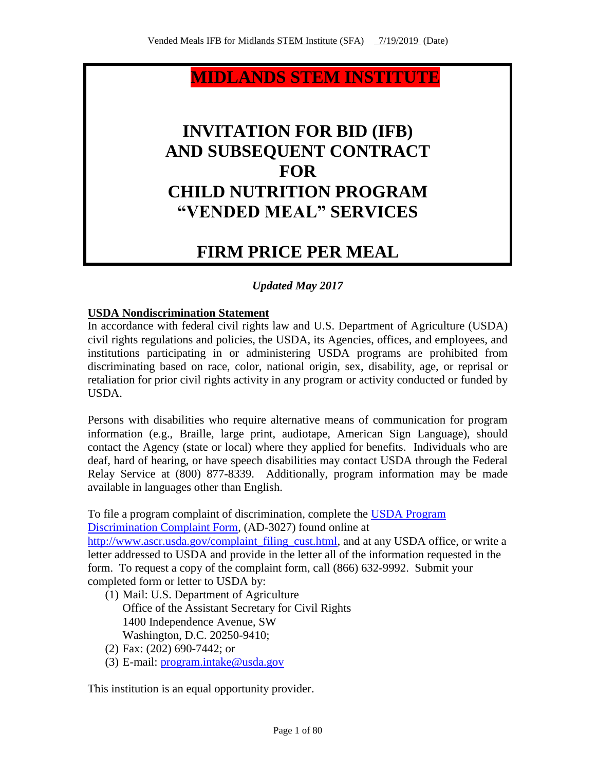## **MIDLANDS STEM INSTITUTE**

## **INVITATION FOR BID (IFB) AND SUBSEQUENT CONTRACT FOR CHILD NUTRITION PROGRAM "VENDED MEAL" SERVICES**

# **FIRM PRICE PER MEAL**

## *Updated May 2017*

## **USDA Nondiscrimination Statement**

In accordance with federal civil rights law and U.S. Department of Agriculture (USDA) civil rights regulations and policies, the USDA, its Agencies, offices, and employees, and institutions participating in or administering USDA programs are prohibited from discriminating based on race, color, national origin, sex, disability, age, or reprisal or retaliation for prior civil rights activity in any program or activity conducted or funded by USDA.

Persons with disabilities who require alternative means of communication for program information (e.g., Braille, large print, audiotape, American Sign Language), should contact the Agency (state or local) where they applied for benefits. Individuals who are deaf, hard of hearing, or have speech disabilities may contact USDA through the Federal Relay Service at (800) 877-8339. Additionally, program information may be made available in languages other than English.

To file a program complaint of discrimination, complete the [USDA Program](http://www.ocio.usda.gov/sites/default/files/docs/2012/Complain_combined_6_8_12.pdf)  [Discrimination Complaint Form,](http://www.ocio.usda.gov/sites/default/files/docs/2012/Complain_combined_6_8_12.pdf) (AD-3027) found online at

[http://www.ascr.usda.gov/complaint\\_filing\\_cust.html,](http://www.ascr.usda.gov/complaint_filing_cust.html) and at any USDA office, or write a letter addressed to USDA and provide in the letter all of the information requested in the form. To request a copy of the complaint form, call (866) 632-9992. Submit your completed form or letter to USDA by:

- (1) Mail: U.S. Department of Agriculture Office of the Assistant Secretary for Civil Rights 1400 Independence Avenue, SW Washington, D.C. 20250-9410;
- (2) Fax: (202) 690-7442; or
- (3) E-mail: [program.intake@usda.gov](mailto:program.intake@usda.gov)

This institution is an equal opportunity provider.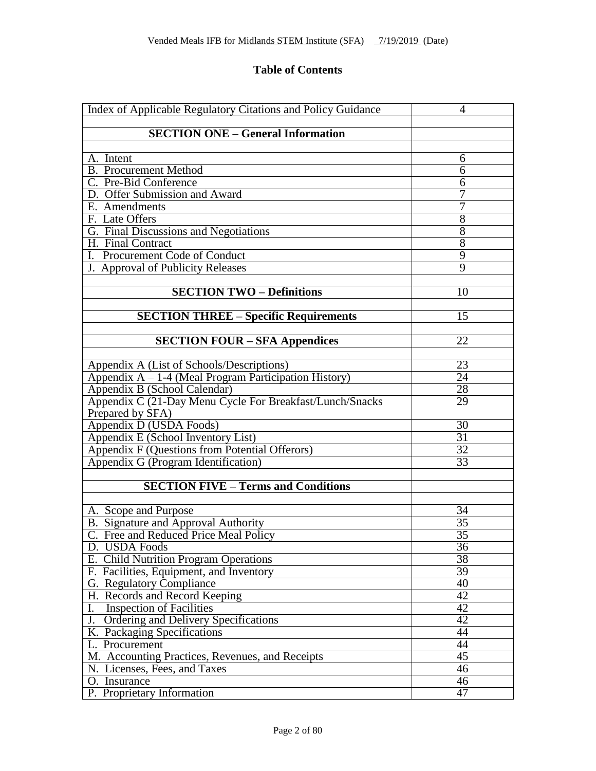## **Table of Contents**

| Index of Applicable Regulatory Citations and Policy Guidance | 4               |
|--------------------------------------------------------------|-----------------|
| <b>SECTION ONE - General Information</b>                     |                 |
|                                                              |                 |
| A. Intent                                                    | 6               |
| <b>B.</b> Procurement Method                                 | 6               |
| C. Pre-Bid Conference                                        | 6               |
| D. Offer Submission and Award                                | 7               |
| E. Amendments                                                | 7               |
| F. Late Offers                                               | $\overline{8}$  |
| G. Final Discussions and Negotiations                        | $\overline{8}$  |
| H. Final Contract                                            | 8               |
| I. Procurement Code of Conduct                               | 9               |
| J. Approval of Publicity Releases                            | $\overline{9}$  |
|                                                              |                 |
| <b>SECTION TWO - Definitions</b>                             | 10              |
|                                                              |                 |
| <b>SECTION THREE - Specific Requirements</b>                 | $\overline{15}$ |
|                                                              |                 |
| <b>SECTION FOUR - SFA Appendices</b>                         | $\overline{22}$ |
|                                                              |                 |
| Appendix A (List of Schools/Descriptions)                    | 23              |
| Appendix $A - 1-4$ (Meal Program Participation History)      | $\overline{24}$ |
| Appendix B (School Calendar)                                 | 28              |
| Appendix C (21-Day Menu Cycle For Breakfast/Lunch/Snacks     | 29              |
| Prepared by SFA)                                             |                 |
| Appendix D (USDA Foods)                                      | 30              |
| Appendix E (School Inventory List)                           | $\overline{31}$ |
| Appendix F (Questions from Potential Offerors)               | $\overline{32}$ |
| Appendix G (Program Identification)                          | $\overline{33}$ |
|                                                              |                 |
| <b>SECTION FIVE - Terms and Conditions</b>                   |                 |
|                                                              |                 |
| A. Scope and Purpose                                         | 34              |
| B. Signature and Approval Authority                          | $\overline{35}$ |
| C. Free and Reduced Price Meal Policy                        | $\overline{35}$ |
| D. USDA Foods                                                | $\overline{36}$ |
| E. Child Nutrition Program Operations                        | 38              |
| F. Facilities, Equipment, and Inventory                      | 39              |
| G. Regulatory Compliance                                     | 40              |
| H. Records and Record Keeping                                | $\overline{42}$ |
| <b>Inspection of Facilities</b><br>I.                        | $\overline{42}$ |
| Ordering and Delivery Specifications<br>J.                   | 42              |
| K. Packaging Specifications                                  | 44              |
| L. Procurement                                               | 44              |
| M. Accounting Practices, Revenues, and Receipts              | 45              |
| N. Licenses, Fees, and Taxes                                 | 46              |
| O. Insurance                                                 | 46              |
| P. Proprietary Information                                   | 47              |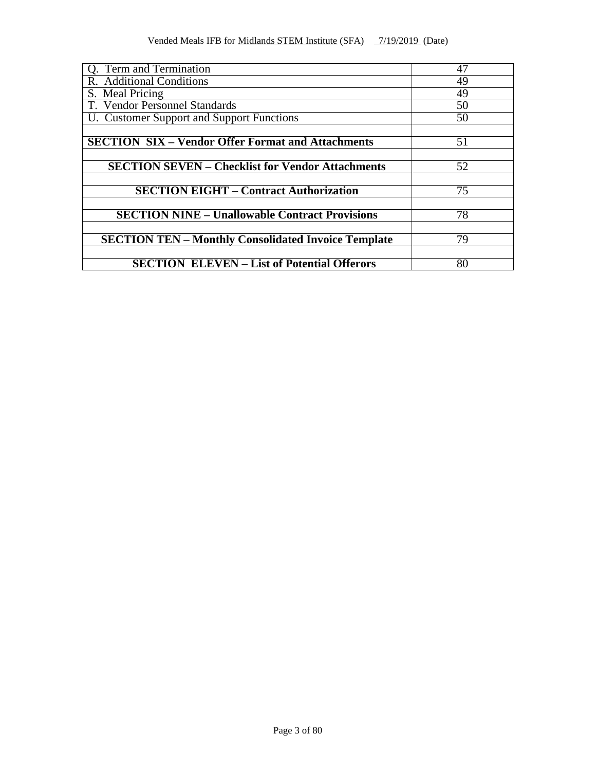| Q. Term and Termination                                    | 47 |
|------------------------------------------------------------|----|
| R. Additional Conditions                                   | 49 |
| S. Meal Pricing                                            | 49 |
| T. Vendor Personnel Standards                              | 50 |
| U. Customer Support and Support Functions                  | 50 |
|                                                            |    |
| <b>SECTION SIX – Vendor Offer Format and Attachments</b>   | 51 |
|                                                            |    |
| <b>SECTION SEVEN - Checklist for Vendor Attachments</b>    | 52 |
|                                                            |    |
| <b>SECTION EIGHT - Contract Authorization</b>              | 75 |
|                                                            |    |
| <b>SECTION NINE - Unallowable Contract Provisions</b>      | 78 |
|                                                            |    |
| <b>SECTION TEN - Monthly Consolidated Invoice Template</b> | 79 |
|                                                            |    |
| <b>SECTION ELEVEN - List of Potential Offerors</b>         | 80 |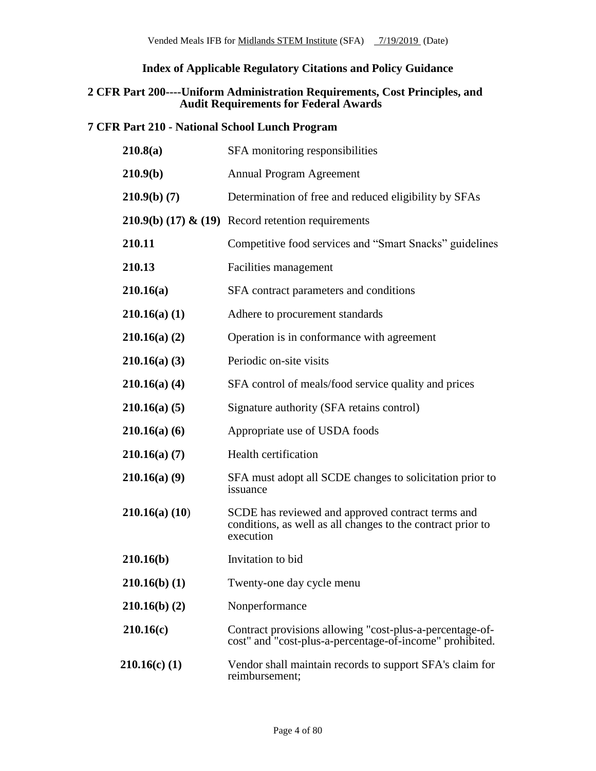## **Index of Applicable Regulatory Citations and Policy Guidance**

#### **2 CFR Part 200----Uniform Administration Requirements, Cost Principles, and Audit Requirements for Federal Awards**

## **7 CFR Part 210 - National School Lunch Program**

| 210.8(a)        | SFA monitoring responsibilities                                                                                               |
|-----------------|-------------------------------------------------------------------------------------------------------------------------------|
| 210.9(b)        | <b>Annual Program Agreement</b>                                                                                               |
| 210.9(b) (7)    | Determination of free and reduced eligibility by SFAs                                                                         |
|                 | <b>210.9(b) (17) &amp; (19)</b> Record retention requirements                                                                 |
| 210.11          | Competitive food services and "Smart Snacks" guidelines                                                                       |
| 210.13          | Facilities management                                                                                                         |
| 210.16(a)       | SFA contract parameters and conditions                                                                                        |
| 210.16(a) (1)   | Adhere to procurement standards                                                                                               |
| 210.16(a) (2)   | Operation is in conformance with agreement                                                                                    |
| 210.16(a) (3)   | Periodic on-site visits                                                                                                       |
| 210.16(a) (4)   | SFA control of meals/food service quality and prices                                                                          |
| 210.16(a) (5)   | Signature authority (SFA retains control)                                                                                     |
| 210.16(a) (6)   | Appropriate use of USDA foods                                                                                                 |
| 210.16(a) (7)   | <b>Health certification</b>                                                                                                   |
| 210.16(a) (9)   | SFA must adopt all SCDE changes to solicitation prior to<br>issuance                                                          |
| 210.16(a) (10)  | SCDE has reviewed and approved contract terms and<br>conditions, as well as all changes to the contract prior to<br>execution |
| 210.16(b)       | Invitation to bid                                                                                                             |
| $210.16(b)$ (1) | Twenty-one day cycle menu                                                                                                     |
| 210.16(b) (2)   | Nonperformance                                                                                                                |
| 210.16(c)       | Contract provisions allowing "cost-plus-a-percentage-of-<br>cost" and "cost-plus-a-percentage-of-income" prohibited.          |
| $210.16(c)$ (1) | Vendor shall maintain records to support SFA's claim for<br>reimbursement;                                                    |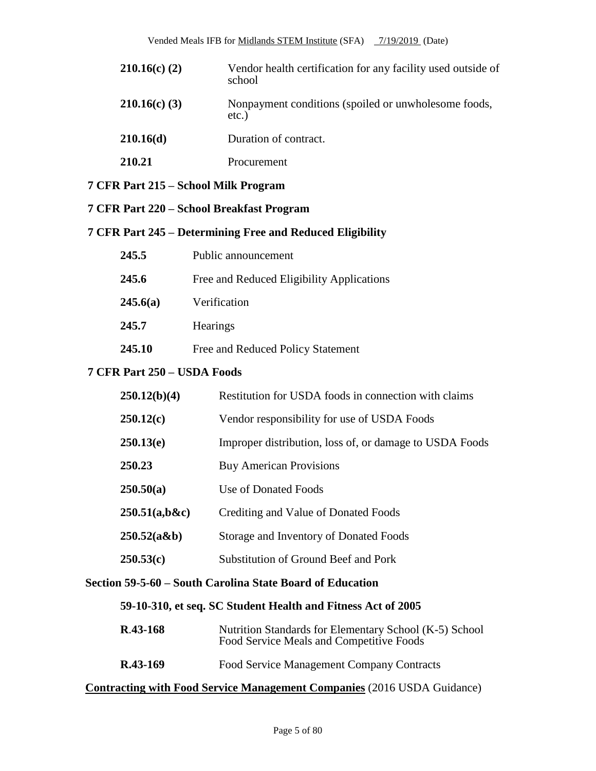| $210.16(c)$ (2) | Vendor health certification for any facility used outside of<br>school |
|-----------------|------------------------------------------------------------------------|
| $210.16(c)$ (3) | Nonpayment conditions (spoiled or unwholesome foods,<br>$etc.$ )       |
| 210.16(d)       | Duration of contract.                                                  |
| 210.21          | Procurement                                                            |

### **7 CFR Part 215 – School Milk Program**

**7 CFR Part 220 – School Breakfast Program**

#### **7 CFR Part 245 – Determining Free and Reduced Eligibility**

| 245.5         | Public announcement                       |
|---------------|-------------------------------------------|
| 245.6         | Free and Reduced Eligibility Applications |
| 245.6(a)      | Verification                              |
| 245.7         | Hearings                                  |
| <b>245.10</b> | Free and Reduced Policy Statement         |

## **7 CFR Part 250 – USDA Foods**

| 250.12(b)(4)  | Restitution for USDA foods in connection with claims    |
|---------------|---------------------------------------------------------|
| 250.12(c)     | Vendor responsibility for use of USDA Foods             |
| 250.13(e)     | Improper distribution, loss of, or damage to USDA Foods |
| 250.23        | <b>Buy American Provisions</b>                          |
| 250.50(a)     | Use of Donated Foods                                    |
| 250.51(a,b&c) | Crediting and Value of Donated Foods                    |
| 250.52(a&b)   | Storage and Inventory of Donated Foods                  |
| 250.53(c)     | <b>Substitution of Ground Beef and Pork</b>             |

#### **Section 59-5-60 – South Carolina State Board of Education**

## **59-10-310, et seq. SC Student Health and Fitness Act of 2005**

| $R.43-168$ | Nutrition Standards for Elementary School (K-5) School<br>Food Service Meals and Competitive Foods |  |  |  |
|------------|----------------------------------------------------------------------------------------------------|--|--|--|
| R.43-169   | Food Service Management Company Contracts                                                          |  |  |  |

## **Contracting with Food Service Management Companies** (2016 USDA Guidance)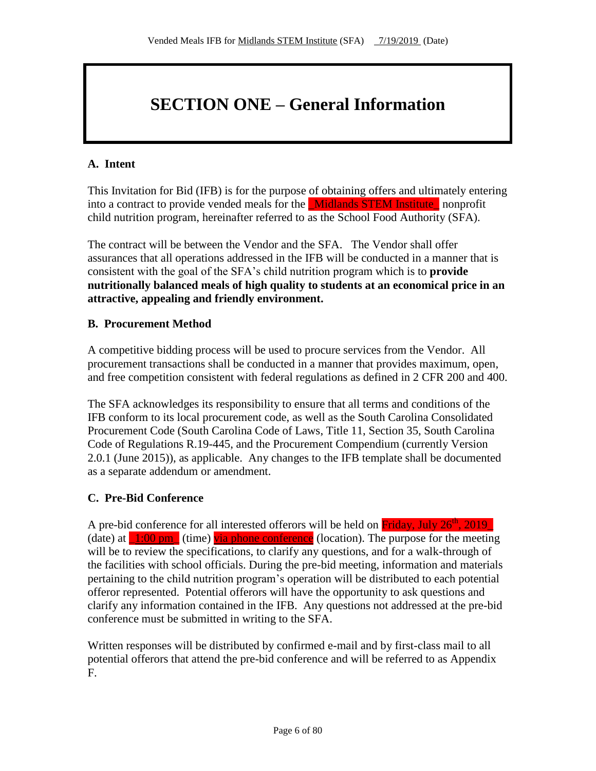# **SECTION ONE – General Information**

## **A. Intent**

This Invitation for Bid (IFB) is for the purpose of obtaining offers and ultimately entering into a contract to provide vended meals for the **Midlands STEM Institute** nonprofit child nutrition program, hereinafter referred to as the School Food Authority (SFA).

The contract will be between the Vendor and the SFA. The Vendor shall offer assurances that all operations addressed in the IFB will be conducted in a manner that is consistent with the goal of the SFA's child nutrition program which is to **provide nutritionally balanced meals of high quality to students at an economical price in an attractive, appealing and friendly environment.**

## **B. Procurement Method**

A competitive bidding process will be used to procure services from the Vendor. All procurement transactions shall be conducted in a manner that provides maximum, open, and free competition consistent with federal regulations as defined in 2 CFR 200 and 400.

The SFA acknowledges its responsibility to ensure that all terms and conditions of the IFB conform to its local procurement code, as well as the South Carolina Consolidated Procurement Code (South Carolina Code of Laws, Title 11, Section 35, South Carolina Code of Regulations R.19-445, and the Procurement Compendium (currently Version 2.0.1 (June 2015)), as applicable. Any changes to the IFB template shall be documented as a separate addendum or amendment.

## **C. Pre-Bid Conference**

A pre-bid conference for all interested offerors will be held on Friday, July 26<sup>th</sup>, 2019 (date) at  $\frac{1:00 \text{ pm}}{ }$  (time) via phone conference (location). The purpose for the meeting will be to review the specifications, to clarify any questions, and for a walk-through of the facilities with school officials. During the pre-bid meeting, information and materials pertaining to the child nutrition program's operation will be distributed to each potential offeror represented. Potential offerors will have the opportunity to ask questions and clarify any information contained in the IFB. Any questions not addressed at the pre-bid conference must be submitted in writing to the SFA.

Written responses will be distributed by confirmed e-mail and by first-class mail to all potential offerors that attend the pre-bid conference and will be referred to as Appendix F.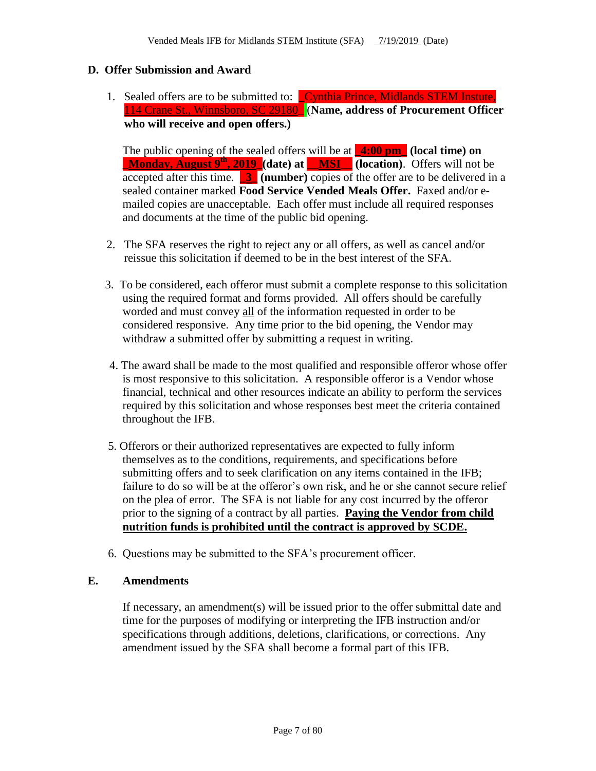### **D. Offer Submission and Award**

1. Sealed offers are to be submitted to: Cynthia Prince, Midlands STEM Instute, 114 Crane St., Winnsboro, SC 29180\_ (**Name, address of Procurement Officer who will receive and open offers.)**

The public opening of the sealed offers will be at **\_4:00 pm\_ (local time) on \_Monday, August 9th, 2019\_(date) at \_\_MSI\_\_ (location)**. Offers will not be accepted after this time.  $\begin{bmatrix} 3 \end{bmatrix}$  (number) copies of the offer are to be delivered in a sealed container marked **Food Service Vended Meals Offer.** Faxed and/or emailed copies are unacceptable. Each offer must include all required responses and documents at the time of the public bid opening.

- 2. The SFA reserves the right to reject any or all offers, as well as cancel and/or reissue this solicitation if deemed to be in the best interest of the SFA.
- 3. To be considered, each offeror must submit a complete response to this solicitation using the required format and forms provided. All offers should be carefully worded and must convey all of the information requested in order to be considered responsive. Any time prior to the bid opening, the Vendor may withdraw a submitted offer by submitting a request in writing.
- 4. The award shall be made to the most qualified and responsible offeror whose offer is most responsive to this solicitation. A responsible offeror is a Vendor whose financial, technical and other resources indicate an ability to perform the services required by this solicitation and whose responses best meet the criteria contained throughout the IFB.
- 5. Offerors or their authorized representatives are expected to fully inform themselves as to the conditions, requirements, and specifications before submitting offers and to seek clarification on any items contained in the IFB; failure to do so will be at the offeror's own risk, and he or she cannot secure relief on the plea of error. The SFA is not liable for any cost incurred by the offeror prior to the signing of a contract by all parties. **Paying the Vendor from child nutrition funds is prohibited until the contract is approved by SCDE.**
- 6. Questions may be submitted to the SFA's procurement officer.

#### **E. Amendments**

If necessary, an amendment(s) will be issued prior to the offer submittal date and time for the purposes of modifying or interpreting the IFB instruction and/or specifications through additions, deletions, clarifications, or corrections. Any amendment issued by the SFA shall become a formal part of this IFB.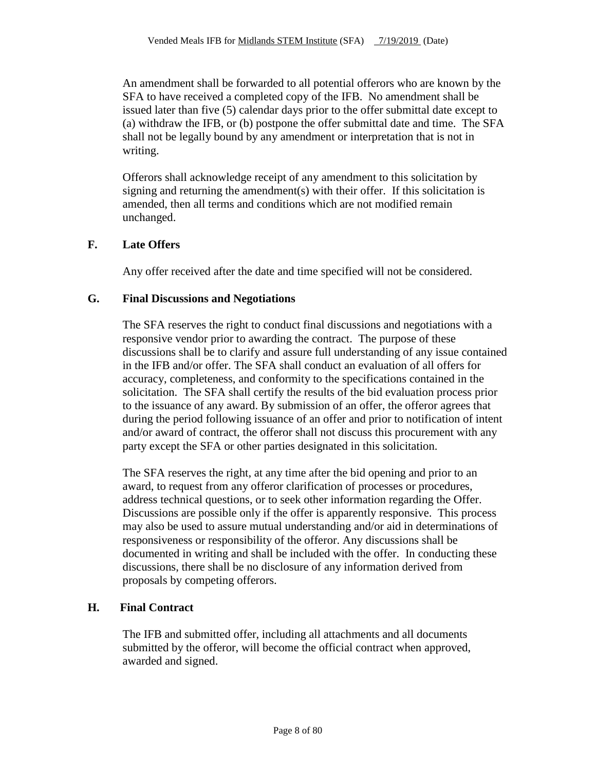An amendment shall be forwarded to all potential offerors who are known by the SFA to have received a completed copy of the IFB. No amendment shall be issued later than five (5) calendar days prior to the offer submittal date except to (a) withdraw the IFB, or (b) postpone the offer submittal date and time. The SFA shall not be legally bound by any amendment or interpretation that is not in writing.

Offerors shall acknowledge receipt of any amendment to this solicitation by signing and returning the amendment(s) with their offer. If this solicitation is amended, then all terms and conditions which are not modified remain unchanged.

### **F. Late Offers**

Any offer received after the date and time specified will not be considered.

#### **G. Final Discussions and Negotiations**

The SFA reserves the right to conduct final discussions and negotiations with a responsive vendor prior to awarding the contract. The purpose of these discussions shall be to clarify and assure full understanding of any issue contained in the IFB and/or offer. The SFA shall conduct an evaluation of all offers for accuracy, completeness, and conformity to the specifications contained in the solicitation. The SFA shall certify the results of the bid evaluation process prior to the issuance of any award. By submission of an offer, the offeror agrees that during the period following issuance of an offer and prior to notification of intent and/or award of contract, the offeror shall not discuss this procurement with any party except the SFA or other parties designated in this solicitation.

The SFA reserves the right, at any time after the bid opening and prior to an award, to request from any offeror clarification of processes or procedures, address technical questions, or to seek other information regarding the Offer. Discussions are possible only if the offer is apparently responsive. This process may also be used to assure mutual understanding and/or aid in determinations of responsiveness or responsibility of the offeror. Any discussions shall be documented in writing and shall be included with the offer. In conducting these discussions, there shall be no disclosure of any information derived from proposals by competing offerors.

#### **H. Final Contract**

The IFB and submitted offer, including all attachments and all documents submitted by the offeror, will become the official contract when approved, awarded and signed.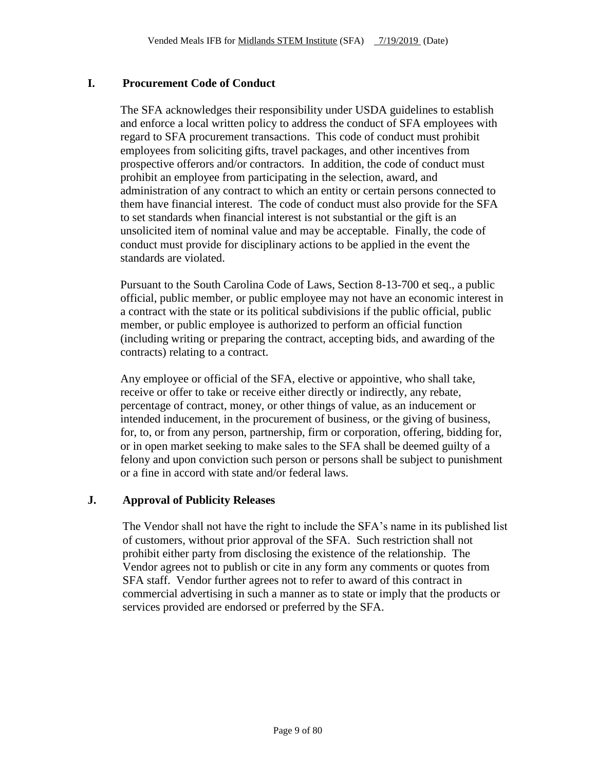## **I. Procurement Code of Conduct**

The SFA acknowledges their responsibility under USDA guidelines to establish and enforce a local written policy to address the conduct of SFA employees with regard to SFA procurement transactions. This code of conduct must prohibit employees from soliciting gifts, travel packages, and other incentives from prospective offerors and/or contractors. In addition, the code of conduct must prohibit an employee from participating in the selection, award, and administration of any contract to which an entity or certain persons connected to them have financial interest. The code of conduct must also provide for the SFA to set standards when financial interest is not substantial or the gift is an unsolicited item of nominal value and may be acceptable. Finally, the code of conduct must provide for disciplinary actions to be applied in the event the standards are violated.

Pursuant to the South Carolina Code of Laws, Section 8-13-700 et seq., a public official, public member, or public employee may not have an economic interest in a contract with the state or its political subdivisions if the public official, public member, or public employee is authorized to perform an official function (including writing or preparing the contract, accepting bids, and awarding of the contracts) relating to a contract.

Any employee or official of the SFA, elective or appointive, who shall take, receive or offer to take or receive either directly or indirectly, any rebate, percentage of contract, money, or other things of value, as an inducement or intended inducement, in the procurement of business, or the giving of business, for, to, or from any person, partnership, firm or corporation, offering, bidding for, or in open market seeking to make sales to the SFA shall be deemed guilty of a felony and upon conviction such person or persons shall be subject to punishment or a fine in accord with state and/or federal laws.

#### **J. Approval of Publicity Releases**

The Vendor shall not have the right to include the SFA's name in its published list of customers, without prior approval of the SFA. Such restriction shall not prohibit either party from disclosing the existence of the relationship. The Vendor agrees not to publish or cite in any form any comments or quotes from SFA staff. Vendor further agrees not to refer to award of this contract in commercial advertising in such a manner as to state or imply that the products or services provided are endorsed or preferred by the SFA.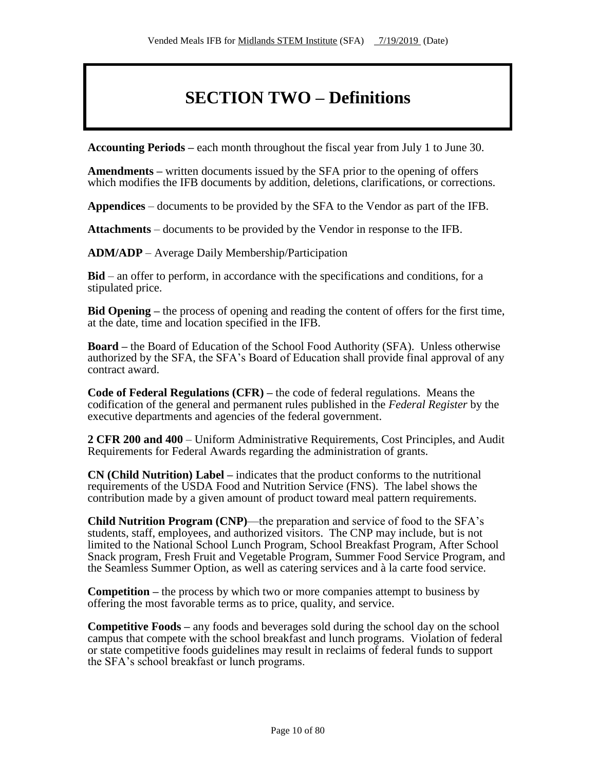## **SECTION TWO – Definitions**

**Accounting Periods –** each month throughout the fiscal year from July 1 to June 30.

**Amendments –** written documents issued by the SFA prior to the opening of offers which modifies the IFB documents by addition, deletions, clarifications, or corrections.

**Appendices** – documents to be provided by the SFA to the Vendor as part of the IFB.

**Attachments** – documents to be provided by the Vendor in response to the IFB.

**ADM/ADP** – Average Daily Membership/Participation

**Bid** – an offer to perform, in accordance with the specifications and conditions, for a stipulated price.

**Bid Opening –** the process of opening and reading the content of offers for the first time, at the date, time and location specified in the IFB.

**Board –** the Board of Education of the School Food Authority (SFA). Unless otherwise authorized by the SFA, the SFA's Board of Education shall provide final approval of any contract award.

**Code of Federal Regulations (CFR) –** the code of federal regulations. Means the codification of the general and permanent rules published in the *Federal Register* by the executive departments and agencies of the federal government.

**2 CFR 200 and 400** – Uniform Administrative Requirements, Cost Principles, and Audit Requirements for Federal Awards regarding the administration of grants.

**CN (Child Nutrition) Label –** indicates that the product conforms to the nutritional requirements of the USDA Food and Nutrition Service (FNS). The label shows the contribution made by a given amount of product toward meal pattern requirements.

**Child Nutrition Program (CNP)**—the preparation and service of food to the SFA's students, staff, employees, and authorized visitors. The CNP may include, but is not limited to the National School Lunch Program, School Breakfast Program, After School Snack program, Fresh Fruit and Vegetable Program, Summer Food Service Program, and the Seamless Summer Option, as well as catering services and à la carte food service.

**Competition –** the process by which two or more companies attempt to business by offering the most favorable terms as to price, quality, and service.

**Competitive Foods –** any foods and beverages sold during the school day on the school campus that compete with the school breakfast and lunch programs. Violation of federal or state competitive foods guidelines may result in reclaims of federal funds to support the SFA's school breakfast or lunch programs.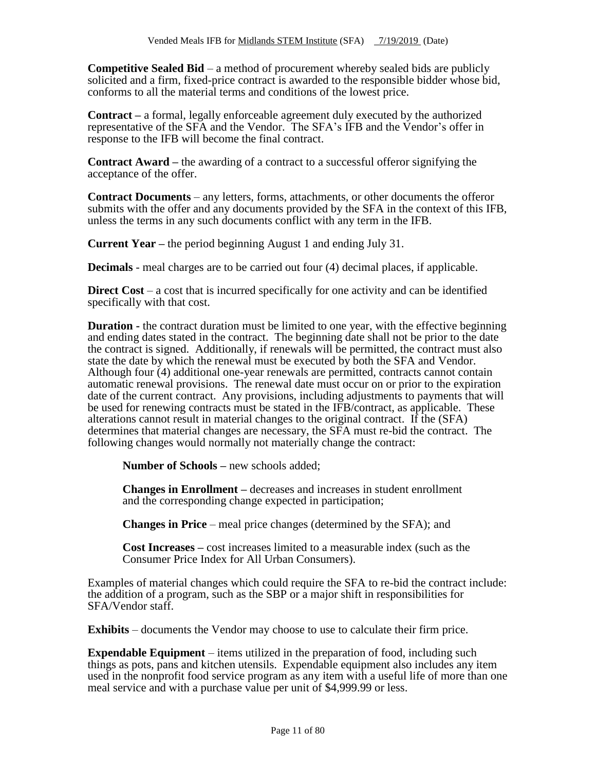**Competitive Sealed Bid** – a method of procurement whereby sealed bids are publicly solicited and a firm, fixed-price contract is awarded to the responsible bidder whose bid, conforms to all the material terms and conditions of the lowest price.

**Contract –** a formal, legally enforceable agreement duly executed by the authorized representative of the SFA and the Vendor. The SFA's IFB and the Vendor's offer in response to the IFB will become the final contract.

**Contract Award –** the awarding of a contract to a successful offeror signifying the acceptance of the offer.

**Contract Documents** – any letters, forms, attachments, or other documents the offeror submits with the offer and any documents provided by the SFA in the context of this IFB, unless the terms in any such documents conflict with any term in the IFB.

**Current Year** – the period beginning August 1 and ending July 31.

**Decimals** - meal charges are to be carried out four (4) decimal places, if applicable.

**Direct Cost** – a cost that is incurred specifically for one activity and can be identified specifically with that cost.

**Duration** - the contract duration must be limited to one year, with the effective beginning and ending dates stated in the contract. The beginning date shall not be prior to the date the contract is signed. Additionally, if renewals will be permitted, the contract must also state the date by which the renewal must be executed by both the SFA and Vendor. Although four (4) additional one-year renewals are permitted, contracts cannot contain automatic renewal provisions. The renewal date must occur on or prior to the expiration date of the current contract. Any provisions, including adjustments to payments that will be used for renewing contracts must be stated in the IFB/contract, as applicable. These alterations cannot result in material changes to the original contract. If the (SFA) determines that material changes are necessary, the SFA must re-bid the contract. The following changes would normally not materially change the contract:

**Number of Schools –** new schools added;

**Changes in Enrollment –** decreases and increases in student enrollment and the corresponding change expected in participation;

**Changes in Price** – meal price changes (determined by the SFA); and

**Cost Increases –** cost increases limited to a measurable index (such as the Consumer Price Index for All Urban Consumers).

Examples of material changes which could require the SFA to re-bid the contract include: the addition of a program, such as the SBP or a major shift in responsibilities for SFA/Vendor staff.

**Exhibits** – documents the Vendor may choose to use to calculate their firm price.

**Expendable Equipment** – items utilized in the preparation of food, including such things as pots, pans and kitchen utensils. Expendable equipment also includes any item used in the nonprofit food service program as any item with a useful life of more than one meal service and with a purchase value per unit of \$4,999.99 or less.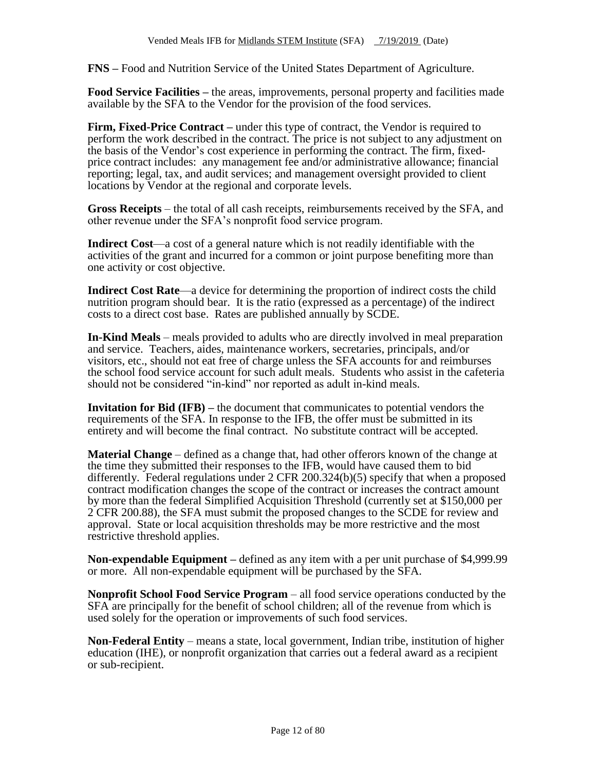**FNS –** Food and Nutrition Service of the United States Department of Agriculture.

**Food Service Facilities –** the areas, improvements, personal property and facilities made available by the SFA to the Vendor for the provision of the food services.

**Firm, Fixed-Price Contract –** under this type of contract, the Vendor is required to perform the work described in the contract. The price is not subject to any adjustment on the basis of the Vendor's cost experience in performing the contract. The firm, fixedprice contract includes: any management fee and/or administrative allowance; financial reporting; legal, tax, and audit services; and management oversight provided to client locations by Vendor at the regional and corporate levels.

**Gross Receipts** – the total of all cash receipts, reimbursements received by the SFA, and other revenue under the SFA's nonprofit food service program.

**Indirect Cost**—a cost of a general nature which is not readily identifiable with the activities of the grant and incurred for a common or joint purpose benefiting more than one activity or cost objective.

**Indirect Cost Rate**—a device for determining the proportion of indirect costs the child nutrition program should bear. It is the ratio (expressed as a percentage) of the indirect costs to a direct cost base. Rates are published annually by SCDE.

**In-Kind Meals** – meals provided to adults who are directly involved in meal preparation and service. Teachers, aides, maintenance workers, secretaries, principals, and/or visitors, etc., should not eat free of charge unless the SFA accounts for and reimburses the school food service account for such adult meals. Students who assist in the cafeteria should not be considered "in-kind" nor reported as adult in-kind meals.

**Invitation for Bid (IFB) –** the document that communicates to potential vendors the requirements of the SFA. In response to the IFB, the offer must be submitted in its entirety and will become the final contract. No substitute contract will be accepted.

**Material Change** – defined as a change that, had other offerors known of the change at the time they submitted their responses to the IFB, would have caused them to bid differently. Federal regulations under 2 CFR 200.324(b)(5) specify that when a proposed contract modification changes the scope of the contract or increases the contract amount by more than the federal Simplified Acquisition Threshold (currently set at \$150,000 per 2 CFR 200.88), the SFA must submit the proposed changes to the SCDE for review and approval. State or local acquisition thresholds may be more restrictive and the most restrictive threshold applies.

**Non-expendable Equipment –** defined as any item with a per unit purchase of \$4,999.99 or more. All non-expendable equipment will be purchased by the SFA.

**Nonprofit School Food Service Program** – all food service operations conducted by the SFA are principally for the benefit of school children; all of the revenue from which is used solely for the operation or improvements of such food services.

**Non-Federal Entity** – means a state, local government, Indian tribe, institution of higher education (IHE), or nonprofit organization that carries out a federal award as a recipient or sub-recipient.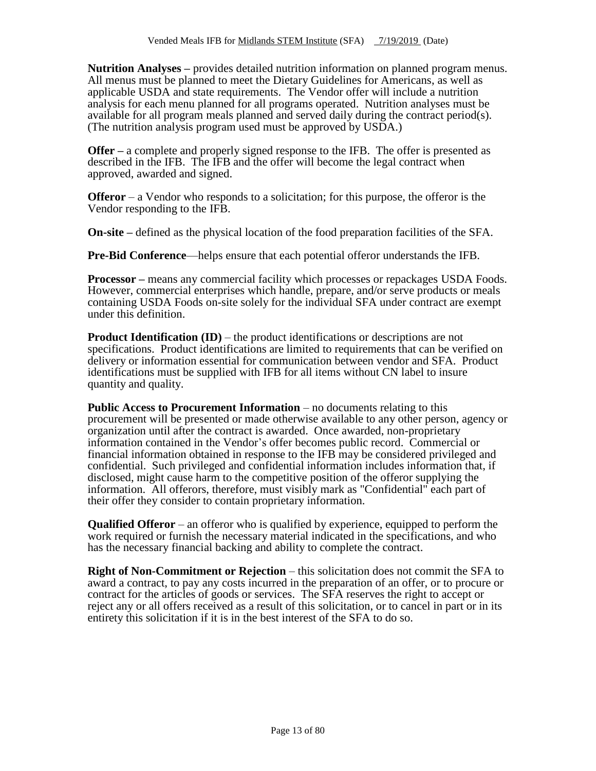**Nutrition Analyses –** provides detailed nutrition information on planned program menus. All menus must be planned to meet the Dietary Guidelines for Americans, as well as applicable USDA and state requirements. The Vendor offer will include a nutrition analysis for each menu planned for all programs operated. Nutrition analyses must be available for all program meals planned and served daily during the contract period(s). (The nutrition analysis program used must be approved by USDA.)

**Offer** – a complete and properly signed response to the IFB. The offer is presented as described in the IFB. The IFB and the offer will become the legal contract when approved, awarded and signed.

**Offeror** – a Vendor who responds to a solicitation; for this purpose, the offeror is the Vendor responding to the IFB.

**On-site –** defined as the physical location of the food preparation facilities of the SFA.

**Pre-Bid Conference**—helps ensure that each potential offeror understands the IFB.

**Processor –** means any commercial facility which processes or repackages USDA Foods. However, commercial enterprises which handle, prepare, and/or serve products or meals containing USDA Foods on-site solely for the individual SFA under contract are exempt under this definition.

**Product Identification (ID)** – the product identifications or descriptions are not specifications. Product identifications are limited to requirements that can be verified on delivery or information essential for communication between vendor and SFA. Product identifications must be supplied with IFB for all items without CN label to insure quantity and quality.

**Public Access to Procurement Information** – no documents relating to this procurement will be presented or made otherwise available to any other person, agency or organization until after the contract is awarded. Once awarded, non-proprietary information contained in the Vendor's offer becomes public record. Commercial or financial information obtained in response to the IFB may be considered privileged and confidential. Such privileged and confidential information includes information that, if disclosed, might cause harm to the competitive position of the offeror supplying the information. All offerors, therefore, must visibly mark as "Confidential" each part of their offer they consider to contain proprietary information.

**Qualified Offeror** – an offeror who is qualified by experience, equipped to perform the work required or furnish the necessary material indicated in the specifications, and who has the necessary financial backing and ability to complete the contract.

**Right of Non-Commitment or Rejection** – this solicitation does not commit the SFA to award a contract, to pay any costs incurred in the preparation of an offer, or to procure or contract for the articles of goods or services. The SFA reserves the right to accept or reject any or all offers received as a result of this solicitation, or to cancel in part or in its entirety this solicitation if it is in the best interest of the SFA to do so.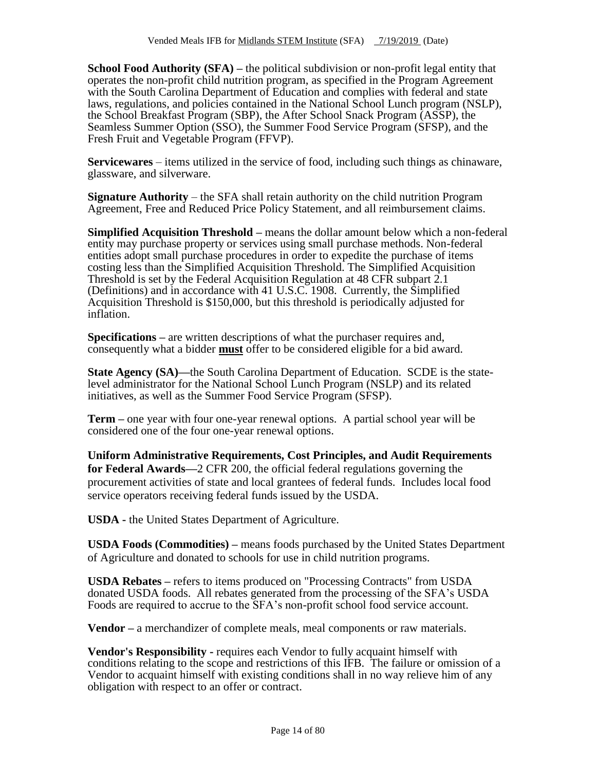**School Food Authority (SFA) –** the political subdivision or non-profit legal entity that operates the non-profit child nutrition program, as specified in the Program Agreement with the South Carolina Department of Education and complies with federal and state laws, regulations, and policies contained in the National School Lunch program (NSLP), the School Breakfast Program (SBP), the After School Snack Program (ASSP), the Seamless Summer Option (SSO), the Summer Food Service Program (SFSP), and the Fresh Fruit and Vegetable Program (FFVP).

**Servicewares** – items utilized in the service of food, including such things as chinaware, glassware, and silverware.

**Signature Authority** – the SFA shall retain authority on the child nutrition Program Agreement, Free and Reduced Price Policy Statement, and all reimbursement claims.

**Simplified Acquisition Threshold –** means the dollar amount below which a non-federal entity may purchase property or services using small purchase methods. Non-federal entities adopt small purchase procedures in order to expedite the purchase of items costing less than the Simplified Acquisition Threshold. The Simplified Acquisition Threshold is set by the Federal Acquisition Regulation at 48 CFR subpart 2.1 (Definitions) and in accordance with 41 U.S.C. 1908. Currently, the Simplified Acquisition Threshold is \$150,000, but this threshold is periodically adjusted for inflation.

**Specifications –** are written descriptions of what the purchaser requires and, consequently what a bidder **must** offer to be considered eligible for a bid award.

**State Agency (SA)—the South Carolina Department of Education. SCDE is the state**level administrator for the National School Lunch Program (NSLP) and its related initiatives, as well as the Summer Food Service Program (SFSP).

**Term –** one year with four one-year renewal options. A partial school year will be considered one of the four one-year renewal options.

**Uniform Administrative Requirements, Cost Principles, and Audit Requirements for Federal Awards—**2 CFR 200, the official federal regulations governing the procurement activities of state and local grantees of federal funds. Includes local food service operators receiving federal funds issued by the USDA.

**USDA -** the United States Department of Agriculture.

**USDA Foods (Commodities) –** means foods purchased by the United States Department of Agriculture and donated to schools for use in child nutrition programs.

**USDA Rebates –** refers to items produced on "Processing Contracts" from USDA donated USDA foods. All rebates generated from the processing of the SFA's USDA Foods are required to accrue to the SFA's non-profit school food service account.

**Vendor –** a merchandizer of complete meals, meal components or raw materials.

**Vendor's Responsibility -** requires each Vendor to fully acquaint himself with conditions relating to the scope and restrictions of this IFB. The failure or omission of a Vendor to acquaint himself with existing conditions shall in no way relieve him of any obligation with respect to an offer or contract.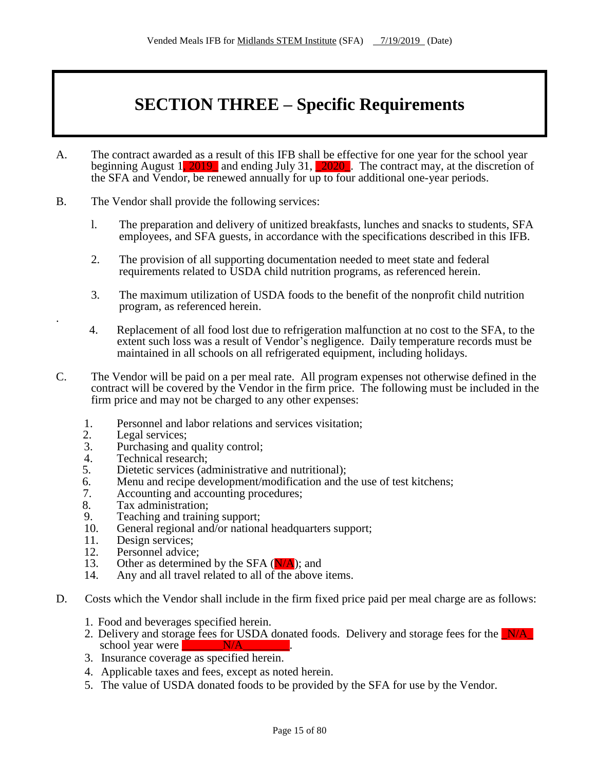# **SECTION THREE – Specific Requirements**

- A. The contract awarded as a result of this IFB shall be effective for one year for the school year beginning August 1, 2019 and ending July 31,  $\overline{2020}$ . The contract may, at the discretion of the SFA and Vendor, be renewed annually for up to four additional one-year periods.
- B. The Vendor shall provide the following services:
	- l. The preparation and delivery of unitized breakfasts, lunches and snacks to students, SFA employees, and SFA guests, in accordance with the specifications described in this IFB.
	- 2. The provision of all supporting documentation needed to meet state and federal requirements related to USDA child nutrition programs, as referenced herein.
	- 3. The maximum utilization of USDA foods to the benefit of the nonprofit child nutrition program, as referenced herein.
	- 4. Replacement of all food lost due to refrigeration malfunction at no cost to the SFA, to the extent such loss was a result of Vendor's negligence. Daily temperature records must be maintained in all schools on all refrigerated equipment, including holidays.
- C. The Vendor will be paid on a per meal rate. All program expenses not otherwise defined in the contract will be covered by the Vendor in the firm price. The following must be included in the firm price and may not be charged to any other expenses:
	- 1. Personnel and labor relations and services visitation;<br>2. Legal services:
	- 2. Legal services;<br>3. Purchasing and

.

- Purchasing and quality control;
- 4. Technical research;
- 5. Dietetic services (administrative and nutritional);
- 6. Menu and recipe development/modification and the use of test kitchens;
- 7. Accounting and accounting procedures;
- 8. Tax administration;
- 9. Teaching and training support;<br>10. General regional and/or national
- 10. General regional and/or national headquarters support;<br>11. Design services:
- 11. Design services;<br>12. Personnel advice
- 12. Personnel advice;<br>13. Other as determinent
- 13. Other as determined by the SFA  $(N/A)$ ; and 14. Any and all travel related to all of the above
- Any and all travel related to all of the above items.
- D. Costs which the Vendor shall include in the firm fixed price paid per meal charge are as follows:
	- 1. Food and beverages specified herein.
	- 2. Delivery and storage fees for USDA donated foods. Delivery and storage fees for the  $N/A$ school year were N/A
	- 3. Insurance coverage as specified herein.
	- 4. Applicable taxes and fees, except as noted herein.
	- 5. The value of USDA donated foods to be provided by the SFA for use by the Vendor.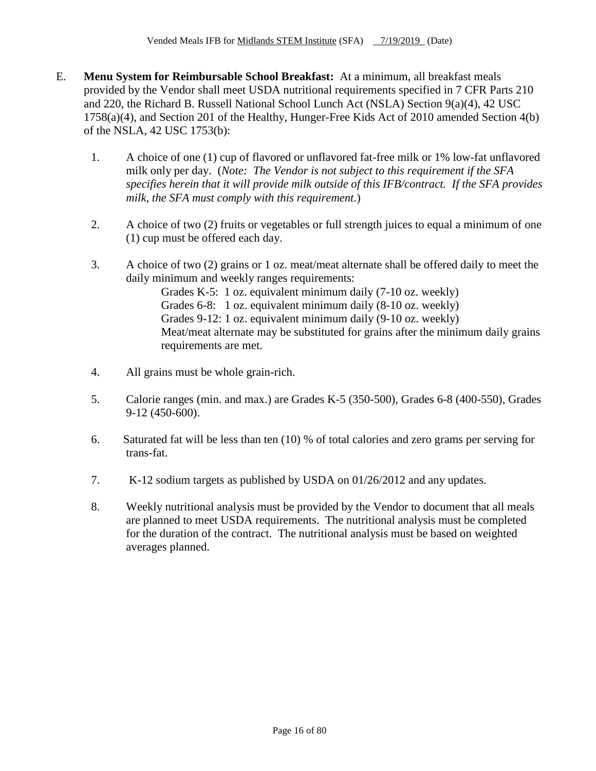- E. **Menu System for Reimbursable School Breakfast:** At a minimum, all breakfast meals provided by the Vendor shall meet USDA nutritional requirements specified in 7 CFR Parts 210 and 220, the Richard B. Russell National School Lunch Act (NSLA) Section 9(a)(4), 42 USC 1758(a)(4), and Section 201 of the Healthy, Hunger-Free Kids Act of 2010 amended Section 4(b) of the NSLA, 42 USC 1753(b):
	- 1. A choice of one (1) cup of flavored or unflavored fat-free milk or 1% low-fat unflavored milk only per day. (*Note: The Vendor is not subject to this requirement if the SFA specifies herein that it will provide milk outside of this IFB/contract. If the SFA provides milk, the SFA must comply with this requirement.*)
	- 2. A choice of two (2) fruits or vegetables or full strength juices to equal a minimum of one (1) cup must be offered each day.
	- 3. A choice of two (2) grains or 1 oz. meat/meat alternate shall be offered daily to meet the daily minimum and weekly ranges requirements:

Grades K-5: 1 oz. equivalent minimum daily (7-10 oz. weekly) Grades 6-8: 1 oz. equivalent minimum daily (8-10 oz. weekly) Grades 9-12: 1 oz. equivalent minimum daily (9-10 oz. weekly) Meat/meat alternate may be substituted for grains after the minimum daily grains requirements are met.

- 4. All grains must be whole grain-rich.
- 5. Calorie ranges (min. and max.) are Grades K-5 (350-500), Grades 6-8 (400-550), Grades 9-12 (450-600).
- 6. Saturated fat will be less than ten (10) % of total calories and zero grams per serving for trans-fat.
- 7. K-12 sodium targets as published by USDA on 01/26/2012 and any updates.
- 8. Weekly nutritional analysis must be provided by the Vendor to document that all meals are planned to meet USDA requirements. The nutritional analysis must be completed for the duration of the contract. The nutritional analysis must be based on weighted averages planned.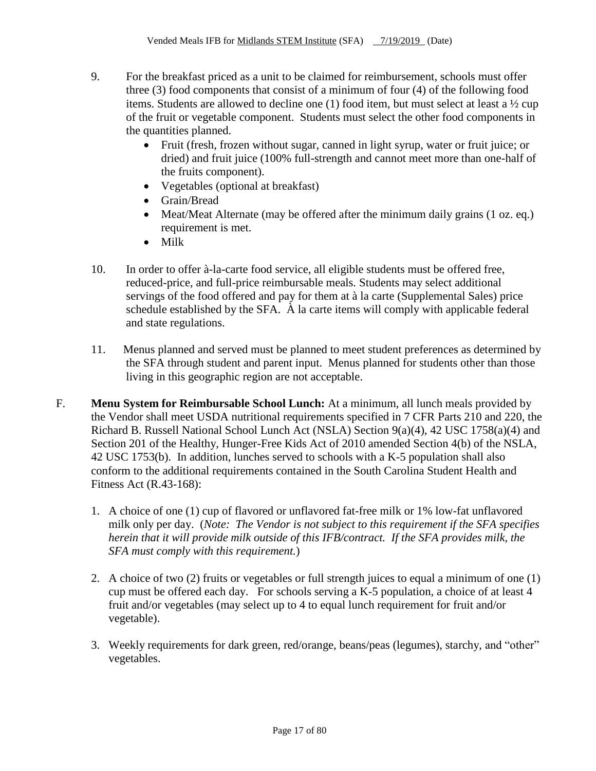- 9. For the breakfast priced as a unit to be claimed for reimbursement, schools must offer three (3) food components that consist of a minimum of four (4) of the following food items. Students are allowed to decline one (1) food item, but must select at least a ½ cup of the fruit or vegetable component. Students must select the other food components in the quantities planned.
	- Fruit (fresh, frozen without sugar, canned in light syrup, water or fruit juice; or dried) and fruit juice (100% full-strength and cannot meet more than one-half of the fruits component).
	- Vegetables (optional at breakfast)
	- Grain/Bread
	- Meat/Meat Alternate (may be offered after the minimum daily grains (1 oz. eq.) requirement is met.
	- Milk
- 10. In order to offer à-la-carte food service, all eligible students must be offered free, reduced-price, and full-price reimbursable meals. Students may select additional servings of the food offered and pay for them at à la carte (Supplemental Sales) price schedule established by the SFA. À la carte items will comply with applicable federal and state regulations.
- 11. Menus planned and served must be planned to meet student preferences as determined by the SFA through student and parent input. Menus planned for students other than those living in this geographic region are not acceptable.
- F. **Menu System for Reimbursable School Lunch:** At a minimum, all lunch meals provided by the Vendor shall meet USDA nutritional requirements specified in 7 CFR Parts 210 and 220, the Richard B. Russell National School Lunch Act (NSLA) Section 9(a)(4), 42 USC 1758(a)(4) and Section 201 of the Healthy, Hunger-Free Kids Act of 2010 amended Section 4(b) of the NSLA, 42 USC 1753(b). In addition, lunches served to schools with a K-5 population shall also conform to the additional requirements contained in the South Carolina Student Health and Fitness Act (R.43-168):
	- 1. A choice of one (1) cup of flavored or unflavored fat-free milk or 1% low-fat unflavored milk only per day. (*Note: The Vendor is not subject to this requirement if the SFA specifies herein that it will provide milk outside of this IFB/contract. If the SFA provides milk, the SFA must comply with this requirement.*)
	- 2. A choice of two (2) fruits or vegetables or full strength juices to equal a minimum of one (1) cup must be offered each day. For schools serving a K-5 population, a choice of at least 4 fruit and/or vegetables (may select up to 4 to equal lunch requirement for fruit and/or vegetable).
	- 3. Weekly requirements for dark green, red/orange, beans/peas (legumes), starchy, and "other" vegetables.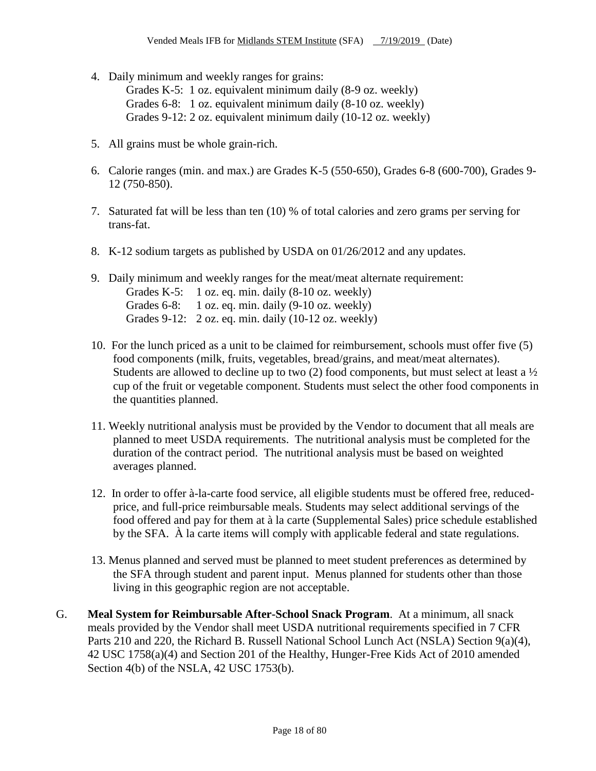4. Daily minimum and weekly ranges for grains:

Grades K-5: 1 oz. equivalent minimum daily (8-9 oz. weekly) Grades 6-8: 1 oz. equivalent minimum daily (8-10 oz. weekly) Grades 9-12: 2 oz. equivalent minimum daily (10-12 oz. weekly)

- 5. All grains must be whole grain-rich.
- 6. Calorie ranges (min. and max.) are Grades K-5 (550-650), Grades 6-8 (600-700), Grades 9- 12 (750-850).
- 7. Saturated fat will be less than ten (10) % of total calories and zero grams per serving for trans-fat.
- 8. K-12 sodium targets as published by USDA on 01/26/2012 and any updates.
- 9. Daily minimum and weekly ranges for the meat/meat alternate requirement: Grades K-5: 1 oz. eq. min. daily (8-10 oz. weekly) Grades 6-8: 1 oz. eq. min. daily (9-10 oz. weekly) Grades 9-12: 2 oz. eq. min. daily (10-12 oz. weekly)
- 10. For the lunch priced as a unit to be claimed for reimbursement, schools must offer five (5) food components (milk, fruits, vegetables, bread/grains, and meat/meat alternates). Students are allowed to decline up to two  $(2)$  food components, but must select at least a  $\frac{1}{2}$ cup of the fruit or vegetable component. Students must select the other food components in the quantities planned.
- 11. Weekly nutritional analysis must be provided by the Vendor to document that all meals are planned to meet USDA requirements. The nutritional analysis must be completed for the duration of the contract period. The nutritional analysis must be based on weighted averages planned.
- 12. In order to offer à-la-carte food service, all eligible students must be offered free, reducedprice, and full-price reimbursable meals. Students may select additional servings of the food offered and pay for them at à la carte (Supplemental Sales) price schedule established by the SFA. À la carte items will comply with applicable federal and state regulations.
- 13. Menus planned and served must be planned to meet student preferences as determined by the SFA through student and parent input. Menus planned for students other than those living in this geographic region are not acceptable.
- G. **Meal System for Reimbursable After-School Snack Program**. At a minimum, all snack meals provided by the Vendor shall meet USDA nutritional requirements specified in 7 CFR Parts 210 and 220, the Richard B. Russell National School Lunch Act (NSLA) Section 9(a)(4), 42 USC 1758(a)(4) and Section 201 of the Healthy, Hunger-Free Kids Act of 2010 amended Section 4(b) of the NSLA, 42 USC 1753(b).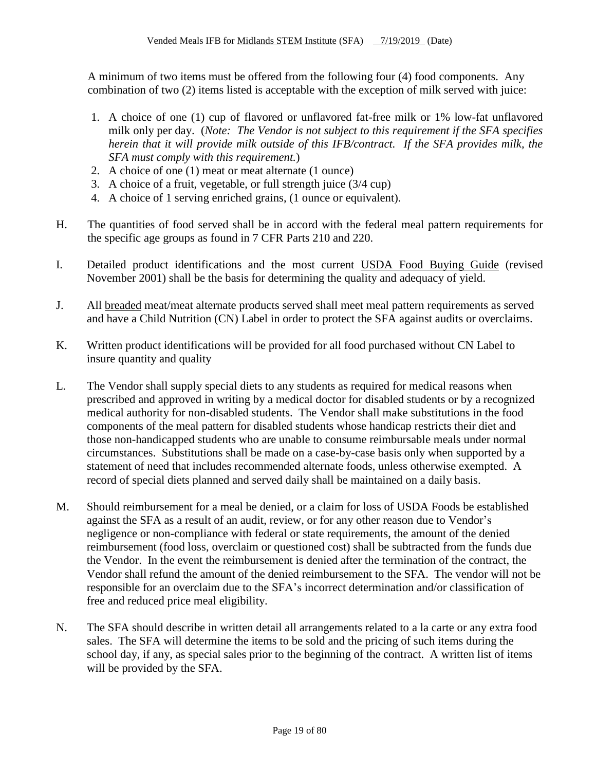A minimum of two items must be offered from the following four (4) food components. Any combination of two (2) items listed is acceptable with the exception of milk served with juice:

- 1. A choice of one (1) cup of flavored or unflavored fat-free milk or 1% low-fat unflavored milk only per day. (*Note: The Vendor is not subject to this requirement if the SFA specifies herein that it will provide milk outside of this IFB/contract. If the SFA provides milk, the SFA must comply with this requirement.*)
- 2. A choice of one (1) meat or meat alternate (1 ounce)
- 3. A choice of a fruit, vegetable, or full strength juice (3/4 cup)
- 4. A choice of 1 serving enriched grains, (1 ounce or equivalent).
- H. The quantities of food served shall be in accord with the federal meal pattern requirements for the specific age groups as found in 7 CFR Parts 210 and 220.
- I. Detailed product identifications and the most current USDA Food Buying Guide (revised November 2001) shall be the basis for determining the quality and adequacy of yield.
- J. All breaded meat/meat alternate products served shall meet meal pattern requirements as served and have a Child Nutrition (CN) Label in order to protect the SFA against audits or overclaims.
- K. Written product identifications will be provided for all food purchased without CN Label to insure quantity and quality
- L. The Vendor shall supply special diets to any students as required for medical reasons when prescribed and approved in writing by a medical doctor for disabled students or by a recognized medical authority for non-disabled students. The Vendor shall make substitutions in the food components of the meal pattern for disabled students whose handicap restricts their diet and those non-handicapped students who are unable to consume reimbursable meals under normal circumstances. Substitutions shall be made on a case-by-case basis only when supported by a statement of need that includes recommended alternate foods, unless otherwise exempted. A record of special diets planned and served daily shall be maintained on a daily basis.
- M. Should reimbursement for a meal be denied, or a claim for loss of USDA Foods be established against the SFA as a result of an audit, review, or for any other reason due to Vendor's negligence or non-compliance with federal or state requirements, the amount of the denied reimbursement (food loss, overclaim or questioned cost) shall be subtracted from the funds due the Vendor. In the event the reimbursement is denied after the termination of the contract, the Vendor shall refund the amount of the denied reimbursement to the SFA. The vendor will not be responsible for an overclaim due to the SFA's incorrect determination and/or classification of free and reduced price meal eligibility.
- N. The SFA should describe in written detail all arrangements related to a la carte or any extra food sales. The SFA will determine the items to be sold and the pricing of such items during the school day, if any, as special sales prior to the beginning of the contract. A written list of items will be provided by the SFA.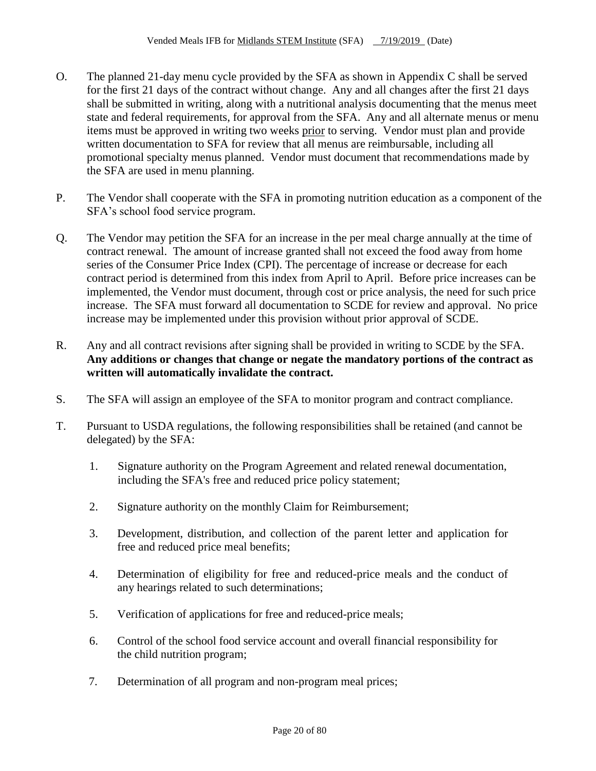- O. The planned 21-day menu cycle provided by the SFA as shown in Appendix C shall be served for the first 21 days of the contract without change. Any and all changes after the first 21 days shall be submitted in writing, along with a nutritional analysis documenting that the menus meet state and federal requirements, for approval from the SFA. Any and all alternate menus or menu items must be approved in writing two weeks prior to serving. Vendor must plan and provide written documentation to SFA for review that all menus are reimbursable, including all promotional specialty menus planned. Vendor must document that recommendations made by the SFA are used in menu planning.
- P. The Vendor shall cooperate with the SFA in promoting nutrition education as a component of the SFA's school food service program.
- Q. The Vendor may petition the SFA for an increase in the per meal charge annually at the time of contract renewal. The amount of increase granted shall not exceed the food away from home series of the Consumer Price Index (CPI). The percentage of increase or decrease for each contract period is determined from this index from April to April. Before price increases can be implemented, the Vendor must document, through cost or price analysis, the need for such price increase. The SFA must forward all documentation to SCDE for review and approval. No price increase may be implemented under this provision without prior approval of SCDE.
- R. Any and all contract revisions after signing shall be provided in writing to SCDE by the SFA. **Any additions or changes that change or negate the mandatory portions of the contract as written will automatically invalidate the contract.**
- S. The SFA will assign an employee of the SFA to monitor program and contract compliance.
- T. Pursuant to USDA regulations, the following responsibilities shall be retained (and cannot be delegated) by the SFA:
	- 1. Signature authority on the Program Agreement and related renewal documentation, including the SFA's free and reduced price policy statement;
	- 2. Signature authority on the monthly Claim for Reimbursement;
	- 3. Development, distribution, and collection of the parent letter and application for free and reduced price meal benefits;
	- 4. Determination of eligibility for free and reduced-price meals and the conduct of any hearings related to such determinations;
	- 5. Verification of applications for free and reduced-price meals;
	- 6. Control of the school food service account and overall financial responsibility for the child nutrition program;
	- 7. Determination of all program and non-program meal prices;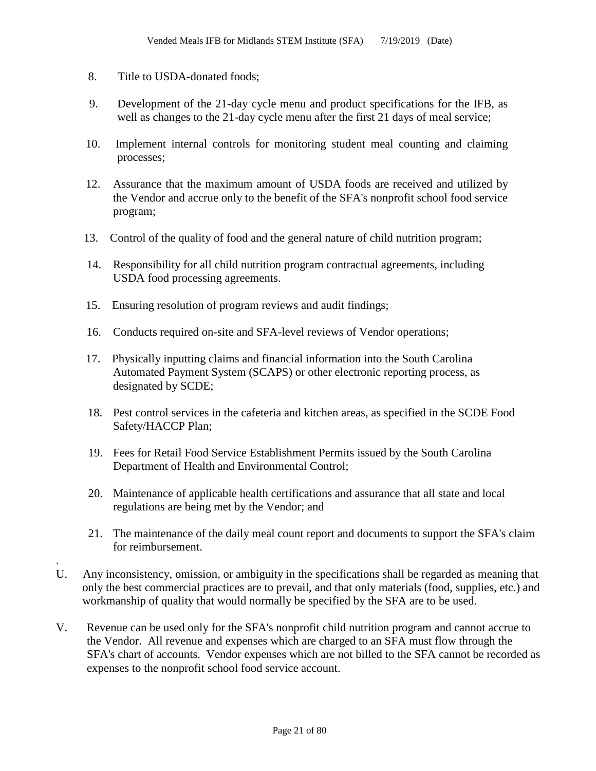8. Title to USDA-donated foods;

.

- 9. Development of the 21-day cycle menu and product specifications for the IFB, as well as changes to the 21-day cycle menu after the first 21 days of meal service;
- 10. Implement internal controls for monitoring student meal counting and claiming processes;
- 12. Assurance that the maximum amount of USDA foods are received and utilized by the Vendor and accrue only to the benefit of the SFA's nonprofit school food service program;
- 13. Control of the quality of food and the general nature of child nutrition program;
- 14. Responsibility for all child nutrition program contractual agreements, including USDA food processing agreements.
- 15. Ensuring resolution of program reviews and audit findings;
- 16. Conducts required on-site and SFA-level reviews of Vendor operations;
- 17. Physically inputting claims and financial information into the South Carolina Automated Payment System (SCAPS) or other electronic reporting process, as designated by SCDE;
- 18. Pest control services in the cafeteria and kitchen areas, as specified in the SCDE Food Safety/HACCP Plan;
- 19. Fees for Retail Food Service Establishment Permits issued by the South Carolina Department of Health and Environmental Control;
- 20. Maintenance of applicable health certifications and assurance that all state and local regulations are being met by the Vendor; and
- 21. The maintenance of the daily meal count report and documents to support the SFA's claim for reimbursement.
- U. Any inconsistency, omission, or ambiguity in the specifications shall be regarded as meaning that only the best commercial practices are to prevail, and that only materials (food, supplies, etc.) and workmanship of quality that would normally be specified by the SFA are to be used.
- V. Revenue can be used only for the SFA's nonprofit child nutrition program and cannot accrue to the Vendor. All revenue and expenses which are charged to an SFA must flow through the SFA's chart of accounts. Vendor expenses which are not billed to the SFA cannot be recorded as expenses to the nonprofit school food service account.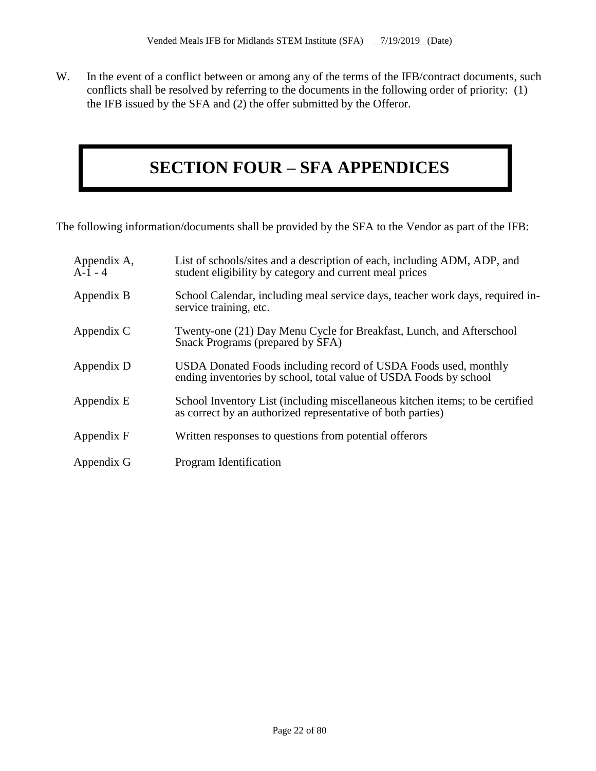W. In the event of a conflict between or among any of the terms of the IFB/contract documents, such conflicts shall be resolved by referring to the documents in the following order of priority: (1) the IFB issued by the SFA and (2) the offer submitted by the Offeror.

## **SECTION FOUR – SFA APPENDICES**

The following information/documents shall be provided by the SFA to the Vendor as part of the IFB:

| Appendix A,<br>$A-1-4$ | List of schools/sites and a description of each, including ADM, ADP, and<br>student eligibility by category and current meal prices          |
|------------------------|----------------------------------------------------------------------------------------------------------------------------------------------|
| Appendix B             | School Calendar, including meal service days, teacher work days, required in-<br>service training, etc.                                      |
| Appendix C             | Twenty-one (21) Day Menu Cycle for Breakfast, Lunch, and Afterschool<br>Snack Programs (prepared by SFA)                                     |
| Appendix D             | USDA Donated Foods including record of USDA Foods used, monthly<br>ending inventories by school, total value of USDA Foods by school         |
| Appendix E             | School Inventory List (including miscellaneous kitchen items; to be certified<br>as correct by an authorized representative of both parties) |
| Appendix F             | Written responses to questions from potential offerors                                                                                       |
| Appendix G             | Program Identification                                                                                                                       |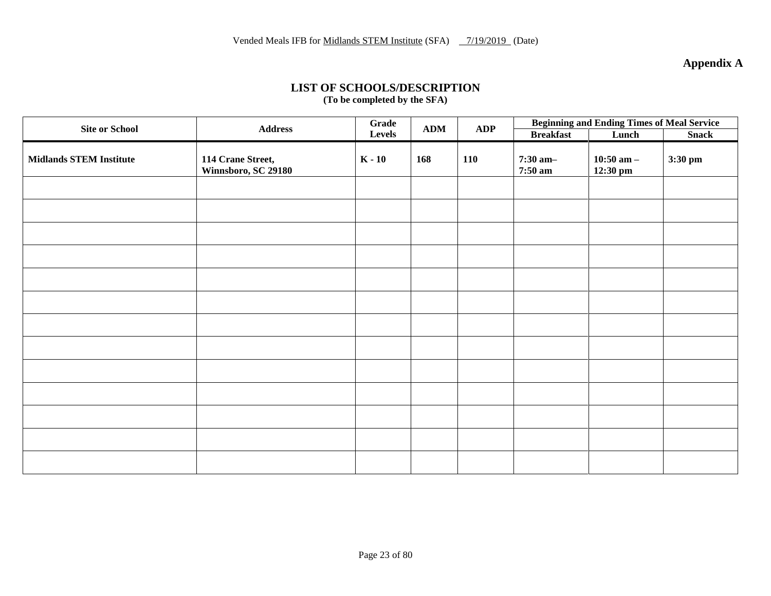**Appendix A**

#### **LIST OF SCHOOLS/DESCRIPTION (To be completed by the SFA)**

| <b>Site or School</b>          | <b>Address</b>                           | Grade    | <b>ADM</b> | <b>ADP</b> | <b>Beginning and Ending Times of Meal Service</b> |                              |              |
|--------------------------------|------------------------------------------|----------|------------|------------|---------------------------------------------------|------------------------------|--------------|
|                                |                                          | Levels   |            |            | <b>Breakfast</b>                                  | Lunch                        | <b>Snack</b> |
| <b>Midlands STEM Institute</b> | 114 Crane Street,<br>Winnsboro, SC 29180 | $K - 10$ | 168        | 110        | $7:30$ am-<br>7:50 am                             | $10:50$ am $-$<br>$12:30$ pm | 3:30 pm      |
|                                |                                          |          |            |            |                                                   |                              |              |
|                                |                                          |          |            |            |                                                   |                              |              |
|                                |                                          |          |            |            |                                                   |                              |              |
|                                |                                          |          |            |            |                                                   |                              |              |
|                                |                                          |          |            |            |                                                   |                              |              |
|                                |                                          |          |            |            |                                                   |                              |              |
|                                |                                          |          |            |            |                                                   |                              |              |
|                                |                                          |          |            |            |                                                   |                              |              |
|                                |                                          |          |            |            |                                                   |                              |              |
|                                |                                          |          |            |            |                                                   |                              |              |
|                                |                                          |          |            |            |                                                   |                              |              |
|                                |                                          |          |            |            |                                                   |                              |              |
|                                |                                          |          |            |            |                                                   |                              |              |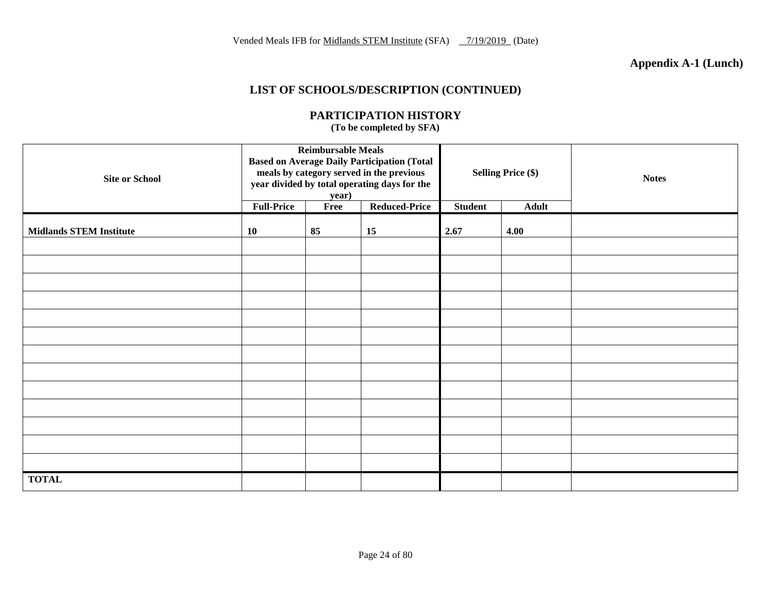## **Appendix A-1 (Lunch)**

## **LIST OF SCHOOLS/DESCRIPTION (CONTINUED)**

| <b>Site or School</b>          | <b>Reimbursable Meals</b><br><b>Based on Average Daily Participation (Total</b><br>meals by category served in the previous<br>year divided by total operating days for the<br>year) |      |                      |                | <b>Selling Price (\$)</b> | <b>Notes</b> |
|--------------------------------|--------------------------------------------------------------------------------------------------------------------------------------------------------------------------------------|------|----------------------|----------------|---------------------------|--------------|
|                                | <b>Full-Price</b>                                                                                                                                                                    | Free | <b>Reduced-Price</b> | <b>Student</b> | <b>Adult</b>              |              |
| <b>Midlands STEM Institute</b> | 10                                                                                                                                                                                   | 85   | 15                   | 2.67           | 4.00                      |              |
|                                |                                                                                                                                                                                      |      |                      |                |                           |              |
|                                |                                                                                                                                                                                      |      |                      |                |                           |              |
|                                |                                                                                                                                                                                      |      |                      |                |                           |              |
|                                |                                                                                                                                                                                      |      |                      |                |                           |              |
|                                |                                                                                                                                                                                      |      |                      |                |                           |              |
|                                |                                                                                                                                                                                      |      |                      |                |                           |              |
|                                |                                                                                                                                                                                      |      |                      |                |                           |              |
|                                |                                                                                                                                                                                      |      |                      |                |                           |              |
|                                |                                                                                                                                                                                      |      |                      |                |                           |              |
|                                |                                                                                                                                                                                      |      |                      |                |                           |              |
|                                |                                                                                                                                                                                      |      |                      |                |                           |              |
|                                |                                                                                                                                                                                      |      |                      |                |                           |              |
|                                |                                                                                                                                                                                      |      |                      |                |                           |              |
| <b>TOTAL</b>                   |                                                                                                                                                                                      |      |                      |                |                           |              |

## **PARTICIPATION HISTORY**

**(To be completed by SFA)**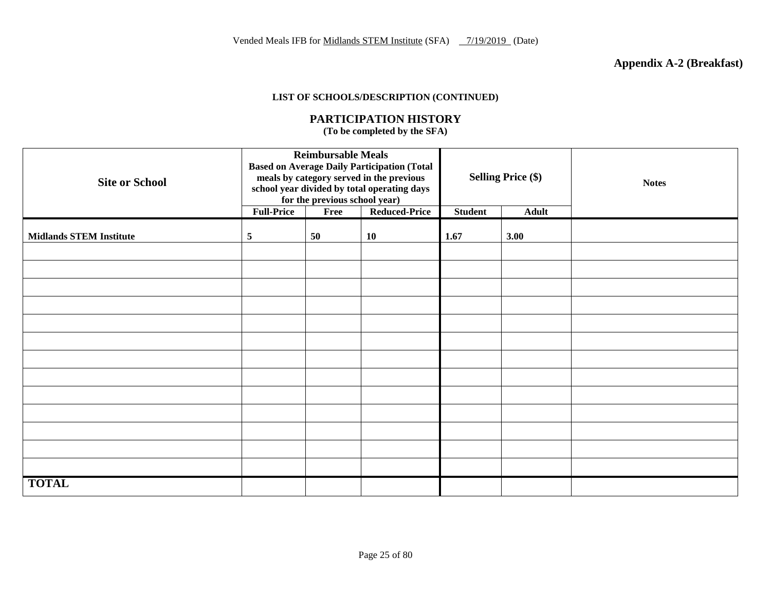#### **LIST OF SCHOOLS/DESCRIPTION (CONTINUED)**

#### **PARTICIPATION HISTORY**

**(To be completed by the SFA)**

| <b>Site or School</b>          | <b>Reimbursable Meals</b><br><b>Based on Average Daily Participation (Total</b><br>meals by category served in the previous<br>school year divided by total operating days<br>for the previous school year)<br><b>Reduced-Price</b><br><b>Full-Price</b><br>Free |    |    | <b>Selling Price (\$)</b><br><b>Student</b><br><b>Adult</b> |      | <b>Notes</b> |
|--------------------------------|------------------------------------------------------------------------------------------------------------------------------------------------------------------------------------------------------------------------------------------------------------------|----|----|-------------------------------------------------------------|------|--------------|
|                                |                                                                                                                                                                                                                                                                  |    |    |                                                             |      |              |
| <b>Midlands STEM Institute</b> | 5                                                                                                                                                                                                                                                                | 50 | 10 | 1.67                                                        | 3.00 |              |
|                                |                                                                                                                                                                                                                                                                  |    |    |                                                             |      |              |
|                                |                                                                                                                                                                                                                                                                  |    |    |                                                             |      |              |
|                                |                                                                                                                                                                                                                                                                  |    |    |                                                             |      |              |
|                                |                                                                                                                                                                                                                                                                  |    |    |                                                             |      |              |
|                                |                                                                                                                                                                                                                                                                  |    |    |                                                             |      |              |
|                                |                                                                                                                                                                                                                                                                  |    |    |                                                             |      |              |
|                                |                                                                                                                                                                                                                                                                  |    |    |                                                             |      |              |
|                                |                                                                                                                                                                                                                                                                  |    |    |                                                             |      |              |
|                                |                                                                                                                                                                                                                                                                  |    |    |                                                             |      |              |
|                                |                                                                                                                                                                                                                                                                  |    |    |                                                             |      |              |
|                                |                                                                                                                                                                                                                                                                  |    |    |                                                             |      |              |
|                                |                                                                                                                                                                                                                                                                  |    |    |                                                             |      |              |
|                                |                                                                                                                                                                                                                                                                  |    |    |                                                             |      |              |
| <b>TOTAL</b>                   |                                                                                                                                                                                                                                                                  |    |    |                                                             |      |              |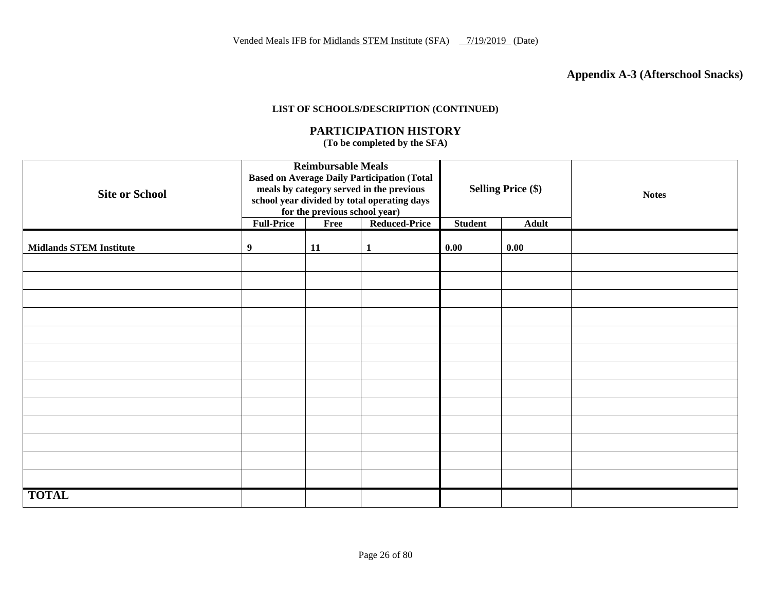## **Appendix A-3 (Afterschool Snacks)**

#### **LIST OF SCHOOLS/DESCRIPTION (CONTINUED)**

#### **PARTICIPATION HISTORY**

**(To be completed by the SFA)**

| <b>Site or School</b>          | <b>Reimbursable Meals</b><br><b>Based on Average Daily Participation (Total</b><br>meals by category served in the previous<br>school year divided by total operating days<br>for the previous school year)<br><b>Full-Price</b><br><b>Reduced-Price</b><br>Free |    |              | <b>Selling Price (\$)</b><br><b>Student</b><br><b>Adult</b> |      | <b>Notes</b> |
|--------------------------------|------------------------------------------------------------------------------------------------------------------------------------------------------------------------------------------------------------------------------------------------------------------|----|--------------|-------------------------------------------------------------|------|--------------|
|                                |                                                                                                                                                                                                                                                                  |    |              |                                                             |      |              |
| <b>Midlands STEM Institute</b> | 9                                                                                                                                                                                                                                                                | 11 | $\mathbf{1}$ | 0.00                                                        | 0.00 |              |
|                                |                                                                                                                                                                                                                                                                  |    |              |                                                             |      |              |
|                                |                                                                                                                                                                                                                                                                  |    |              |                                                             |      |              |
|                                |                                                                                                                                                                                                                                                                  |    |              |                                                             |      |              |
|                                |                                                                                                                                                                                                                                                                  |    |              |                                                             |      |              |
|                                |                                                                                                                                                                                                                                                                  |    |              |                                                             |      |              |
|                                |                                                                                                                                                                                                                                                                  |    |              |                                                             |      |              |
|                                |                                                                                                                                                                                                                                                                  |    |              |                                                             |      |              |
|                                |                                                                                                                                                                                                                                                                  |    |              |                                                             |      |              |
|                                |                                                                                                                                                                                                                                                                  |    |              |                                                             |      |              |
|                                |                                                                                                                                                                                                                                                                  |    |              |                                                             |      |              |
|                                |                                                                                                                                                                                                                                                                  |    |              |                                                             |      |              |
|                                |                                                                                                                                                                                                                                                                  |    |              |                                                             |      |              |
|                                |                                                                                                                                                                                                                                                                  |    |              |                                                             |      |              |
| <b>TOTAL</b>                   |                                                                                                                                                                                                                                                                  |    |              |                                                             |      |              |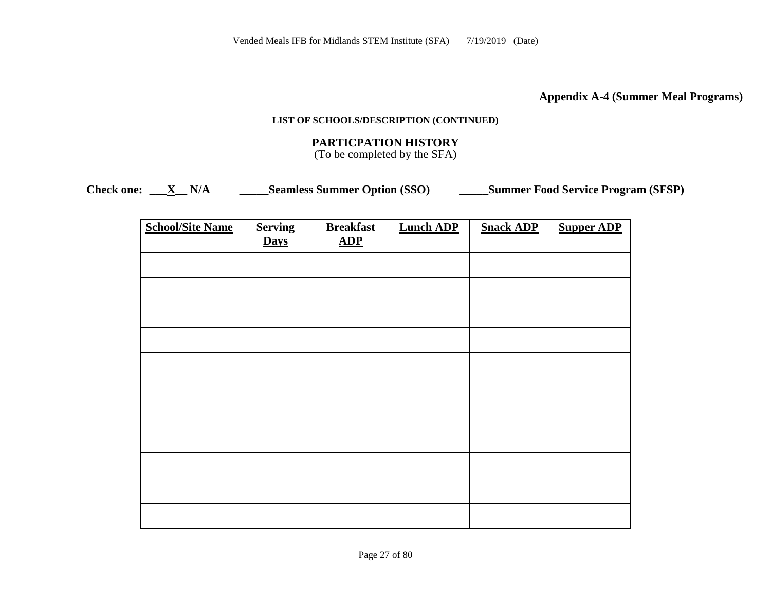**Appendix A-4 (Summer Meal Programs)**

#### **LIST OF SCHOOLS/DESCRIPTION (CONTINUED)**

## **PARTICPATION HISTORY**

(To be completed by the SFA)

**Check one: \_\_\_X\_\_ N/A \_\_\_\_\_Seamless Summer Option (SSO) \_\_\_\_\_Summer Food Service Program (SFSP)**

| <b>School/Site Name</b> | <b>Serving</b><br><b>Days</b> | <b>Breakfast</b><br>ADP | <b>Lunch ADP</b> | <b>Snack ADP</b> | <b>Supper ADP</b> |
|-------------------------|-------------------------------|-------------------------|------------------|------------------|-------------------|
|                         |                               |                         |                  |                  |                   |
|                         |                               |                         |                  |                  |                   |
|                         |                               |                         |                  |                  |                   |
|                         |                               |                         |                  |                  |                   |
|                         |                               |                         |                  |                  |                   |
|                         |                               |                         |                  |                  |                   |
|                         |                               |                         |                  |                  |                   |
|                         |                               |                         |                  |                  |                   |
|                         |                               |                         |                  |                  |                   |
|                         |                               |                         |                  |                  |                   |
|                         |                               |                         |                  |                  |                   |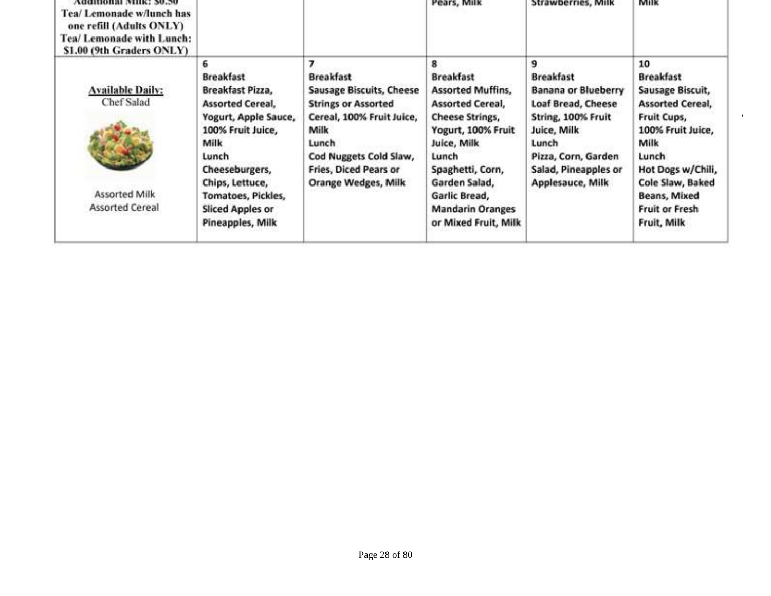| Аниноваг тик: эллэг<br>Tea/ Lemonade w/lunch has<br>one refill (Adults ONLY)<br>Tea/ Lemonade with Lunch:<br>\$1.00 (9th Graders ONLY) |                         |                                 | Pears, Milk              | Strawbernes, Milk          | <b>MIIK</b>             |
|----------------------------------------------------------------------------------------------------------------------------------------|-------------------------|---------------------------------|--------------------------|----------------------------|-------------------------|
|                                                                                                                                        |                         | 7                               | 8                        | 9                          | 10                      |
|                                                                                                                                        | <b>Breakfast</b>        | <b>Breakfast</b>                | <b>Breakfast</b>         | <b>Breakfast</b>           | <b>Breakfast</b>        |
| <b>Available Daily:</b>                                                                                                                | Breakfast Pizza,        | <b>Sausage Biscuits, Cheese</b> | <b>Assorted Muffins,</b> | <b>Banana or Blueberry</b> | Sausage Biscuit,        |
| Chef Salad                                                                                                                             | <b>Assorted Cereal,</b> | <b>Strings or Assorted</b>      | <b>Assorted Cereal,</b>  | Loaf Bread, Cheese         | <b>Assorted Cereal,</b> |
|                                                                                                                                        | Yogurt, Apple Sauce,    | Cereal, 100% Fruit Juice,       | <b>Cheese Strings,</b>   | String, 100% Fruit         | Fruit Cups,             |
|                                                                                                                                        | 100% Fruit Juice,       | Milk                            | Yogurt, 100% Fruit       | Juice, Milk                | 100% Fruit Juice,       |
|                                                                                                                                        | Milk                    | Lunch                           | Juice, Milk              | Lunch                      | Milk                    |
|                                                                                                                                        | Lunch                   | Cod Nuggets Cold Slaw,          | Lunch                    | Pizza, Corn, Garden        | Lunch                   |
|                                                                                                                                        | Cheeseburgers,          | <b>Fries, Diced Pears or</b>    | Spaghetti, Corn,         | Salad, Pineapples or       | Hot Dogs w/Chili,       |
|                                                                                                                                        | Chips, Lettuce,         | Orange Wedges, Milk             | Garden Salad,            | Applesauce, Milk           | Cole Slaw, Baked        |
| <b>Assorted Milk</b>                                                                                                                   | Tomatoes, Pickles,      |                                 | Garlic Bread,            |                            | Beans, Mixed            |
| <b>Assorted Cereal</b>                                                                                                                 | <b>Sliced Apples or</b> |                                 | <b>Mandarin Oranges</b>  |                            | <b>Fruit or Fresh</b>   |
|                                                                                                                                        | Pineapples, Milk        |                                 | or Mixed Fruit, Milk     |                            | Fruit, Milk             |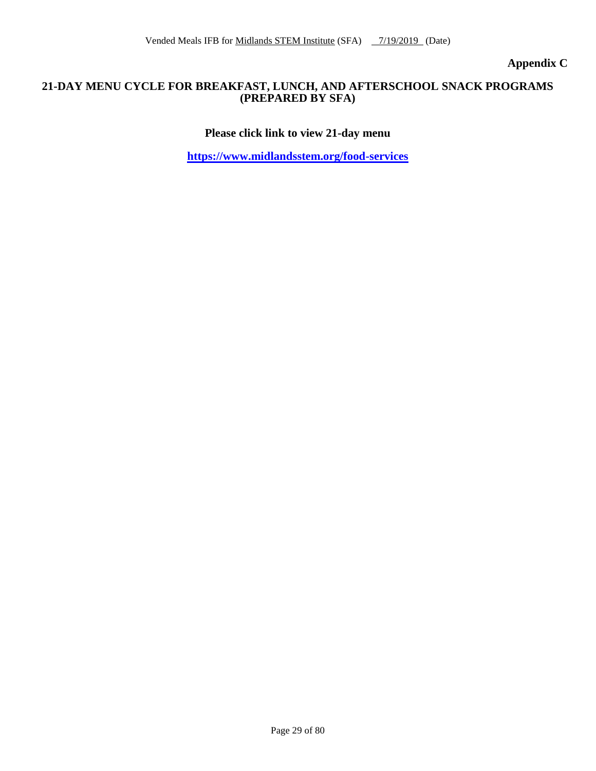**Appendix C**

#### **21-DAY MENU CYCLE FOR BREAKFAST, LUNCH, AND AFTERSCHOOL SNACK PROGRAMS (PREPARED BY SFA)**

**Please click link to view 21-day menu**

**<https://www.midlandsstem.org/food-services>**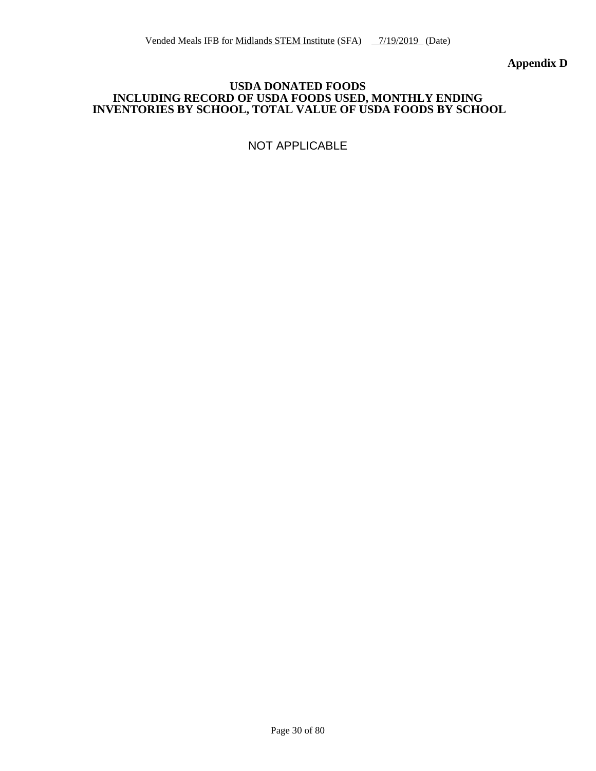**Appendix D**

#### **USDA DONATED FOODS INCLUDING RECORD OF USDA FOODS USED, MONTHLY ENDING INVENTORIES BY SCHOOL, TOTAL VALUE OF USDA FOODS BY SCHOOL**

NOT APPLICABLE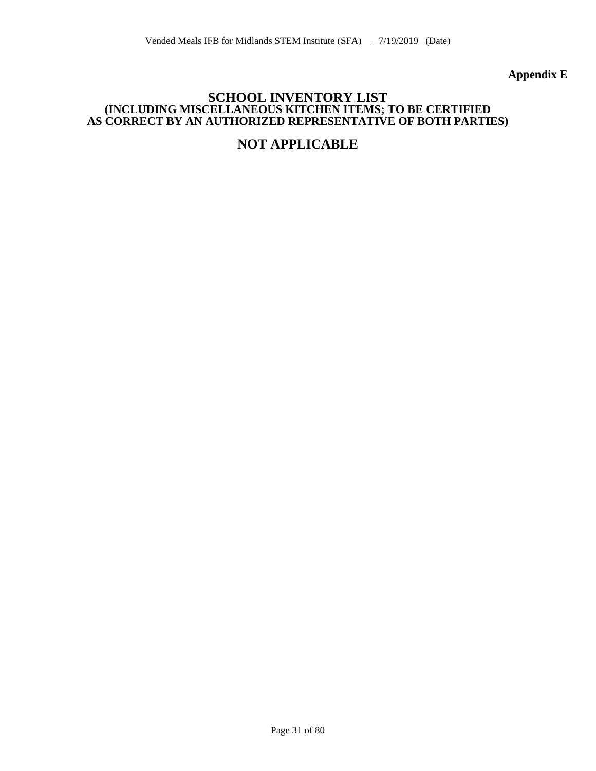**Appendix E**

## **SCHOOL INVENTORY LIST (INCLUDING MISCELLANEOUS KITCHEN ITEMS; TO BE CERTIFIED AS CORRECT BY AN AUTHORIZED REPRESENTATIVE OF BOTH PARTIES)**

## **NOT APPLICABLE**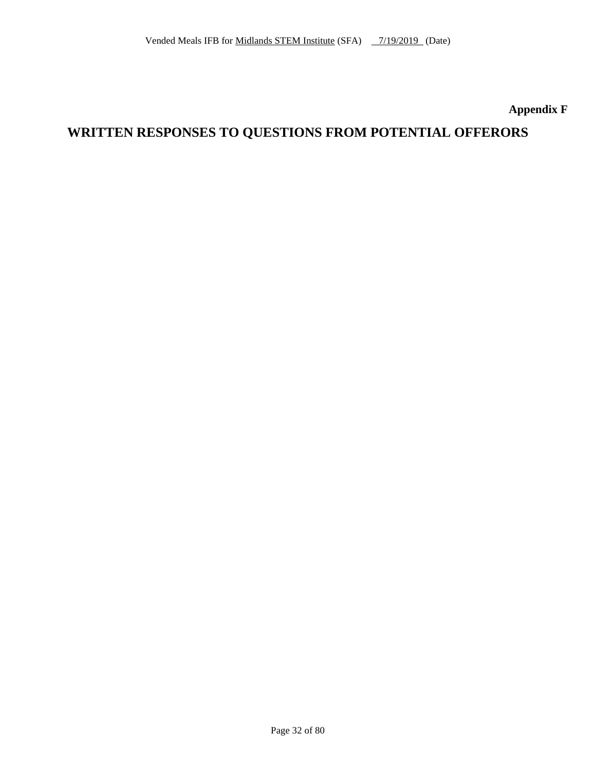## **Appendix F**

## **WRITTEN RESPONSES TO QUESTIONS FROM POTENTIAL OFFERORS**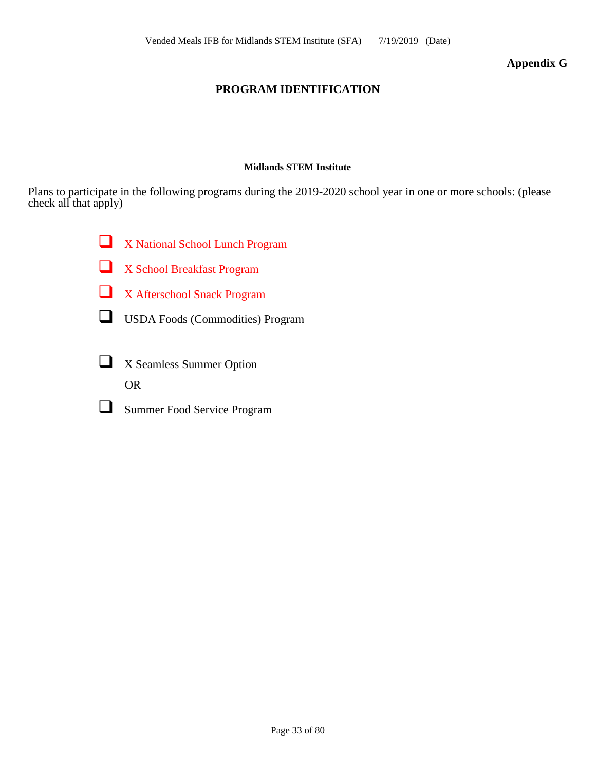## **Appendix G**

## **PROGRAM IDENTIFICATION**

#### **Midlands STEM Institute**

Plans to participate in the following programs during the 2019-2020 school year in one or more schools: (please check all that apply)

X National School Lunch Program

X School Breakfast Program

X Afterschool Snack Program

USDA Foods (Commodities) Program

- X Seamless Summer Option OR
- Summer Food Service Program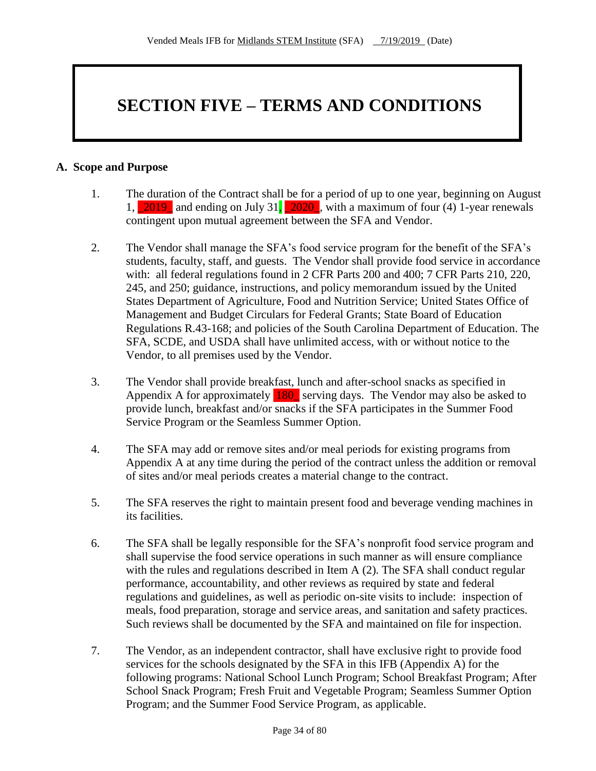# **SECTION FIVE – TERMS AND CONDITIONS**

#### **A. Scope and Purpose**

- 1. The duration of the Contract shall be for a period of up to one year, beginning on August 1,  $\boxed{2019}$  and ending on July 31,  $\boxed{2020}$ , with a maximum of four (4) 1-year renewals contingent upon mutual agreement between the SFA and Vendor.
- 2. The Vendor shall manage the SFA's food service program for the benefit of the SFA's students, faculty, staff, and guests. The Vendor shall provide food service in accordance with: all federal regulations found in 2 CFR Parts 200 and 400; 7 CFR Parts 210, 220, 245, and 250; guidance, instructions, and policy memorandum issued by the United States Department of Agriculture, Food and Nutrition Service; United States Office of Management and Budget Circulars for Federal Grants; State Board of Education Regulations R.43-168; and policies of the South Carolina Department of Education. The SFA, SCDE, and USDA shall have unlimited access, with or without notice to the Vendor, to all premises used by the Vendor.
- 3. The Vendor shall provide breakfast, lunch and after-school snacks as specified in Appendix A for approximately 180\_ serving days. The Vendor may also be asked to provide lunch, breakfast and/or snacks if the SFA participates in the Summer Food Service Program or the Seamless Summer Option.
- 4. The SFA may add or remove sites and/or meal periods for existing programs from Appendix A at any time during the period of the contract unless the addition or removal of sites and/or meal periods creates a material change to the contract.
- 5. The SFA reserves the right to maintain present food and beverage vending machines in its facilities.
- 6. The SFA shall be legally responsible for the SFA's nonprofit food service program and shall supervise the food service operations in such manner as will ensure compliance with the rules and regulations described in Item A (2). The SFA shall conduct regular performance, accountability, and other reviews as required by state and federal regulations and guidelines, as well as periodic on-site visits to include: inspection of meals, food preparation, storage and service areas, and sanitation and safety practices. Such reviews shall be documented by the SFA and maintained on file for inspection.
- 7. The Vendor, as an independent contractor, shall have exclusive right to provide food services for the schools designated by the SFA in this IFB (Appendix A) for the following programs: National School Lunch Program; School Breakfast Program; After School Snack Program; Fresh Fruit and Vegetable Program; Seamless Summer Option Program; and the Summer Food Service Program, as applicable.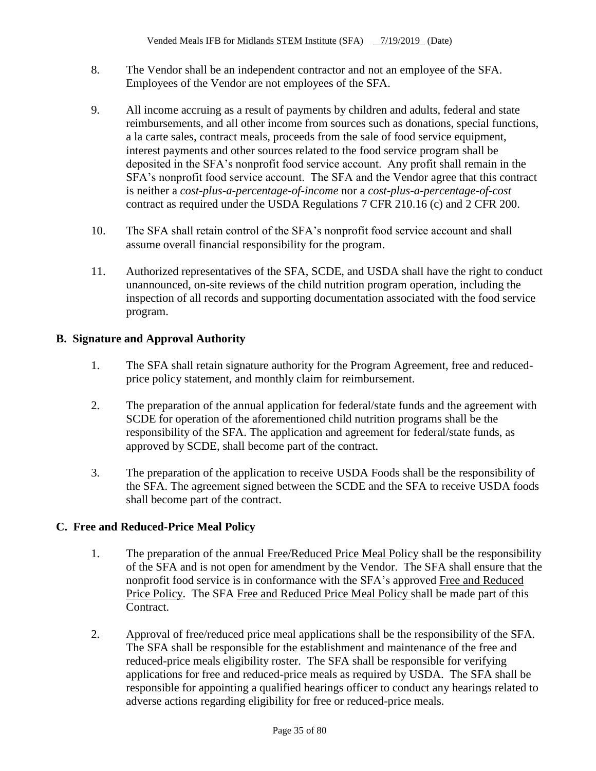- 8. The Vendor shall be an independent contractor and not an employee of the SFA. Employees of the Vendor are not employees of the SFA.
- 9. All income accruing as a result of payments by children and adults, federal and state reimbursements, and all other income from sources such as donations, special functions, a la carte sales, contract meals, proceeds from the sale of food service equipment, interest payments and other sources related to the food service program shall be deposited in the SFA's nonprofit food service account. Any profit shall remain in the SFA's nonprofit food service account. The SFA and the Vendor agree that this contract is neither a *cost-plus-a-percentage-of-income* nor a *cost-plus-a-percentage-of-cost*  contract as required under the USDA Regulations 7 CFR 210.16 (c) and 2 CFR 200.
- 10. The SFA shall retain control of the SFA's nonprofit food service account and shall assume overall financial responsibility for the program.
- 11. Authorized representatives of the SFA, SCDE, and USDA shall have the right to conduct unannounced, on-site reviews of the child nutrition program operation, including the inspection of all records and supporting documentation associated with the food service program.

## **B. Signature and Approval Authority**

- 1. The SFA shall retain signature authority for the Program Agreement, free and reducedprice policy statement, and monthly claim for reimbursement.
- 2. The preparation of the annual application for federal/state funds and the agreement with SCDE for operation of the aforementioned child nutrition programs shall be the responsibility of the SFA. The application and agreement for federal/state funds, as approved by SCDE, shall become part of the contract.
- 3. The preparation of the application to receive USDA Foods shall be the responsibility of the SFA. The agreement signed between the SCDE and the SFA to receive USDA foods shall become part of the contract.

## **C. Free and Reduced-Price Meal Policy**

- 1. The preparation of the annual Free/Reduced Price Meal Policy shall be the responsibility of the SFA and is not open for amendment by the Vendor. The SFA shall ensure that the nonprofit food service is in conformance with the SFA's approved Free and Reduced Price Policy. The SFA Free and Reduced Price Meal Policy shall be made part of this Contract.
- 2. Approval of free/reduced price meal applications shall be the responsibility of the SFA. The SFA shall be responsible for the establishment and maintenance of the free and reduced-price meals eligibility roster. The SFA shall be responsible for verifying applications for free and reduced-price meals as required by USDA. The SFA shall be responsible for appointing a qualified hearings officer to conduct any hearings related to adverse actions regarding eligibility for free or reduced-price meals.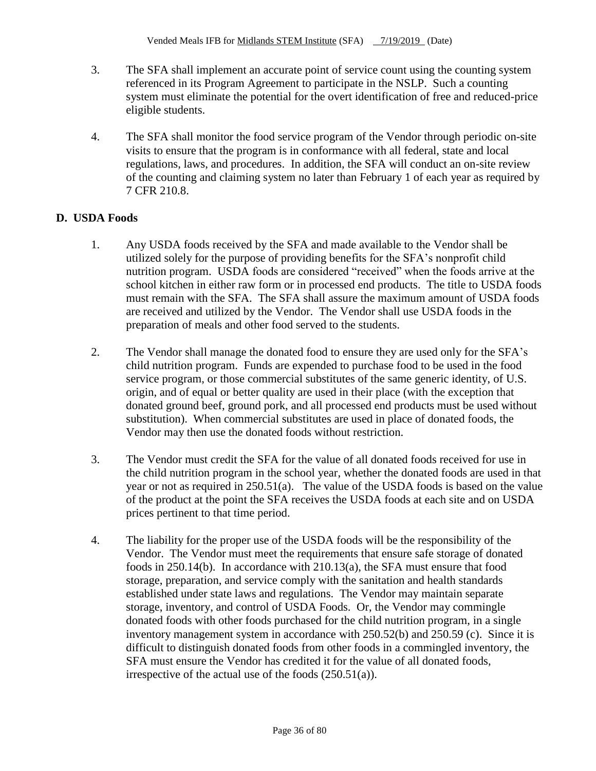- 3. The SFA shall implement an accurate point of service count using the counting system referenced in its Program Agreement to participate in the NSLP. Such a counting system must eliminate the potential for the overt identification of free and reduced-price eligible students.
- 4. The SFA shall monitor the food service program of the Vendor through periodic on-site visits to ensure that the program is in conformance with all federal, state and local regulations, laws, and procedures. In addition, the SFA will conduct an on-site review of the counting and claiming system no later than February 1 of each year as required by 7 CFR 210.8.

## **D. USDA Foods**

- 1. Any USDA foods received by the SFA and made available to the Vendor shall be utilized solely for the purpose of providing benefits for the SFA's nonprofit child nutrition program. USDA foods are considered "received" when the foods arrive at the school kitchen in either raw form or in processed end products. The title to USDA foods must remain with the SFA. The SFA shall assure the maximum amount of USDA foods are received and utilized by the Vendor. The Vendor shall use USDA foods in the preparation of meals and other food served to the students.
- 2. The Vendor shall manage the donated food to ensure they are used only for the SFA's child nutrition program. Funds are expended to purchase food to be used in the food service program, or those commercial substitutes of the same generic identity, of U.S. origin, and of equal or better quality are used in their place (with the exception that donated ground beef, ground pork, and all processed end products must be used without substitution). When commercial substitutes are used in place of donated foods, the Vendor may then use the donated foods without restriction.
- 3. The Vendor must credit the SFA for the value of all donated foods received for use in the child nutrition program in the school year, whether the donated foods are used in that year or not as required in 250.51(a). The value of the USDA foods is based on the value of the product at the point the SFA receives the USDA foods at each site and on USDA prices pertinent to that time period.
- 4. The liability for the proper use of the USDA foods will be the responsibility of the Vendor. The Vendor must meet the requirements that ensure safe storage of donated foods in 250.14(b). In accordance with 210.13(a), the SFA must ensure that food storage, preparation, and service comply with the sanitation and health standards established under state laws and regulations. The Vendor may maintain separate storage, inventory, and control of USDA Foods. Or, the Vendor may commingle donated foods with other foods purchased for the child nutrition program, in a single inventory management system in accordance with 250.52(b) and 250.59 (c). Since it is difficult to distinguish donated foods from other foods in a commingled inventory, the SFA must ensure the Vendor has credited it for the value of all donated foods, irrespective of the actual use of the foods  $(250.51(a))$ .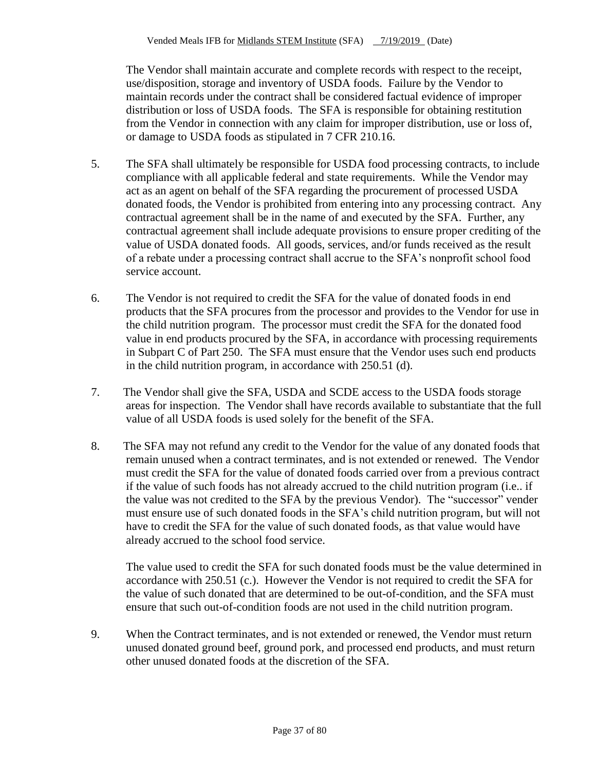The Vendor shall maintain accurate and complete records with respect to the receipt, use/disposition, storage and inventory of USDA foods. Failure by the Vendor to maintain records under the contract shall be considered factual evidence of improper distribution or loss of USDA foods. The SFA is responsible for obtaining restitution from the Vendor in connection with any claim for improper distribution, use or loss of, or damage to USDA foods as stipulated in 7 CFR 210.16.

- 5. The SFA shall ultimately be responsible for USDA food processing contracts, to include compliance with all applicable federal and state requirements. While the Vendor may act as an agent on behalf of the SFA regarding the procurement of processed USDA donated foods, the Vendor is prohibited from entering into any processing contract. Any contractual agreement shall be in the name of and executed by the SFA. Further, any contractual agreement shall include adequate provisions to ensure proper crediting of the value of USDA donated foods. All goods, services, and/or funds received as the result of a rebate under a processing contract shall accrue to the SFA's nonprofit school food service account.
- 6. The Vendor is not required to credit the SFA for the value of donated foods in end products that the SFA procures from the processor and provides to the Vendor for use in the child nutrition program. The processor must credit the SFA for the donated food value in end products procured by the SFA, in accordance with processing requirements in Subpart C of Part 250. The SFA must ensure that the Vendor uses such end products in the child nutrition program, in accordance with 250.51 (d).
- 7. The Vendor shall give the SFA, USDA and SCDE access to the USDA foods storage areas for inspection. The Vendor shall have records available to substantiate that the full value of all USDA foods is used solely for the benefit of the SFA.
- 8. The SFA may not refund any credit to the Vendor for the value of any donated foods that remain unused when a contract terminates, and is not extended or renewed. The Vendor must credit the SFA for the value of donated foods carried over from a previous contract if the value of such foods has not already accrued to the child nutrition program (i.e.. if the value was not credited to the SFA by the previous Vendor). The "successor" vender must ensure use of such donated foods in the SFA's child nutrition program, but will not have to credit the SFA for the value of such donated foods, as that value would have already accrued to the school food service.

The value used to credit the SFA for such donated foods must be the value determined in accordance with 250.51 (c.). However the Vendor is not required to credit the SFA for the value of such donated that are determined to be out-of-condition, and the SFA must ensure that such out-of-condition foods are not used in the child nutrition program.

9. When the Contract terminates, and is not extended or renewed, the Vendor must return unused donated ground beef, ground pork, and processed end products, and must return other unused donated foods at the discretion of the SFA.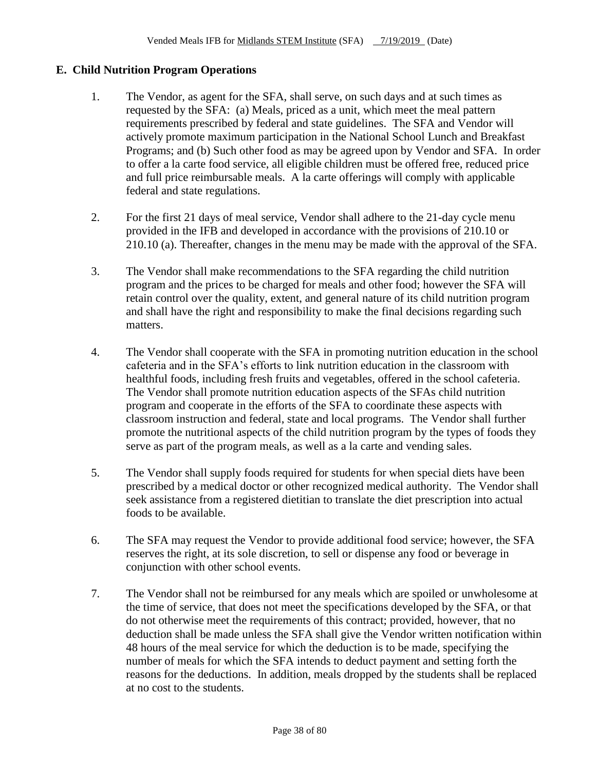## **E. Child Nutrition Program Operations**

- 1. The Vendor, as agent for the SFA, shall serve, on such days and at such times as requested by the SFA: (a) Meals, priced as a unit, which meet the meal pattern requirements prescribed by federal and state guidelines. The SFA and Vendor will actively promote maximum participation in the National School Lunch and Breakfast Programs; and (b) Such other food as may be agreed upon by Vendor and SFA. In order to offer a la carte food service, all eligible children must be offered free, reduced price and full price reimbursable meals. A la carte offerings will comply with applicable federal and state regulations.
- 2. For the first 21 days of meal service, Vendor shall adhere to the 21-day cycle menu provided in the IFB and developed in accordance with the provisions of 210.10 or 210.10 (a). Thereafter, changes in the menu may be made with the approval of the SFA.
- 3. The Vendor shall make recommendations to the SFA regarding the child nutrition program and the prices to be charged for meals and other food; however the SFA will retain control over the quality, extent, and general nature of its child nutrition program and shall have the right and responsibility to make the final decisions regarding such matters.
- 4. The Vendor shall cooperate with the SFA in promoting nutrition education in the school cafeteria and in the SFA's efforts to link nutrition education in the classroom with healthful foods, including fresh fruits and vegetables, offered in the school cafeteria. The Vendor shall promote nutrition education aspects of the SFAs child nutrition program and cooperate in the efforts of the SFA to coordinate these aspects with classroom instruction and federal, state and local programs. The Vendor shall further promote the nutritional aspects of the child nutrition program by the types of foods they serve as part of the program meals, as well as a la carte and vending sales.
- 5. The Vendor shall supply foods required for students for when special diets have been prescribed by a medical doctor or other recognized medical authority. The Vendor shall seek assistance from a registered dietitian to translate the diet prescription into actual foods to be available.
- 6. The SFA may request the Vendor to provide additional food service; however, the SFA reserves the right, at its sole discretion, to sell or dispense any food or beverage in conjunction with other school events.
- 7. The Vendor shall not be reimbursed for any meals which are spoiled or unwholesome at the time of service, that does not meet the specifications developed by the SFA, or that do not otherwise meet the requirements of this contract; provided, however, that no deduction shall be made unless the SFA shall give the Vendor written notification within 48 hours of the meal service for which the deduction is to be made, specifying the number of meals for which the SFA intends to deduct payment and setting forth the reasons for the deductions. In addition, meals dropped by the students shall be replaced at no cost to the students.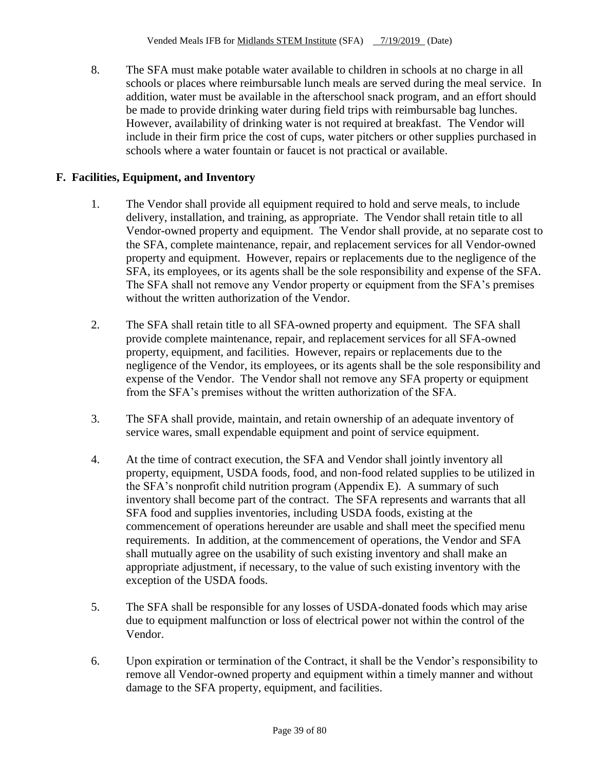8. The SFA must make potable water available to children in schools at no charge in all schools or places where reimbursable lunch meals are served during the meal service. In addition, water must be available in the afterschool snack program, and an effort should be made to provide drinking water during field trips with reimbursable bag lunches. However, availability of drinking water is not required at breakfast. The Vendor will include in their firm price the cost of cups, water pitchers or other supplies purchased in schools where a water fountain or faucet is not practical or available.

# **F. Facilities, Equipment, and Inventory**

- 1. The Vendor shall provide all equipment required to hold and serve meals, to include delivery, installation, and training, as appropriate. The Vendor shall retain title to all Vendor-owned property and equipment. The Vendor shall provide, at no separate cost to the SFA, complete maintenance, repair, and replacement services for all Vendor-owned property and equipment. However, repairs or replacements due to the negligence of the SFA, its employees, or its agents shall be the sole responsibility and expense of the SFA. The SFA shall not remove any Vendor property or equipment from the SFA's premises without the written authorization of the Vendor.
- 2. The SFA shall retain title to all SFA-owned property and equipment. The SFA shall provide complete maintenance, repair, and replacement services for all SFA-owned property, equipment, and facilities. However, repairs or replacements due to the negligence of the Vendor, its employees, or its agents shall be the sole responsibility and expense of the Vendor. The Vendor shall not remove any SFA property or equipment from the SFA's premises without the written authorization of the SFA.
- 3. The SFA shall provide, maintain, and retain ownership of an adequate inventory of service wares, small expendable equipment and point of service equipment.
- 4. At the time of contract execution, the SFA and Vendor shall jointly inventory all property, equipment, USDA foods, food, and non-food related supplies to be utilized in the SFA's nonprofit child nutrition program (Appendix E). A summary of such inventory shall become part of the contract. The SFA represents and warrants that all SFA food and supplies inventories, including USDA foods, existing at the commencement of operations hereunder are usable and shall meet the specified menu requirements. In addition, at the commencement of operations, the Vendor and SFA shall mutually agree on the usability of such existing inventory and shall make an appropriate adjustment, if necessary, to the value of such existing inventory with the exception of the USDA foods.
- 5. The SFA shall be responsible for any losses of USDA-donated foods which may arise due to equipment malfunction or loss of electrical power not within the control of the Vendor.
- 6. Upon expiration or termination of the Contract, it shall be the Vendor's responsibility to remove all Vendor-owned property and equipment within a timely manner and without damage to the SFA property, equipment, and facilities.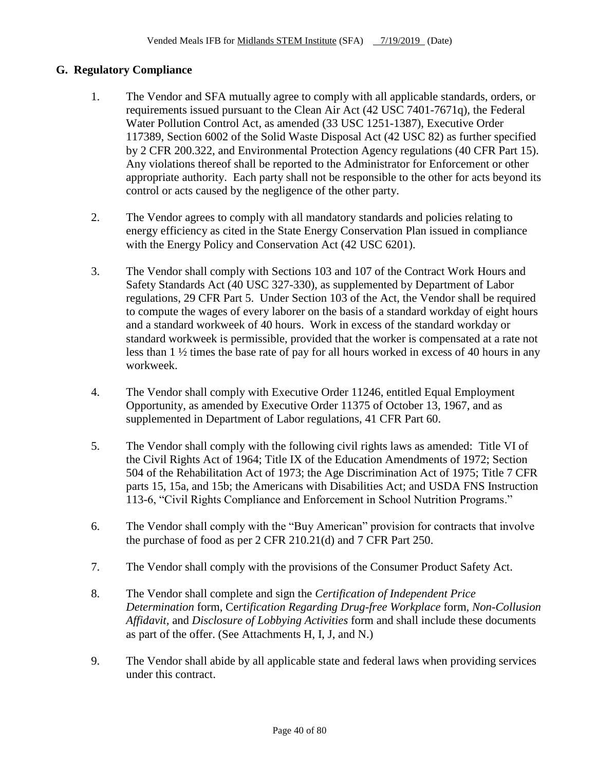# **G. Regulatory Compliance**

- 1. The Vendor and SFA mutually agree to comply with all applicable standards, orders, or requirements issued pursuant to the Clean Air Act (42 USC 7401-7671q), the Federal Water Pollution Control Act, as amended (33 USC 1251-1387), Executive Order 117389, Section 6002 of the Solid Waste Disposal Act (42 USC 82) as further specified by 2 CFR 200.322, and Environmental Protection Agency regulations (40 CFR Part 15). Any violations thereof shall be reported to the Administrator for Enforcement or other appropriate authority. Each party shall not be responsible to the other for acts beyond its control or acts caused by the negligence of the other party.
- 2. The Vendor agrees to comply with all mandatory standards and policies relating to energy efficiency as cited in the State Energy Conservation Plan issued in compliance with the Energy Policy and Conservation Act (42 USC 6201).
- 3. The Vendor shall comply with Sections 103 and 107 of the Contract Work Hours and Safety Standards Act (40 USC 327-330), as supplemented by Department of Labor regulations, 29 CFR Part 5. Under Section 103 of the Act, the Vendor shall be required to compute the wages of every laborer on the basis of a standard workday of eight hours and a standard workweek of 40 hours. Work in excess of the standard workday or standard workweek is permissible, provided that the worker is compensated at a rate not less than 1 ½ times the base rate of pay for all hours worked in excess of 40 hours in any workweek.
- 4. The Vendor shall comply with Executive Order 11246, entitled Equal Employment Opportunity, as amended by Executive Order 11375 of October 13, 1967, and as supplemented in Department of Labor regulations, 41 CFR Part 60.
- 5. The Vendor shall comply with the following civil rights laws as amended: Title VI of the Civil Rights Act of 1964; Title IX of the Education Amendments of 1972; Section 504 of the Rehabilitation Act of 1973; the Age Discrimination Act of 1975; Title 7 CFR parts 15, 15a, and 15b; the Americans with Disabilities Act; and USDA FNS Instruction 113-6, "Civil Rights Compliance and Enforcement in School Nutrition Programs."
- 6. The Vendor shall comply with the "Buy American" provision for contracts that involve the purchase of food as per 2 CFR 210.21(d) and 7 CFR Part 250.
- 7. The Vendor shall comply with the provisions of the Consumer Product Safety Act.
- 8. The Vendor shall complete and sign the *Certification of Independent Price Determination* form, Ce*rtification Regarding Drug-free Workplace* form*, Non-Collusion Affidavit,* and *Disclosure of Lobbying Activities* form and shall include these documents as part of the offer. (See Attachments H, I, J, and N.)
- 9. The Vendor shall abide by all applicable state and federal laws when providing services under this contract.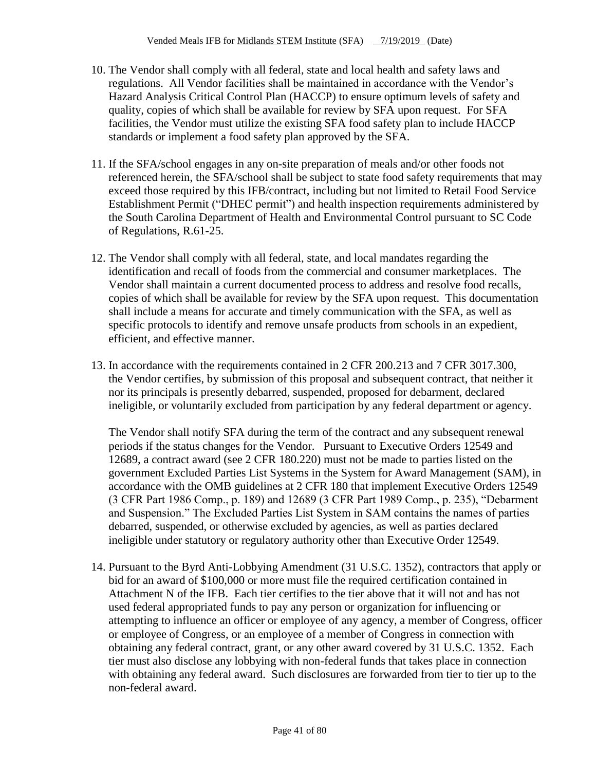- 10. The Vendor shall comply with all federal, state and local health and safety laws and regulations. All Vendor facilities shall be maintained in accordance with the Vendor's Hazard Analysis Critical Control Plan (HACCP) to ensure optimum levels of safety and quality, copies of which shall be available for review by SFA upon request. For SFA facilities, the Vendor must utilize the existing SFA food safety plan to include HACCP standards or implement a food safety plan approved by the SFA.
- 11. If the SFA/school engages in any on-site preparation of meals and/or other foods not referenced herein, the SFA/school shall be subject to state food safety requirements that may exceed those required by this IFB/contract, including but not limited to Retail Food Service Establishment Permit ("DHEC permit") and health inspection requirements administered by the South Carolina Department of Health and Environmental Control pursuant to SC Code of Regulations, R.61-25.
- 12. The Vendor shall comply with all federal, state, and local mandates regarding the identification and recall of foods from the commercial and consumer marketplaces. The Vendor shall maintain a current documented process to address and resolve food recalls, copies of which shall be available for review by the SFA upon request. This documentation shall include a means for accurate and timely communication with the SFA, as well as specific protocols to identify and remove unsafe products from schools in an expedient, efficient, and effective manner.
- 13. In accordance with the requirements contained in 2 CFR 200.213 and 7 CFR 3017.300, the Vendor certifies, by submission of this proposal and subsequent contract, that neither it nor its principals is presently debarred, suspended, proposed for debarment, declared ineligible, or voluntarily excluded from participation by any federal department or agency.

The Vendor shall notify SFA during the term of the contract and any subsequent renewal periods if the status changes for the Vendor. Pursuant to Executive Orders 12549 and 12689, a contract award (see 2 CFR 180.220) must not be made to parties listed on the government Excluded Parties List Systems in the System for Award Management (SAM), in accordance with the OMB guidelines at 2 CFR 180 that implement Executive Orders 12549 (3 CFR Part 1986 Comp., p. 189) and 12689 (3 CFR Part 1989 Comp., p. 235), "Debarment and Suspension." The Excluded Parties List System in SAM contains the names of parties debarred, suspended, or otherwise excluded by agencies, as well as parties declared ineligible under statutory or regulatory authority other than Executive Order 12549.

14. Pursuant to the Byrd Anti-Lobbying Amendment (31 U.S.C. 1352), contractors that apply or bid for an award of \$100,000 or more must file the required certification contained in Attachment N of the IFB. Each tier certifies to the tier above that it will not and has not used federal appropriated funds to pay any person or organization for influencing or attempting to influence an officer or employee of any agency, a member of Congress, officer or employee of Congress, or an employee of a member of Congress in connection with obtaining any federal contract, grant, or any other award covered by 31 U.S.C. 1352. Each tier must also disclose any lobbying with non-federal funds that takes place in connection with obtaining any federal award. Such disclosures are forwarded from tier to tier up to the non-federal award.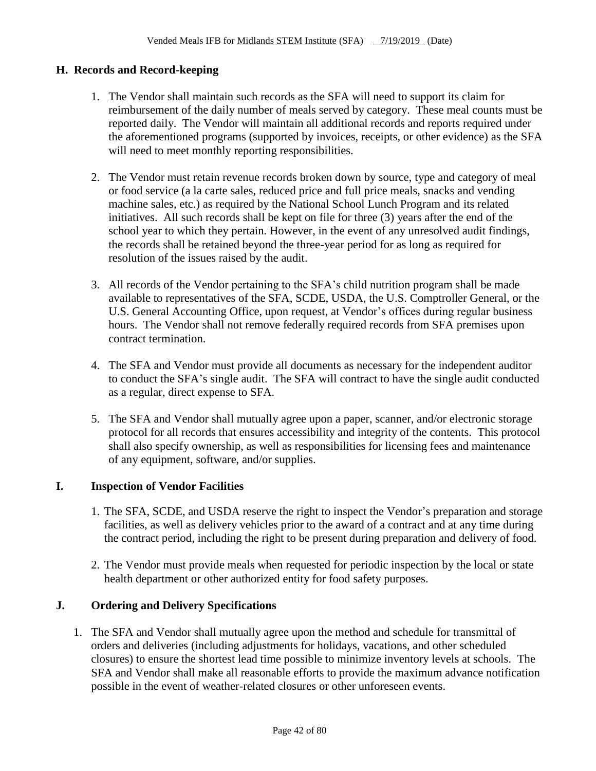## **H. Records and Record-keeping**

- 1. The Vendor shall maintain such records as the SFA will need to support its claim for reimbursement of the daily number of meals served by category. These meal counts must be reported daily. The Vendor will maintain all additional records and reports required under the aforementioned programs (supported by invoices, receipts, or other evidence) as the SFA will need to meet monthly reporting responsibilities.
- 2. The Vendor must retain revenue records broken down by source, type and category of meal or food service (a la carte sales, reduced price and full price meals, snacks and vending machine sales, etc.) as required by the National School Lunch Program and its related initiatives. All such records shall be kept on file for three (3) years after the end of the school year to which they pertain. However, in the event of any unresolved audit findings, the records shall be retained beyond the three-year period for as long as required for resolution of the issues raised by the audit.
- 3. All records of the Vendor pertaining to the SFA's child nutrition program shall be made available to representatives of the SFA, SCDE, USDA, the U.S. Comptroller General, or the U.S. General Accounting Office, upon request, at Vendor's offices during regular business hours. The Vendor shall not remove federally required records from SFA premises upon contract termination.
- 4. The SFA and Vendor must provide all documents as necessary for the independent auditor to conduct the SFA's single audit. The SFA will contract to have the single audit conducted as a regular, direct expense to SFA.
- 5. The SFA and Vendor shall mutually agree upon a paper, scanner, and/or electronic storage protocol for all records that ensures accessibility and integrity of the contents. This protocol shall also specify ownership, as well as responsibilities for licensing fees and maintenance of any equipment, software, and/or supplies.

## **I. Inspection of Vendor Facilities**

- 1. The SFA, SCDE, and USDA reserve the right to inspect the Vendor's preparation and storage facilities, as well as delivery vehicles prior to the award of a contract and at any time during the contract period, including the right to be present during preparation and delivery of food.
- 2. The Vendor must provide meals when requested for periodic inspection by the local or state health department or other authorized entity for food safety purposes.

## **J. Ordering and Delivery Specifications**

1. The SFA and Vendor shall mutually agree upon the method and schedule for transmittal of orders and deliveries (including adjustments for holidays, vacations, and other scheduled closures) to ensure the shortest lead time possible to minimize inventory levels at schools. The SFA and Vendor shall make all reasonable efforts to provide the maximum advance notification possible in the event of weather-related closures or other unforeseen events.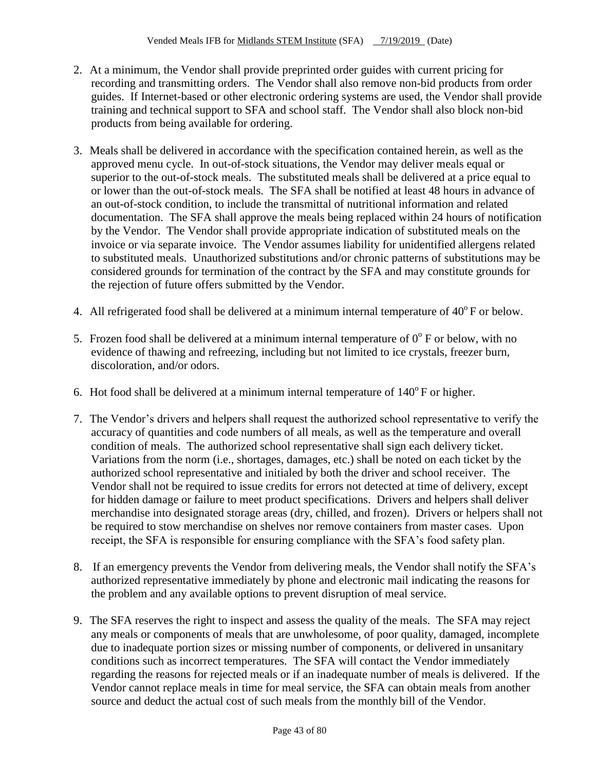- 2. At a minimum, the Vendor shall provide preprinted order guides with current pricing for recording and transmitting orders. The Vendor shall also remove non-bid products from order guides. If Internet-based or other electronic ordering systems are used, the Vendor shall provide training and technical support to SFA and school staff. The Vendor shall also block non-bid products from being available for ordering.
- 3. Meals shall be delivered in accordance with the specification contained herein, as well as the approved menu cycle. In out-of-stock situations, the Vendor may deliver meals equal or superior to the out-of-stock meals. The substituted meals shall be delivered at a price equal to or lower than the out-of-stock meals. The SFA shall be notified at least 48 hours in advance of an out-of-stock condition, to include the transmittal of nutritional information and related documentation. The SFA shall approve the meals being replaced within 24 hours of notification by the Vendor. The Vendor shall provide appropriate indication of substituted meals on the invoice or via separate invoice. The Vendor assumes liability for unidentified allergens related to substituted meals. Unauthorized substitutions and/or chronic patterns of substitutions may be considered grounds for termination of the contract by the SFA and may constitute grounds for the rejection of future offers submitted by the Vendor.
- 4. All refrigerated food shall be delivered at a minimum internal temperature of  $40^{\circ}$  F or below.
- 5. Frozen food shall be delivered at a minimum internal temperature of  $0^{\circ}$  F or below, with no evidence of thawing and refreezing, including but not limited to ice crystals, freezer burn, discoloration, and/or odors.
- 6. Hot food shall be delivered at a minimum internal temperature of  $140^{\circ}$  F or higher.
- 7. The Vendor's drivers and helpers shall request the authorized school representative to verify the accuracy of quantities and code numbers of all meals, as well as the temperature and overall condition of meals. The authorized school representative shall sign each delivery ticket. Variations from the norm (i.e., shortages, damages, etc.) shall be noted on each ticket by the authorized school representative and initialed by both the driver and school receiver. The Vendor shall not be required to issue credits for errors not detected at time of delivery, except for hidden damage or failure to meet product specifications. Drivers and helpers shall deliver merchandise into designated storage areas (dry, chilled, and frozen). Drivers or helpers shall not be required to stow merchandise on shelves nor remove containers from master cases. Upon receipt, the SFA is responsible for ensuring compliance with the SFA's food safety plan.
- 8. If an emergency prevents the Vendor from delivering meals, the Vendor shall notify the SFA's authorized representative immediately by phone and electronic mail indicating the reasons for the problem and any available options to prevent disruption of meal service.
- 9. The SFA reserves the right to inspect and assess the quality of the meals. The SFA may reject any meals or components of meals that are unwholesome, of poor quality, damaged, incomplete due to inadequate portion sizes or missing number of components, or delivered in unsanitary conditions such as incorrect temperatures. The SFA will contact the Vendor immediately regarding the reasons for rejected meals or if an inadequate number of meals is delivered. If the Vendor cannot replace meals in time for meal service, the SFA can obtain meals from another source and deduct the actual cost of such meals from the monthly bill of the Vendor.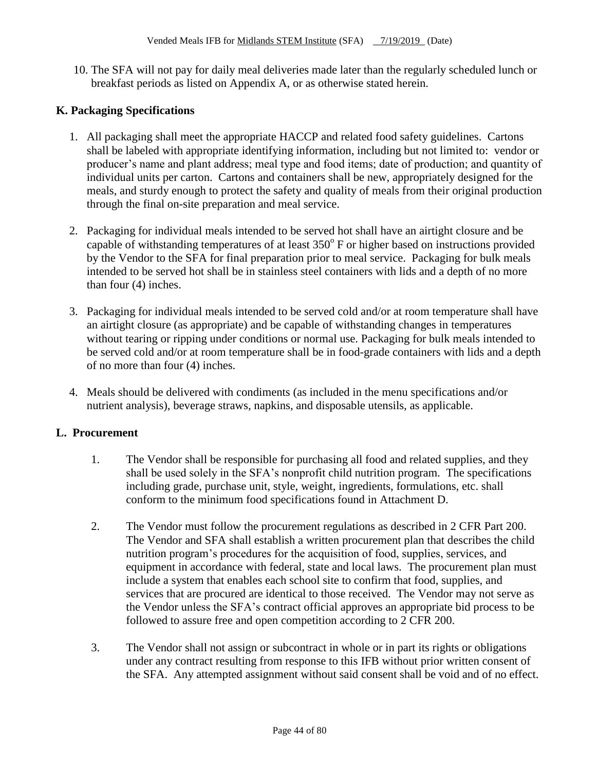10. The SFA will not pay for daily meal deliveries made later than the regularly scheduled lunch or breakfast periods as listed on Appendix A, or as otherwise stated herein.

# **K. Packaging Specifications**

- 1. All packaging shall meet the appropriate HACCP and related food safety guidelines. Cartons shall be labeled with appropriate identifying information, including but not limited to: vendor or producer's name and plant address; meal type and food items; date of production; and quantity of individual units per carton. Cartons and containers shall be new, appropriately designed for the meals, and sturdy enough to protect the safety and quality of meals from their original production through the final on-site preparation and meal service.
- 2. Packaging for individual meals intended to be served hot shall have an airtight closure and be capable of withstanding temperatures of at least  $350^{\circ}$  F or higher based on instructions provided by the Vendor to the SFA for final preparation prior to meal service. Packaging for bulk meals intended to be served hot shall be in stainless steel containers with lids and a depth of no more than four (4) inches.
- 3. Packaging for individual meals intended to be served cold and/or at room temperature shall have an airtight closure (as appropriate) and be capable of withstanding changes in temperatures without tearing or ripping under conditions or normal use. Packaging for bulk meals intended to be served cold and/or at room temperature shall be in food-grade containers with lids and a depth of no more than four (4) inches.
- 4. Meals should be delivered with condiments (as included in the menu specifications and/or nutrient analysis), beverage straws, napkins, and disposable utensils, as applicable.

## **L. Procurement**

- 1. The Vendor shall be responsible for purchasing all food and related supplies, and they shall be used solely in the SFA's nonprofit child nutrition program. The specifications including grade, purchase unit, style, weight, ingredients, formulations, etc. shall conform to the minimum food specifications found in Attachment D.
- 2. The Vendor must follow the procurement regulations as described in 2 CFR Part 200. The Vendor and SFA shall establish a written procurement plan that describes the child nutrition program's procedures for the acquisition of food, supplies, services, and equipment in accordance with federal, state and local laws. The procurement plan must include a system that enables each school site to confirm that food, supplies, and services that are procured are identical to those received. The Vendor may not serve as the Vendor unless the SFA's contract official approves an appropriate bid process to be followed to assure free and open competition according to 2 CFR 200.
- 3. The Vendor shall not assign or subcontract in whole or in part its rights or obligations under any contract resulting from response to this IFB without prior written consent of the SFA. Any attempted assignment without said consent shall be void and of no effect.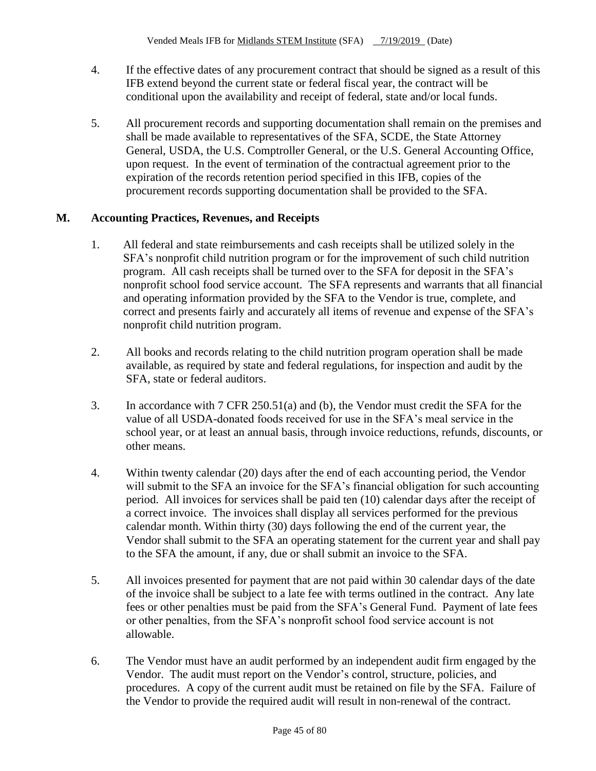- 4. If the effective dates of any procurement contract that should be signed as a result of this IFB extend beyond the current state or federal fiscal year, the contract will be conditional upon the availability and receipt of federal, state and/or local funds.
- 5. All procurement records and supporting documentation shall remain on the premises and shall be made available to representatives of the SFA, SCDE, the State Attorney General, USDA, the U.S. Comptroller General, or the U.S. General Accounting Office, upon request. In the event of termination of the contractual agreement prior to the expiration of the records retention period specified in this IFB, copies of the procurement records supporting documentation shall be provided to the SFA.

## **M. Accounting Practices, Revenues, and Receipts**

- 1. All federal and state reimbursements and cash receipts shall be utilized solely in the SFA's nonprofit child nutrition program or for the improvement of such child nutrition program. All cash receipts shall be turned over to the SFA for deposit in the SFA's nonprofit school food service account. The SFA represents and warrants that all financial and operating information provided by the SFA to the Vendor is true, complete, and correct and presents fairly and accurately all items of revenue and expense of the SFA's nonprofit child nutrition program.
- 2. All books and records relating to the child nutrition program operation shall be made available, as required by state and federal regulations, for inspection and audit by the SFA, state or federal auditors.
- 3. In accordance with 7 CFR 250.51(a) and (b), the Vendor must credit the SFA for the value of all USDA-donated foods received for use in the SFA's meal service in the school year, or at least an annual basis, through invoice reductions, refunds, discounts, or other means.
- 4. Within twenty calendar (20) days after the end of each accounting period, the Vendor will submit to the SFA an invoice for the SFA's financial obligation for such accounting period. All invoices for services shall be paid ten (10) calendar days after the receipt of a correct invoice. The invoices shall display all services performed for the previous calendar month. Within thirty (30) days following the end of the current year, the Vendor shall submit to the SFA an operating statement for the current year and shall pay to the SFA the amount, if any, due or shall submit an invoice to the SFA.
- 5. All invoices presented for payment that are not paid within 30 calendar days of the date of the invoice shall be subject to a late fee with terms outlined in the contract. Any late fees or other penalties must be paid from the SFA's General Fund. Payment of late fees or other penalties, from the SFA's nonprofit school food service account is not allowable.
- 6. The Vendor must have an audit performed by an independent audit firm engaged by the Vendor. The audit must report on the Vendor's control, structure, policies, and procedures. A copy of the current audit must be retained on file by the SFA. Failure of the Vendor to provide the required audit will result in non-renewal of the contract.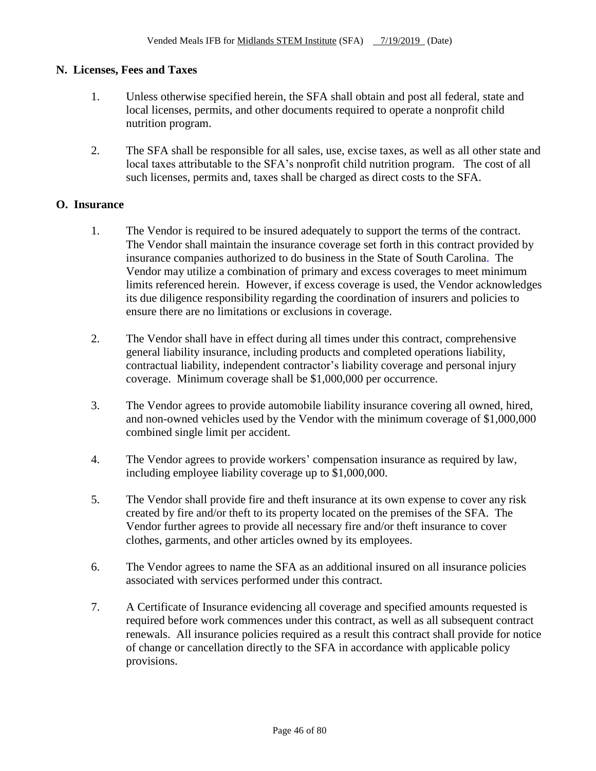## **N. Licenses, Fees and Taxes**

- 1. Unless otherwise specified herein, the SFA shall obtain and post all federal, state and local licenses, permits, and other documents required to operate a nonprofit child nutrition program.
- 2. The SFA shall be responsible for all sales, use, excise taxes, as well as all other state and local taxes attributable to the SFA's nonprofit child nutrition program. The cost of all such licenses, permits and, taxes shall be charged as direct costs to the SFA.

## **O. Insurance**

- 1. The Vendor is required to be insured adequately to support the terms of the contract. The Vendor shall maintain the insurance coverage set forth in this contract provided by insurance companies authorized to do business in the State of South Carolina. The Vendor may utilize a combination of primary and excess coverages to meet minimum limits referenced herein. However, if excess coverage is used, the Vendor acknowledges its due diligence responsibility regarding the coordination of insurers and policies to ensure there are no limitations or exclusions in coverage.
- 2. The Vendor shall have in effect during all times under this contract, comprehensive general liability insurance, including products and completed operations liability, contractual liability, independent contractor's liability coverage and personal injury coverage. Minimum coverage shall be \$1,000,000 per occurrence.
- 3. The Vendor agrees to provide automobile liability insurance covering all owned, hired, and non-owned vehicles used by the Vendor with the minimum coverage of \$1,000,000 combined single limit per accident.
- 4. The Vendor agrees to provide workers' compensation insurance as required by law, including employee liability coverage up to \$1,000,000.
- 5. The Vendor shall provide fire and theft insurance at its own expense to cover any risk created by fire and/or theft to its property located on the premises of the SFA. The Vendor further agrees to provide all necessary fire and/or theft insurance to cover clothes, garments, and other articles owned by its employees.
- 6. The Vendor agrees to name the SFA as an additional insured on all insurance policies associated with services performed under this contract.
- 7. A Certificate of Insurance evidencing all coverage and specified amounts requested is required before work commences under this contract, as well as all subsequent contract renewals. All insurance policies required as a result this contract shall provide for notice of change or cancellation directly to the SFA in accordance with applicable policy provisions.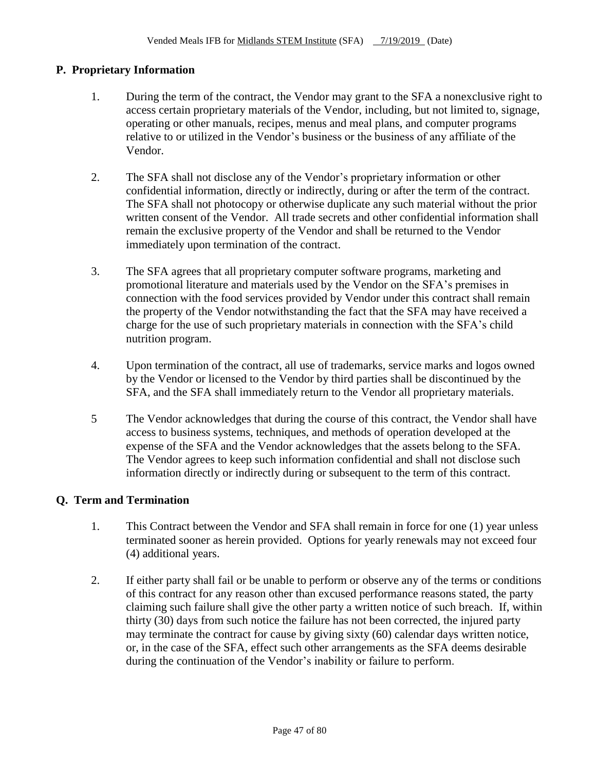## **P. Proprietary Information**

- 1. During the term of the contract, the Vendor may grant to the SFA a nonexclusive right to access certain proprietary materials of the Vendor, including, but not limited to, signage, operating or other manuals, recipes, menus and meal plans, and computer programs relative to or utilized in the Vendor's business or the business of any affiliate of the Vendor.
- 2. The SFA shall not disclose any of the Vendor's proprietary information or other confidential information, directly or indirectly, during or after the term of the contract. The SFA shall not photocopy or otherwise duplicate any such material without the prior written consent of the Vendor. All trade secrets and other confidential information shall remain the exclusive property of the Vendor and shall be returned to the Vendor immediately upon termination of the contract.
- 3. The SFA agrees that all proprietary computer software programs, marketing and promotional literature and materials used by the Vendor on the SFA's premises in connection with the food services provided by Vendor under this contract shall remain the property of the Vendor notwithstanding the fact that the SFA may have received a charge for the use of such proprietary materials in connection with the SFA's child nutrition program.
- 4. Upon termination of the contract, all use of trademarks, service marks and logos owned by the Vendor or licensed to the Vendor by third parties shall be discontinued by the SFA, and the SFA shall immediately return to the Vendor all proprietary materials.
- 5 The Vendor acknowledges that during the course of this contract, the Vendor shall have access to business systems, techniques, and methods of operation developed at the expense of the SFA and the Vendor acknowledges that the assets belong to the SFA. The Vendor agrees to keep such information confidential and shall not disclose such information directly or indirectly during or subsequent to the term of this contract.

## **Q. Term and Termination**

- 1. This Contract between the Vendor and SFA shall remain in force for one (1) year unless terminated sooner as herein provided. Options for yearly renewals may not exceed four (4) additional years.
- 2. If either party shall fail or be unable to perform or observe any of the terms or conditions of this contract for any reason other than excused performance reasons stated, the party claiming such failure shall give the other party a written notice of such breach. If, within thirty (30) days from such notice the failure has not been corrected, the injured party may terminate the contract for cause by giving sixty (60) calendar days written notice, or, in the case of the SFA, effect such other arrangements as the SFA deems desirable during the continuation of the Vendor's inability or failure to perform.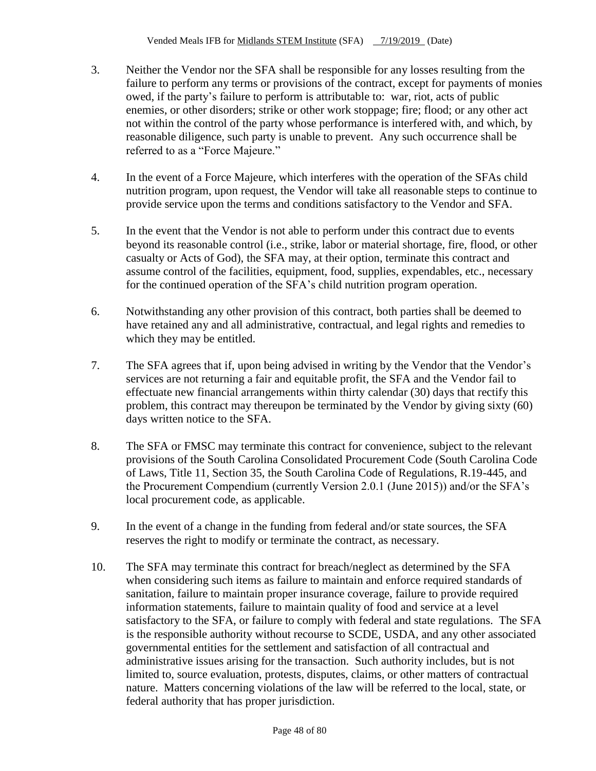- 3. Neither the Vendor nor the SFA shall be responsible for any losses resulting from the failure to perform any terms or provisions of the contract, except for payments of monies owed, if the party's failure to perform is attributable to: war, riot, acts of public enemies, or other disorders; strike or other work stoppage; fire; flood; or any other act not within the control of the party whose performance is interfered with, and which, by reasonable diligence, such party is unable to prevent. Any such occurrence shall be referred to as a "Force Majeure."
- 4. In the event of a Force Majeure, which interferes with the operation of the SFAs child nutrition program, upon request, the Vendor will take all reasonable steps to continue to provide service upon the terms and conditions satisfactory to the Vendor and SFA.
- 5. In the event that the Vendor is not able to perform under this contract due to events beyond its reasonable control (i.e., strike, labor or material shortage, fire, flood, or other casualty or Acts of God), the SFA may, at their option, terminate this contract and assume control of the facilities, equipment, food, supplies, expendables, etc., necessary for the continued operation of the SFA's child nutrition program operation.
- 6. Notwithstanding any other provision of this contract, both parties shall be deemed to have retained any and all administrative, contractual, and legal rights and remedies to which they may be entitled.
- 7. The SFA agrees that if, upon being advised in writing by the Vendor that the Vendor's services are not returning a fair and equitable profit, the SFA and the Vendor fail to effectuate new financial arrangements within thirty calendar (30) days that rectify this problem, this contract may thereupon be terminated by the Vendor by giving sixty (60) days written notice to the SFA.
- 8. The SFA or FMSC may terminate this contract for convenience, subject to the relevant provisions of the South Carolina Consolidated Procurement Code (South Carolina Code of Laws, Title 11, Section 35, the South Carolina Code of Regulations, R.19-445, and the Procurement Compendium (currently Version 2.0.1 (June 2015)) and/or the SFA's local procurement code, as applicable.
- 9. In the event of a change in the funding from federal and/or state sources, the SFA reserves the right to modify or terminate the contract, as necessary.
- 10. The SFA may terminate this contract for breach/neglect as determined by the SFA when considering such items as failure to maintain and enforce required standards of sanitation, failure to maintain proper insurance coverage, failure to provide required information statements, failure to maintain quality of food and service at a level satisfactory to the SFA, or failure to comply with federal and state regulations. The SFA is the responsible authority without recourse to SCDE, USDA, and any other associated governmental entities for the settlement and satisfaction of all contractual and administrative issues arising for the transaction. Such authority includes, but is not limited to, source evaluation, protests, disputes, claims, or other matters of contractual nature. Matters concerning violations of the law will be referred to the local, state, or federal authority that has proper jurisdiction.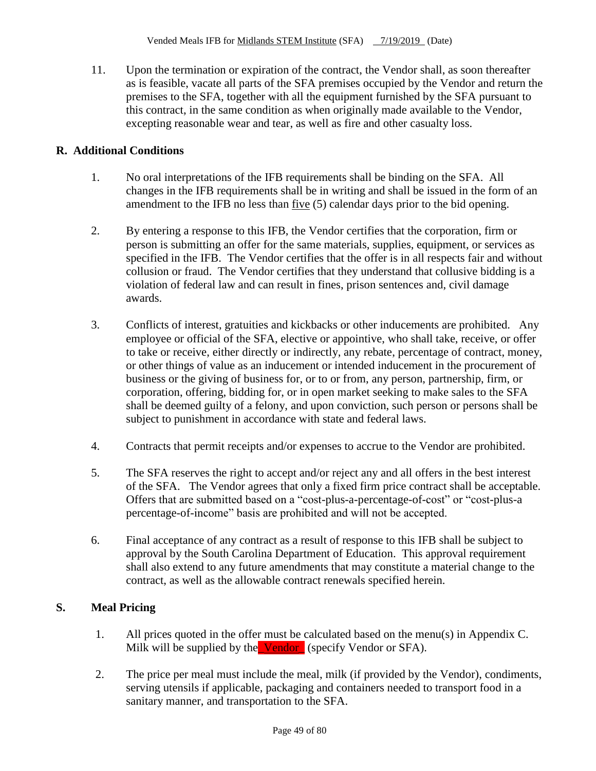11. Upon the termination or expiration of the contract, the Vendor shall, as soon thereafter as is feasible, vacate all parts of the SFA premises occupied by the Vendor and return the premises to the SFA, together with all the equipment furnished by the SFA pursuant to this contract, in the same condition as when originally made available to the Vendor, excepting reasonable wear and tear, as well as fire and other casualty loss.

## **R. Additional Conditions**

- 1. No oral interpretations of the IFB requirements shall be binding on the SFA. All changes in the IFB requirements shall be in writing and shall be issued in the form of an amendment to the IFB no less than five (5) calendar days prior to the bid opening.
- 2. By entering a response to this IFB, the Vendor certifies that the corporation, firm or person is submitting an offer for the same materials, supplies, equipment, or services as specified in the IFB. The Vendor certifies that the offer is in all respects fair and without collusion or fraud. The Vendor certifies that they understand that collusive bidding is a violation of federal law and can result in fines, prison sentences and, civil damage awards.
- 3. Conflicts of interest, gratuities and kickbacks or other inducements are prohibited. Any employee or official of the SFA, elective or appointive, who shall take, receive, or offer to take or receive, either directly or indirectly, any rebate, percentage of contract, money, or other things of value as an inducement or intended inducement in the procurement of business or the giving of business for, or to or from, any person, partnership, firm, or corporation, offering, bidding for, or in open market seeking to make sales to the SFA shall be deemed guilty of a felony, and upon conviction, such person or persons shall be subject to punishment in accordance with state and federal laws.
- 4. Contracts that permit receipts and/or expenses to accrue to the Vendor are prohibited.
- 5. The SFA reserves the right to accept and/or reject any and all offers in the best interest of the SFA. The Vendor agrees that only a fixed firm price contract shall be acceptable. Offers that are submitted based on a "cost-plus-a-percentage-of-cost" or "cost-plus-a percentage-of-income" basis are prohibited and will not be accepted.
- 6. Final acceptance of any contract as a result of response to this IFB shall be subject to approval by the South Carolina Department of Education. This approval requirement shall also extend to any future amendments that may constitute a material change to the contract, as well as the allowable contract renewals specified herein.

# **S. Meal Pricing**

- 1. All prices quoted in the offer must be calculated based on the menu(s) in Appendix C. Milk will be supplied by the Vendor (specify Vendor or SFA).
- 2. The price per meal must include the meal, milk (if provided by the Vendor), condiments, serving utensils if applicable, packaging and containers needed to transport food in a sanitary manner, and transportation to the SFA.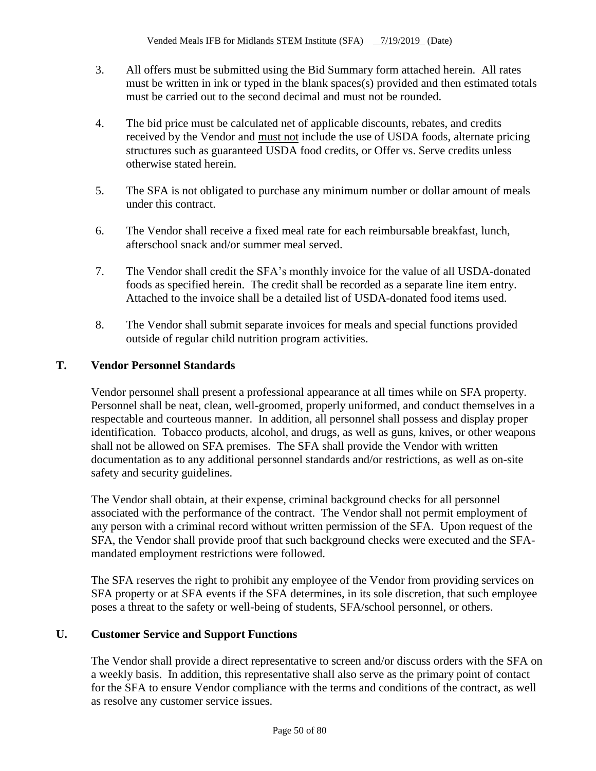- 3. All offers must be submitted using the Bid Summary form attached herein. All rates must be written in ink or typed in the blank spaces(s) provided and then estimated totals must be carried out to the second decimal and must not be rounded.
- 4. The bid price must be calculated net of applicable discounts, rebates, and credits received by the Vendor and must not include the use of USDA foods, alternate pricing structures such as guaranteed USDA food credits, or Offer vs. Serve credits unless otherwise stated herein.
- 5. The SFA is not obligated to purchase any minimum number or dollar amount of meals under this contract.
- 6. The Vendor shall receive a fixed meal rate for each reimbursable breakfast, lunch, afterschool snack and/or summer meal served.
- 7. The Vendor shall credit the SFA's monthly invoice for the value of all USDA-donated foods as specified herein. The credit shall be recorded as a separate line item entry. Attached to the invoice shall be a detailed list of USDA-donated food items used.
- 8. The Vendor shall submit separate invoices for meals and special functions provided outside of regular child nutrition program activities.

## **T. Vendor Personnel Standards**

Vendor personnel shall present a professional appearance at all times while on SFA property. Personnel shall be neat, clean, well-groomed, properly uniformed, and conduct themselves in a respectable and courteous manner. In addition, all personnel shall possess and display proper identification. Tobacco products, alcohol, and drugs, as well as guns, knives, or other weapons shall not be allowed on SFA premises. The SFA shall provide the Vendor with written documentation as to any additional personnel standards and/or restrictions, as well as on-site safety and security guidelines.

The Vendor shall obtain, at their expense, criminal background checks for all personnel associated with the performance of the contract. The Vendor shall not permit employment of any person with a criminal record without written permission of the SFA. Upon request of the SFA, the Vendor shall provide proof that such background checks were executed and the SFAmandated employment restrictions were followed.

The SFA reserves the right to prohibit any employee of the Vendor from providing services on SFA property or at SFA events if the SFA determines, in its sole discretion, that such employee poses a threat to the safety or well-being of students, SFA/school personnel, or others.

## **U. Customer Service and Support Functions**

The Vendor shall provide a direct representative to screen and/or discuss orders with the SFA on a weekly basis. In addition, this representative shall also serve as the primary point of contact for the SFA to ensure Vendor compliance with the terms and conditions of the contract, as well as resolve any customer service issues.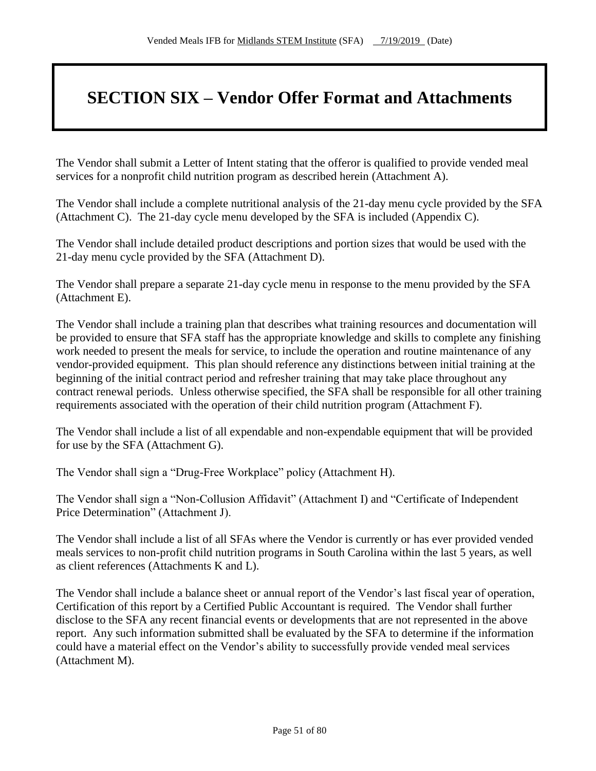# **SECTION SIX – Vendor Offer Format and Attachments**

The Vendor shall submit a Letter of Intent stating that the offeror is qualified to provide vended meal services for a nonprofit child nutrition program as described herein (Attachment A).

The Vendor shall include a complete nutritional analysis of the 21-day menu cycle provided by the SFA (Attachment C). The 21-day cycle menu developed by the SFA is included (Appendix C).

The Vendor shall include detailed product descriptions and portion sizes that would be used with the 21-day menu cycle provided by the SFA (Attachment D).

The Vendor shall prepare a separate 21-day cycle menu in response to the menu provided by the SFA (Attachment E).

The Vendor shall include a training plan that describes what training resources and documentation will be provided to ensure that SFA staff has the appropriate knowledge and skills to complete any finishing work needed to present the meals for service, to include the operation and routine maintenance of any vendor-provided equipment. This plan should reference any distinctions between initial training at the beginning of the initial contract period and refresher training that may take place throughout any contract renewal periods. Unless otherwise specified, the SFA shall be responsible for all other training requirements associated with the operation of their child nutrition program (Attachment F).

The Vendor shall include a list of all expendable and non-expendable equipment that will be provided for use by the SFA (Attachment G).

The Vendor shall sign a "Drug-Free Workplace" policy (Attachment H).

The Vendor shall sign a "Non-Collusion Affidavit" (Attachment I) and "Certificate of Independent Price Determination" (Attachment J).

The Vendor shall include a list of all SFAs where the Vendor is currently or has ever provided vended meals services to non-profit child nutrition programs in South Carolina within the last 5 years, as well as client references (Attachments K and L).

The Vendor shall include a balance sheet or annual report of the Vendor's last fiscal year of operation, Certification of this report by a Certified Public Accountant is required. The Vendor shall further disclose to the SFA any recent financial events or developments that are not represented in the above report. Any such information submitted shall be evaluated by the SFA to determine if the information could have a material effect on the Vendor's ability to successfully provide vended meal services (Attachment M).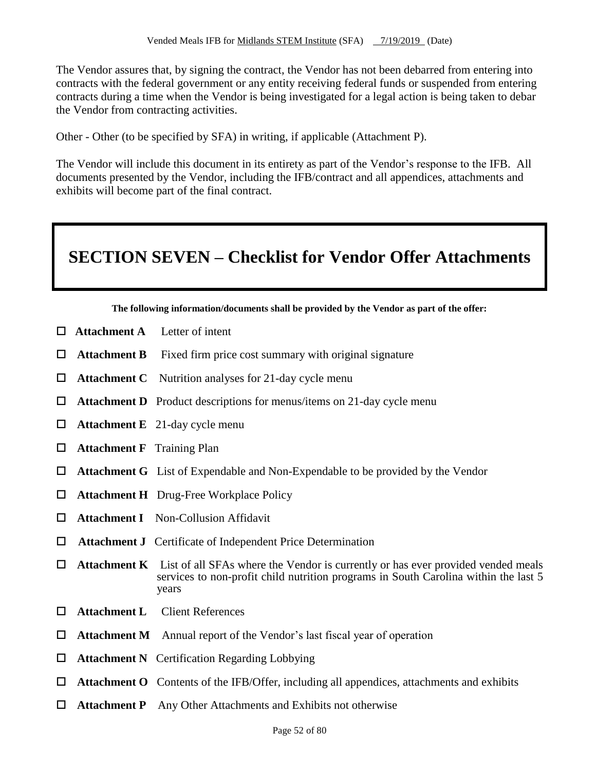The Vendor assures that, by signing the contract, the Vendor has not been debarred from entering into contracts with the federal government or any entity receiving federal funds or suspended from entering contracts during a time when the Vendor is being investigated for a legal action is being taken to debar the Vendor from contracting activities.

Other - Other (to be specified by SFA) in writing, if applicable (Attachment P).

The Vendor will include this document in its entirety as part of the Vendor's response to the IFB. All documents presented by the Vendor, including the IFB/contract and all appendices, attachments and exhibits will become part of the final contract.

# **SECTION SEVEN – Checklist for Vendor Offer Attachments**

**The following information/documents shall be provided by the Vendor as part of the offer:**

- $\Box$  **Attachment A** Letter of intent
- **Attachment B** Fixed firm price cost summary with original signature
- **Attachment C** Nutrition analyses for 21-day cycle menu
- $\Box$  **Attachment D** Product descriptions for menus/items on 21-day cycle menu
- **Attachment E** 21-day cycle menu
- **Attachment F** Training Plan
- **Attachment G** List of Expendable and Non-Expendable to be provided by the Vendor
- **Attachment H** Drug-Free Workplace Policy
- **Attachment I** Non-Collusion Affidavit
- **Attachment J** Certificate of Independent Price Determination
- $\Box$  **Attachment K** List of all SFAs where the Vendor is currently or has ever provided vended meals services to non-profit child nutrition programs in South Carolina within the last 5 years
- **Attachment L** Client References
- **Attachment M** Annual report of the Vendor's last fiscal year of operation
- **Attachment N** Certification Regarding Lobbying
- **Attachment O** Contents of the IFB/Offer, including all appendices, attachments and exhibits
- **Attachment P** Any Other Attachments and Exhibits not otherwise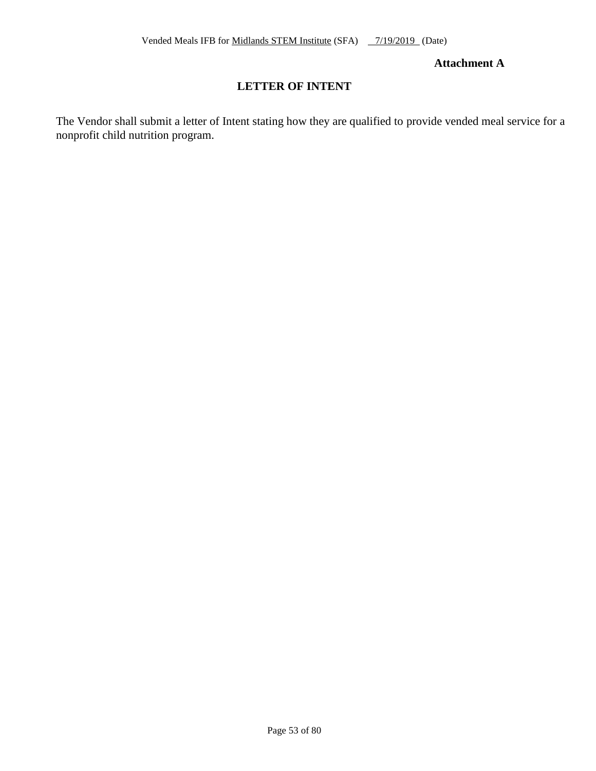### **Attachment A**

# **LETTER OF INTENT**

The Vendor shall submit a letter of Intent stating how they are qualified to provide vended meal service for a nonprofit child nutrition program.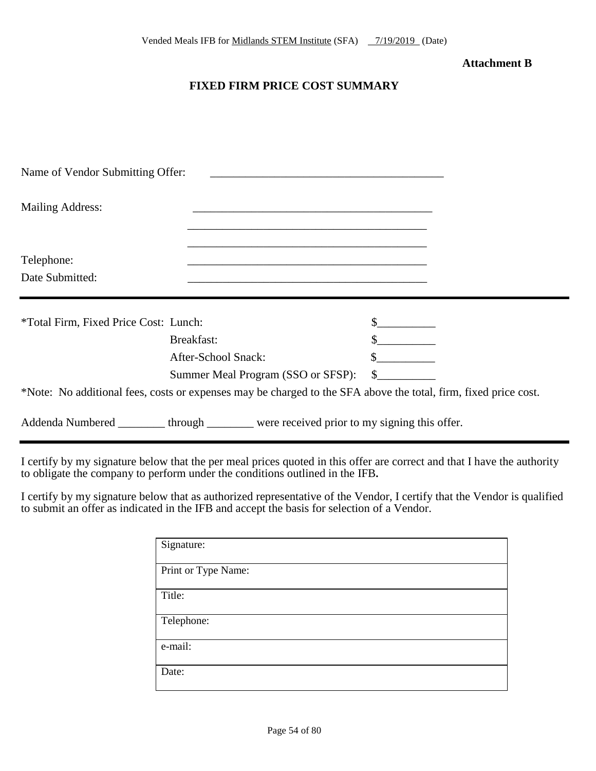#### **Attachment B**

## **FIXED FIRM PRICE COST SUMMARY**

| Name of Vendor Submitting Offer:      |                                                                                                                      |              |  |
|---------------------------------------|----------------------------------------------------------------------------------------------------------------------|--------------|--|
| <b>Mailing Address:</b>               | <u> 1989 - Johann Stein, marwolaethau a bhann an t-Amhair ann an t-Amhair an t-Amhair an t-Amhair an t-Amhair an</u> |              |  |
| Telephone:<br>Date Submitted:         | <u> 1989 - Andrea Stadt Britain, amerikansk politiker (d. 1989)</u>                                                  |              |  |
| *Total Firm, Fixed Price Cost: Lunch: |                                                                                                                      |              |  |
|                                       | Breakfast:                                                                                                           |              |  |
|                                       | After-School Snack:                                                                                                  |              |  |
|                                       | Summer Meal Program (SSO or SFSP):                                                                                   | $\mathbb{S}$ |  |
|                                       | *Note: No additional fees, costs or expenses may be charged to the SFA above the total, firm, fixed price cost.      |              |  |
|                                       | Addenda Numbered _________ through ________ were received prior to my signing this offer.                            |              |  |

I certify by my signature below that the per meal prices quoted in this offer are correct and that I have the authority to obligate the company to perform under the conditions outlined in the IFB**.**

I certify by my signature below that as authorized representative of the Vendor, I certify that the Vendor is qualified to submit an offer as indicated in the IFB and accept the basis for selection of a Vendor.

| Signature:          |
|---------------------|
| Print or Type Name: |
| Title:              |
| Telephone:          |
| e-mail:             |
| Date:               |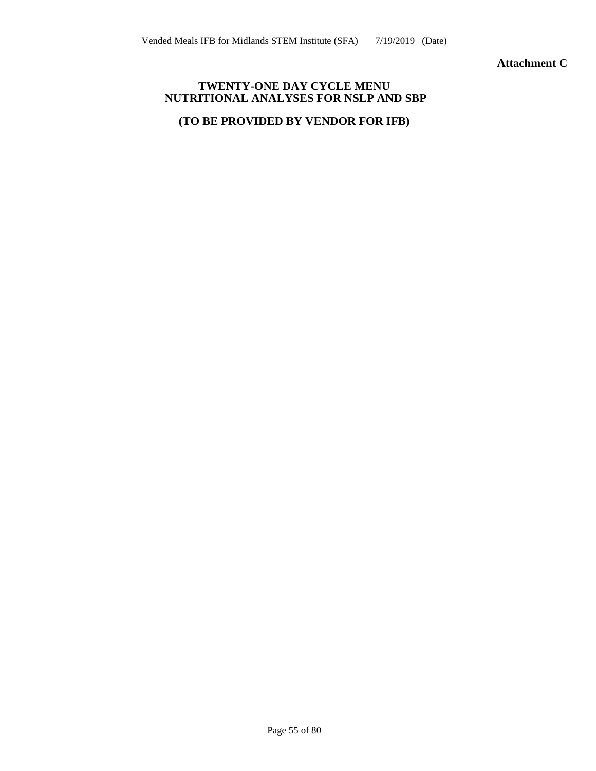**Attachment C**

#### **TWENTY-ONE DAY CYCLE MENU NUTRITIONAL ANALYSES FOR NSLP AND SBP**

## **(TO BE PROVIDED BY VENDOR FOR IFB)**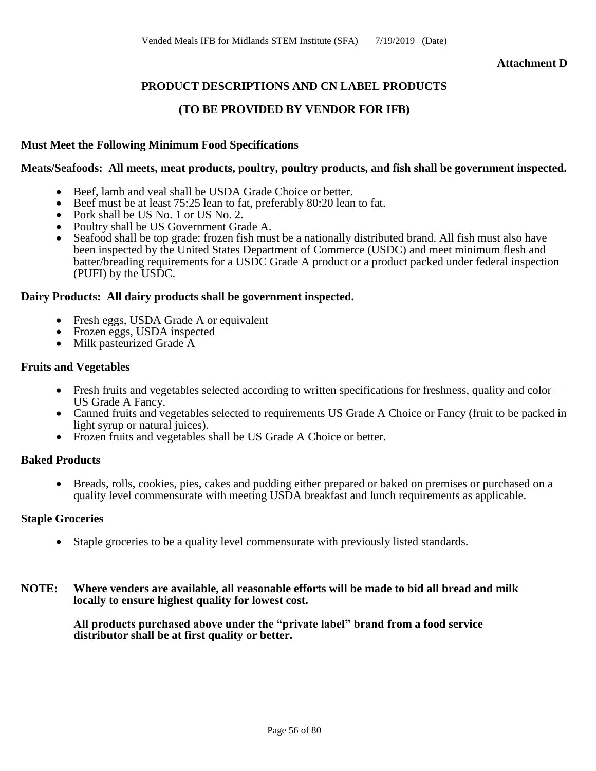**Attachment D**

# **PRODUCT DESCRIPTIONS AND CN LABEL PRODUCTS**

## **(TO BE PROVIDED BY VENDOR FOR IFB)**

#### **Must Meet the Following Minimum Food Specifications**

#### **Meats/Seafoods: All meets, meat products, poultry, poultry products, and fish shall be government inspected.**

- Beef, lamb and veal shall be USDA Grade Choice or better.
- Beef must be at least 75:25 lean to fat, preferably 80:20 lean to fat.
- Pork shall be US No. 1 or US No. 2.
- Poultry shall be US Government Grade A.
- Seafood shall be top grade; frozen fish must be a nationally distributed brand. All fish must also have been inspected by the United States Department of Commerce (USDC) and meet minimum flesh and batter/breading requirements for a USDC Grade A product or a product packed under federal inspection (PUFI) by the USDC.

#### **Dairy Products: All dairy products shall be government inspected.**

- Fresh eggs, USDA Grade A or equivalent
- Frozen eggs, USDA inspected
- Milk pasteurized Grade A

#### **Fruits and Vegetables**

- Fresh fruits and vegetables selected according to written specifications for freshness, quality and color US Grade A Fancy.
- Canned fruits and vegetables selected to requirements US Grade A Choice or Fancy (fruit to be packed in light syrup or natural juices).
- Frozen fruits and vegetables shall be US Grade A Choice or better.

#### **Baked Products**

 Breads, rolls, cookies, pies, cakes and pudding either prepared or baked on premises or purchased on a quality level commensurate with meeting USDA breakfast and lunch requirements as applicable.

#### **Staple Groceries**

- Staple groceries to be a quality level commensurate with previously listed standards.
- **NOTE: Where venders are available, all reasonable efforts will be made to bid all bread and milk locally to ensure highest quality for lowest cost.**

**All products purchased above under the "private label" brand from a food service distributor shall be at first quality or better.**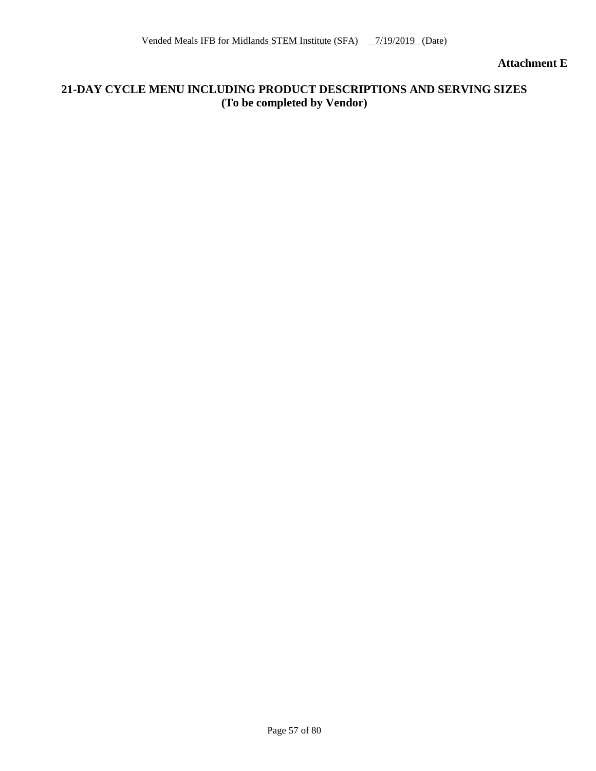**Attachment E**

## **21-DAY CYCLE MENU INCLUDING PRODUCT DESCRIPTIONS AND SERVING SIZES (To be completed by Vendor)**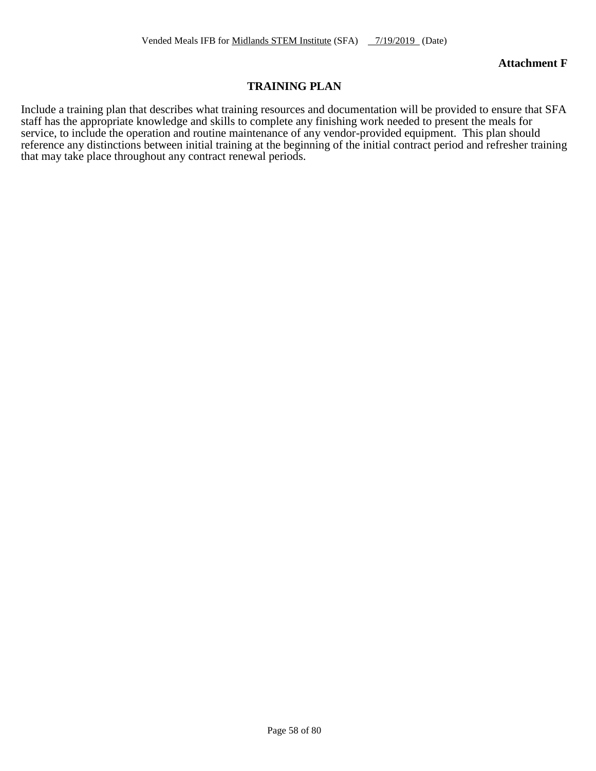#### **Attachment F**

## **TRAINING PLAN**

Include a training plan that describes what training resources and documentation will be provided to ensure that SFA staff has the appropriate knowledge and skills to complete any finishing work needed to present the meals for service, to include the operation and routine maintenance of any vendor-provided equipment. This plan should reference any distinctions between initial training at the beginning of the initial contract period and refresher training that may take place throughout any contract renewal periods.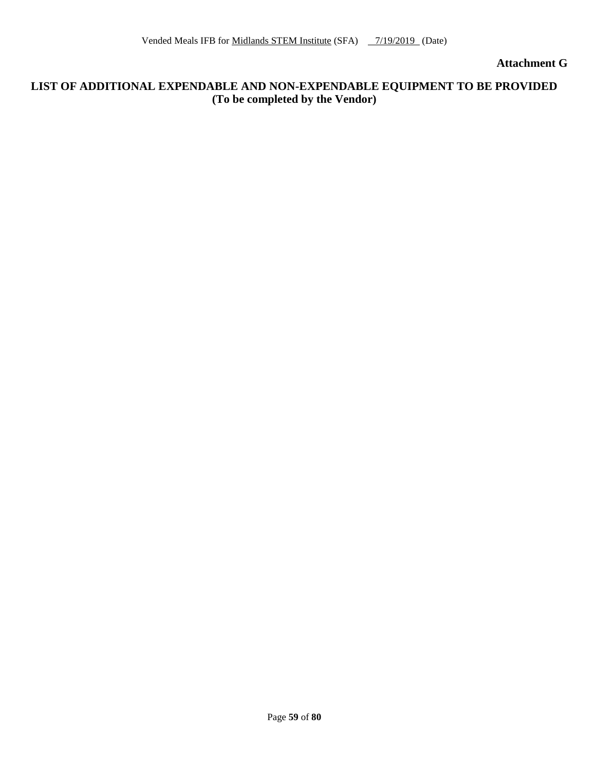**Attachment G**

## **LIST OF ADDITIONAL EXPENDABLE AND NON-EXPENDABLE EQUIPMENT TO BE PROVIDED (To be completed by the Vendor)**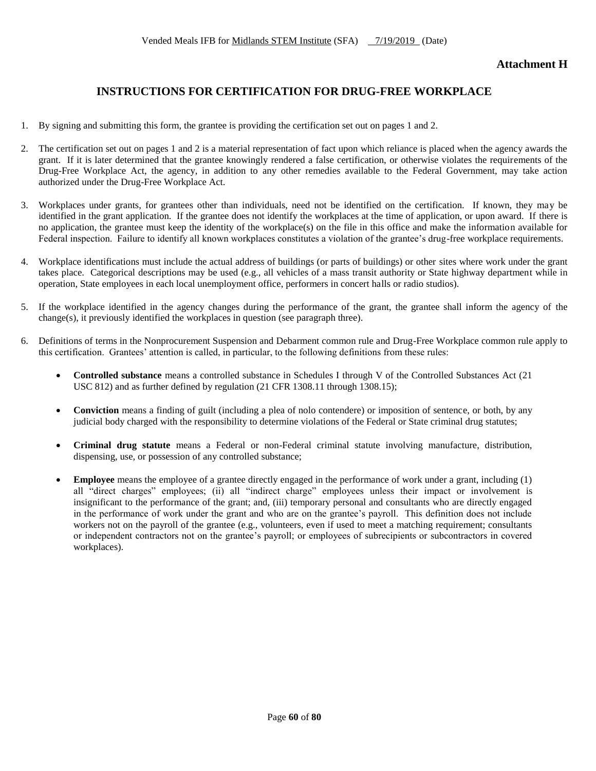# **INSTRUCTIONS FOR CERTIFICATION FOR DRUG-FREE WORKPLACE**

- 1. By signing and submitting this form, the grantee is providing the certification set out on pages 1 and 2.
- 2. The certification set out on pages 1 and 2 is a material representation of fact upon which reliance is placed when the agency awards the grant. If it is later determined that the grantee knowingly rendered a false certification, or otherwise violates the requirements of the Drug-Free Workplace Act, the agency, in addition to any other remedies available to the Federal Government, may take action authorized under the Drug-Free Workplace Act.
- 3. Workplaces under grants, for grantees other than individuals, need not be identified on the certification. If known, they may be identified in the grant application. If the grantee does not identify the workplaces at the time of application, or upon award. If there is no application, the grantee must keep the identity of the workplace(s) on the file in this office and make the information available for Federal inspection. Failure to identify all known workplaces constitutes a violation of the grantee's drug-free workplace requirements.
- 4. Workplace identifications must include the actual address of buildings (or parts of buildings) or other sites where work under the grant takes place. Categorical descriptions may be used (e.g., all vehicles of a mass transit authority or State highway department while in operation, State employees in each local unemployment office, performers in concert halls or radio studios).
- 5. If the workplace identified in the agency changes during the performance of the grant, the grantee shall inform the agency of the  $change(s)$ , it previously identified the workplaces in question (see paragraph three).
- 6. Definitions of terms in the Nonprocurement Suspension and Debarment common rule and Drug-Free Workplace common rule apply to this certification. Grantees' attention is called, in particular, to the following definitions from these rules:
	- **Controlled substance** means a controlled substance in Schedules I through V of the Controlled Substances Act (21 USC 812) and as further defined by regulation (21 CFR 1308.11 through 1308.15);
	- **Conviction** means a finding of guilt (including a plea of nolo contendere) or imposition of sentence, or both, by any judicial body charged with the responsibility to determine violations of the Federal or State criminal drug statutes;
	- **Criminal drug statute** means a Federal or non-Federal criminal statute involving manufacture, distribution, dispensing, use, or possession of any controlled substance;
	- **Employee** means the employee of a grantee directly engaged in the performance of work under a grant, including (1) all "direct charges" employees; (ii) all "indirect charge" employees unless their impact or involvement is insignificant to the performance of the grant; and, (iii) temporary personal and consultants who are directly engaged in the performance of work under the grant and who are on the grantee's payroll. This definition does not include workers not on the payroll of the grantee (e.g., volunteers, even if used to meet a matching requirement; consultants or independent contractors not on the grantee's payroll; or employees of subrecipients or subcontractors in covered workplaces).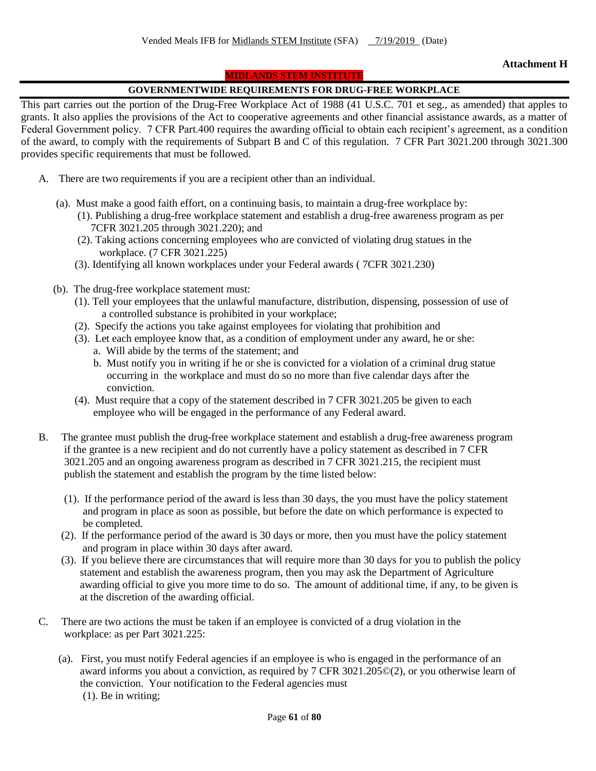#### **MIDLANDS STEM INSTITUTE**

#### **GOVERNMENTWIDE REQUIREMENTS FOR DRUG-FREE WORKPLACE**

This part carries out the portion of the Drug-Free Workplace Act of 1988 (41 U.S.C. 701 et seg., as amended) that apples to grants. It also applies the provisions of the Act to cooperative agreements and other financial assistance awards, as a matter of Federal Government policy. 7 CFR Part.400 requires the awarding official to obtain each recipient's agreement, as a condition of the award, to comply with the requirements of Subpart B and C of this regulation. 7 CFR Part 3021.200 through 3021.300 provides specific requirements that must be followed.

- A. There are two requirements if you are a recipient other than an individual.
	- (a). Must make a good faith effort, on a continuing basis, to maintain a drug-free workplace by:
		- (1). Publishing a drug-free workplace statement and establish a drug-free awareness program as per 7CFR 3021.205 through 3021.220); and
		- (2). Taking actions concerning employees who are convicted of violating drug statues in the workplace. (7 CFR 3021.225)
		- (3). Identifying all known workplaces under your Federal awards ( 7CFR 3021.230)
	- (b). The drug-free workplace statement must:
		- (1). Tell your employees that the unlawful manufacture, distribution, dispensing, possession of use of a controlled substance is prohibited in your workplace;
		- (2). Specify the actions you take against employees for violating that prohibition and
		- (3). Let each employee know that, as a condition of employment under any award, he or she:
			- a. Will abide by the terms of the statement; and
			- b. Must notify you in writing if he or she is convicted for a violation of a criminal drug statue occurring in the workplace and must do so no more than five calendar days after the conviction.
		- (4). Must require that a copy of the statement described in 7 CFR 3021.205 be given to each employee who will be engaged in the performance of any Federal award.
- B. The grantee must publish the drug-free workplace statement and establish a drug-free awareness program if the grantee is a new recipient and do not currently have a policy statement as described in 7 CFR 3021.205 and an ongoing awareness program as described in 7 CFR 3021.215, the recipient must publish the statement and establish the program by the time listed below:
	- (1). If the performance period of the award is less than 30 days, the you must have the policy statement and program in place as soon as possible, but before the date on which performance is expected to be completed.
	- (2). If the performance period of the award is 30 days or more, then you must have the policy statement and program in place within 30 days after award.
	- (3). If you believe there are circumstances that will require more than 30 days for you to publish the policy statement and establish the awareness program, then you may ask the Department of Agriculture awarding official to give you more time to do so. The amount of additional time, if any, to be given is at the discretion of the awarding official.
- C. There are two actions the must be taken if an employee is convicted of a drug violation in the workplace: as per Part 3021.225:
	- (a). First, you must notify Federal agencies if an employee is who is engaged in the performance of an award informs you about a conviction, as required by 7 CFR 3021.205©(2), or you otherwise learn of the conviction. Your notification to the Federal agencies must (1). Be in writing;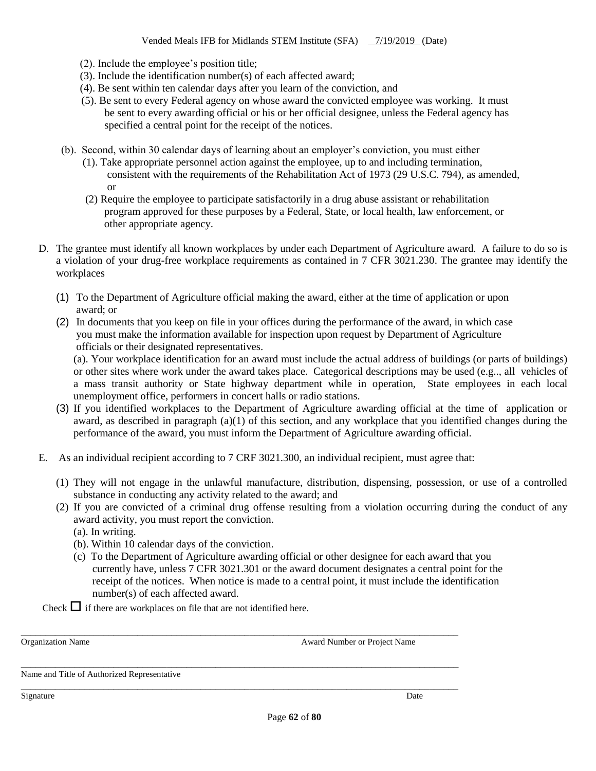- (2). Include the employee's position title;
- (3). Include the identification number(s) of each affected award;
- (4). Be sent within ten calendar days after you learn of the conviction, and
- (5). Be sent to every Federal agency on whose award the convicted employee was working. It must be sent to every awarding official or his or her official designee, unless the Federal agency has specified a central point for the receipt of the notices.
- (b). Second, within 30 calendar days of learning about an employer's conviction, you must either
	- (1). Take appropriate personnel action against the employee, up to and including termination, consistent with the requirements of the Rehabilitation Act of 1973 (29 U.S.C. 794), as amended, or
	- (2) Require the employee to participate satisfactorily in a drug abuse assistant or rehabilitation program approved for these purposes by a Federal, State, or local health, law enforcement, or other appropriate agency.
- D. The grantee must identify all known workplaces by under each Department of Agriculture award. A failure to do so is a violation of your drug-free workplace requirements as contained in 7 CFR 3021.230. The grantee may identify the workplaces
	- (1) To the Department of Agriculture official making the award, either at the time of application or upon award; or
	- (2) In documents that you keep on file in your offices during the performance of the award, in which case you must make the information available for inspection upon request by Department of Agriculture officials or their designated representatives.

(a). Your workplace identification for an award must include the actual address of buildings (or parts of buildings) or other sites where work under the award takes place. Categorical descriptions may be used (e.g.., all vehicles of a mass transit authority or State highway department while in operation, State employees in each local unemployment office, performers in concert halls or radio stations.

- (3) If you identified workplaces to the Department of Agriculture awarding official at the time of application or award, as described in paragraph  $(a)(1)$  of this section, and any workplace that you identified changes during the performance of the award, you must inform the Department of Agriculture awarding official.
- E. As an individual recipient according to 7 CRF 3021.300, an individual recipient, must agree that:

\_\_\_\_\_\_\_\_\_\_\_\_\_\_\_\_\_\_\_\_\_\_\_\_\_\_\_\_\_\_\_\_\_\_\_\_\_\_\_\_\_\_\_\_\_\_\_\_\_\_\_\_\_\_\_\_\_\_\_\_\_\_\_\_\_\_\_\_\_\_\_\_\_\_\_\_\_\_\_\_\_\_\_\_\_\_\_\_\_\_

\_\_\_\_\_\_\_\_\_\_\_\_\_\_\_\_\_\_\_\_\_\_\_\_\_\_\_\_\_\_\_\_\_\_\_\_\_\_\_\_\_\_\_\_\_\_\_\_\_\_\_\_\_\_\_\_\_\_\_\_\_\_\_\_\_\_\_\_\_\_\_\_\_\_\_\_\_\_\_\_\_\_\_\_\_\_\_\_\_\_

\_\_\_\_\_\_\_\_\_\_\_\_\_\_\_\_\_\_\_\_\_\_\_\_\_\_\_\_\_\_\_\_\_\_\_\_\_\_\_\_\_\_\_\_\_\_\_\_\_\_\_\_\_\_\_\_\_\_\_\_\_\_\_\_\_\_\_\_\_\_\_\_\_\_\_\_\_\_\_\_\_\_\_\_\_\_\_\_\_\_

- (1) They will not engage in the unlawful manufacture, distribution, dispensing, possession, or use of a controlled substance in conducting any activity related to the award; and
- (2) If you are convicted of a criminal drug offense resulting from a violation occurring during the conduct of any award activity, you must report the conviction.
	- (a). In writing.
	- (b). Within 10 calendar days of the conviction.
	- (c) To the Department of Agriculture awarding official or other designee for each award that you currently have, unless 7 CFR 3021.301 or the award document designates a central point for the receipt of the notices. When notice is made to a central point, it must include the identification number(s) of each affected award.

Check  $\Box$  if there are workplaces on file that are not identified here.

Organization Name **Award Number of Project Name** Award Number or Project Name

Name and Title of Authorized Representative

Signature Date Date of the Contract of the Contract of the Contract of the Date Date of the Date of the Date of the Date of the Date of the Date of the Date of the Date of the Date of the Date of the Date of the Date of th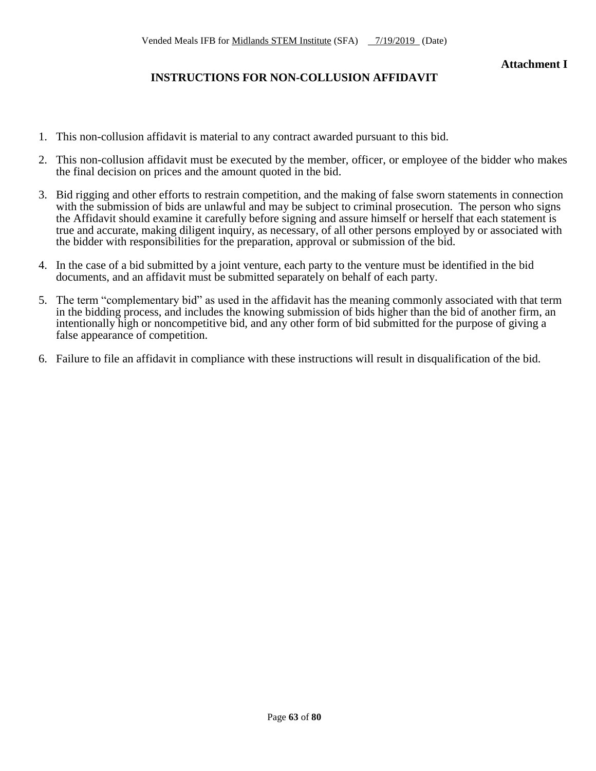# **INSTRUCTIONS FOR NON-COLLUSION AFFIDAVIT**

- 1. This non-collusion affidavit is material to any contract awarded pursuant to this bid.
- 2. This non-collusion affidavit must be executed by the member, officer, or employee of the bidder who makes the final decision on prices and the amount quoted in the bid.
- 3. Bid rigging and other efforts to restrain competition, and the making of false sworn statements in connection with the submission of bids are unlawful and may be subject to criminal prosecution. The person who signs the Affidavit should examine it carefully before signing and assure himself or herself that each statement is true and accurate, making diligent inquiry, as necessary, of all other persons employed by or associated with the bidder with responsibilities for the preparation, approval or submission of the bid.
- 4. In the case of a bid submitted by a joint venture, each party to the venture must be identified in the bid documents, and an affidavit must be submitted separately on behalf of each party.
- 5. The term "complementary bid" as used in the affidavit has the meaning commonly associated with that term in the bidding process, and includes the knowing submission of bids higher than the bid of another firm, an intentionally high or noncompetitive bid, and any other form of bid submitted for the purpose of giving a false appearance of competition.
- 6. Failure to file an affidavit in compliance with these instructions will result in disqualification of the bid.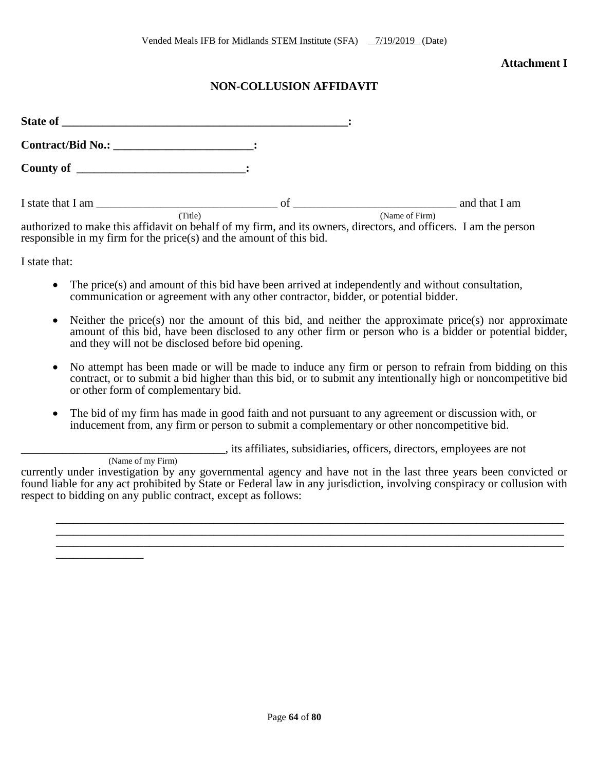#### **Attachment I**

# **NON-COLLUSION AFFIDAVIT**

| <b>State of</b>                                                                                                             |    |                |               |
|-----------------------------------------------------------------------------------------------------------------------------|----|----------------|---------------|
|                                                                                                                             |    |                |               |
|                                                                                                                             |    |                |               |
| I state that I am                                                                                                           | of |                | and that I am |
| (Title)<br>outborized to make this offidevit on behalf of my firm, and its owners, directors, and officers. I am the person |    | (Name of Firm) |               |

authorized to make this affidavit on behalf of my firm, and its owners, directors, and officers. I am the person responsible in my firm for the price(s) and the amount of this bid.

I state that:

\_\_\_\_\_\_\_\_\_\_\_\_\_\_\_

- The price(s) and amount of this bid have been arrived at independently and without consultation, communication or agreement with any other contractor, bidder, or potential bidder.
- Neither the price(s) nor the amount of this bid, and neither the approximate price(s) nor approximate amount of this bid, have been disclosed to any other firm or person who is a bidder or potential bidder, and they will not be disclosed before bid opening.
- No attempt has been made or will be made to induce any firm or person to refrain from bidding on this contract, or to submit a bid higher than this bid, or to submit any intentionally high or noncompetitive bid or other form of complementary bid.
- The bid of my firm has made in good faith and not pursuant to any agreement or discussion with, or inducement from, any firm or person to submit a complementary or other noncompetitive bid.

\_\_\_\_\_\_\_\_\_\_\_\_\_\_\_\_\_\_\_\_\_\_\_\_\_\_\_\_\_\_\_\_\_\_\_, its affiliates, subsidiaries, officers, directors, employees are not

(Name of my Firm) currently under investigation by any governmental agency and have not in the last three years been convicted or found liable for any act prohibited by State or Federal law in any jurisdiction, involving conspiracy or collusion with respect to bidding on any public contract, except as follows:

\_\_\_\_\_\_\_\_\_\_\_\_\_\_\_\_\_\_\_\_\_\_\_\_\_\_\_\_\_\_\_\_\_\_\_\_\_\_\_\_\_\_\_\_\_\_\_\_\_\_\_\_\_\_\_\_\_\_\_\_\_\_\_\_\_\_\_\_\_\_\_\_\_\_\_\_\_\_\_\_\_\_\_\_\_\_\_ \_\_\_\_\_\_\_\_\_\_\_\_\_\_\_\_\_\_\_\_\_\_\_\_\_\_\_\_\_\_\_\_\_\_\_\_\_\_\_\_\_\_\_\_\_\_\_\_\_\_\_\_\_\_\_\_\_\_\_\_\_\_\_\_\_\_\_\_\_\_\_\_\_\_\_\_\_\_\_\_\_\_\_\_\_\_\_ \_\_\_\_\_\_\_\_\_\_\_\_\_\_\_\_\_\_\_\_\_\_\_\_\_\_\_\_\_\_\_\_\_\_\_\_\_\_\_\_\_\_\_\_\_\_\_\_\_\_\_\_\_\_\_\_\_\_\_\_\_\_\_\_\_\_\_\_\_\_\_\_\_\_\_\_\_\_\_\_\_\_\_\_\_\_\_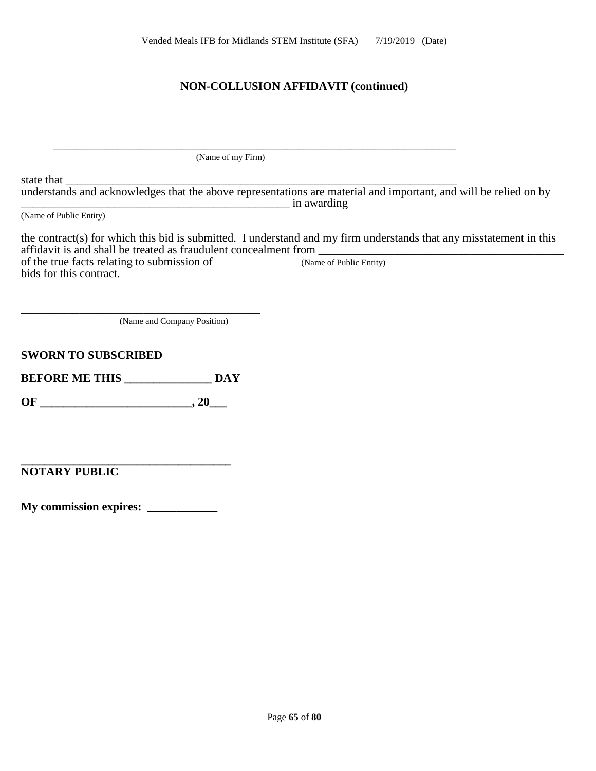# **NON-COLLUSION AFFIDAVIT (continued)**

 \_\_\_\_\_\_\_\_\_\_\_\_\_\_\_\_\_\_\_\_\_\_\_\_\_\_\_\_\_\_\_\_\_\_\_\_\_\_\_\_\_\_\_\_\_\_\_\_\_\_\_\_\_\_\_\_\_\_\_\_\_\_\_\_\_\_\_\_\_ (Name of my Firm)

state that  $\frac{1}{\sqrt{2}}$ understands and acknowledges that the above representations are material and important, and will be relied on by \_\_\_\_\_\_\_\_\_\_\_\_\_\_\_\_\_\_\_\_\_\_\_\_\_\_\_\_\_\_\_\_\_\_\_\_\_\_\_\_\_\_\_\_\_\_ in awarding

(Name of Public Entity)

the contract(s) for which this bid is submitted. I understand and my firm understands that any misstatement in this affidavit is and shall be treated as fraudulent concealment from \_\_\_\_\_\_\_\_\_\_\_\_\_\_\_\_\_\_\_\_\_\_\_\_\_\_\_\_\_\_\_\_\_\_\_\_\_\_\_\_\_\_ of the true facts relating to submission of bids for this contract.

(Name and Company Position)

**SWORN TO SUBSCRIBED**

**BEFORE ME THIS \_\_\_\_\_\_\_\_\_\_\_\_\_\_\_ DAY**

\_\_\_\_\_\_\_\_\_\_\_\_\_\_\_\_\_\_\_\_\_\_\_\_\_\_\_\_\_\_\_\_\_\_\_\_\_\_\_\_\_

**OF \_\_\_\_\_\_\_\_\_\_\_\_\_\_\_\_\_\_\_\_\_\_\_\_\_\_, 20\_\_\_**

**\_\_\_\_\_\_\_\_\_\_\_\_\_\_\_\_\_\_\_\_\_\_\_\_\_\_\_\_\_\_\_\_\_\_\_\_ NOTARY PUBLIC**

**My commission expires: \_\_\_\_\_\_\_\_\_\_\_\_**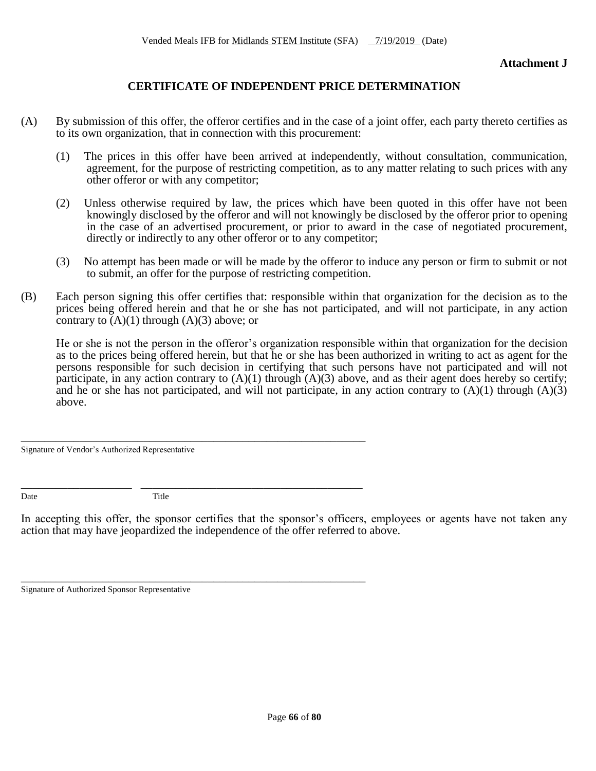**Attachment J**

## **CERTIFICATE OF INDEPENDENT PRICE DETERMINATION**

- (A) By submission of this offer, the offeror certifies and in the case of a joint offer, each party thereto certifies as to its own organization, that in connection with this procurement:
	- (1) The prices in this offer have been arrived at independently, without consultation, communication, agreement, for the purpose of restricting competition, as to any matter relating to such prices with any other offeror or with any competitor;
	- (2) Unless otherwise required by law, the prices which have been quoted in this offer have not been knowingly disclosed by the offeror and will not knowingly be disclosed by the offeror prior to opening in the case of an advertised procurement, or prior to award in the case of negotiated procurement, directly or indirectly to any other offeror or to any competitor;
	- (3) No attempt has been made or will be made by the offeror to induce any person or firm to submit or not to submit, an offer for the purpose of restricting competition.
- (B) Each person signing this offer certifies that: responsible within that organization for the decision as to the prices being offered herein and that he or she has not participated, and will not participate, in any action contrary to  $(A)(1)$  through  $(A)(3)$  above; or

He or she is not the person in the offeror's organization responsible within that organization for the decision as to the prices being offered herein, but that he or she has been authorized in writing to act as agent for the persons responsible for such decision in certifying that such persons have not participated and will not participate, in any action contrary to  $(A)(1)$  through  $(A)(3)$  above, and as their agent does hereby so certify; and he or she has not participated, and will not participate, in any action contrary to  $(A)(1)$  through  $(A)(3)$ above.

Signature of Vendor's Authorized Representative

Date Title

\_\_\_\_\_\_\_\_\_\_\_\_\_\_\_\_\_\_\_\_\_\_\_\_\_\_\_\_\_\_\_\_\_\_\_\_\_\_\_\_\_\_\_\_\_\_\_\_\_\_\_\_\_\_\_\_\_\_\_

\_\_\_\_\_\_\_\_\_\_\_\_\_\_\_\_\_\_\_ \_\_\_\_\_\_\_\_\_\_\_\_\_\_\_\_\_\_\_\_\_\_\_\_\_\_\_\_\_\_\_\_\_\_\_\_\_\_

\_\_\_\_\_\_\_\_\_\_\_\_\_\_\_\_\_\_\_\_\_\_\_\_\_\_\_\_\_\_\_\_\_\_\_\_\_\_\_\_\_\_\_\_\_\_\_\_\_\_\_\_\_\_\_\_\_\_\_

In accepting this offer, the sponsor certifies that the sponsor's officers, employees or agents have not taken any action that may have jeopardized the independence of the offer referred to above.

Signature of Authorized Sponsor Representative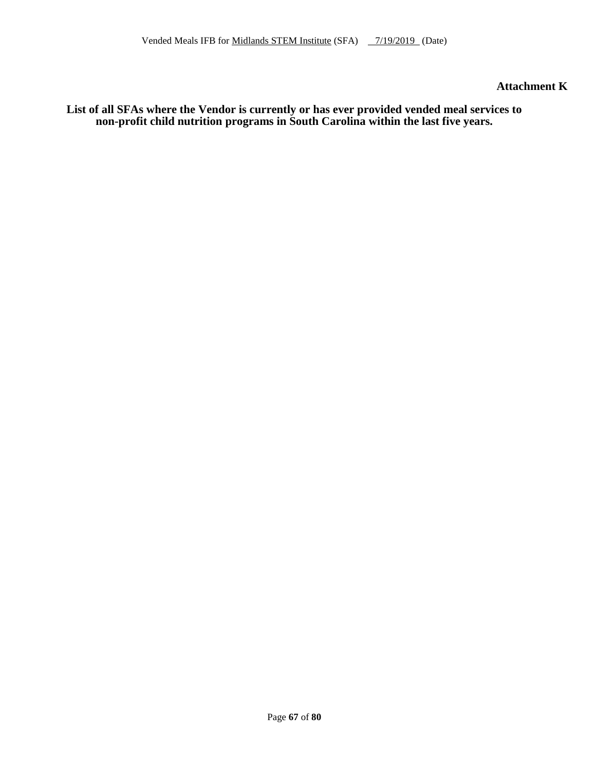**Attachment K**

**List of all SFAs where the Vendor is currently or has ever provided vended meal services to non-profit child nutrition programs in South Carolina within the last five years.**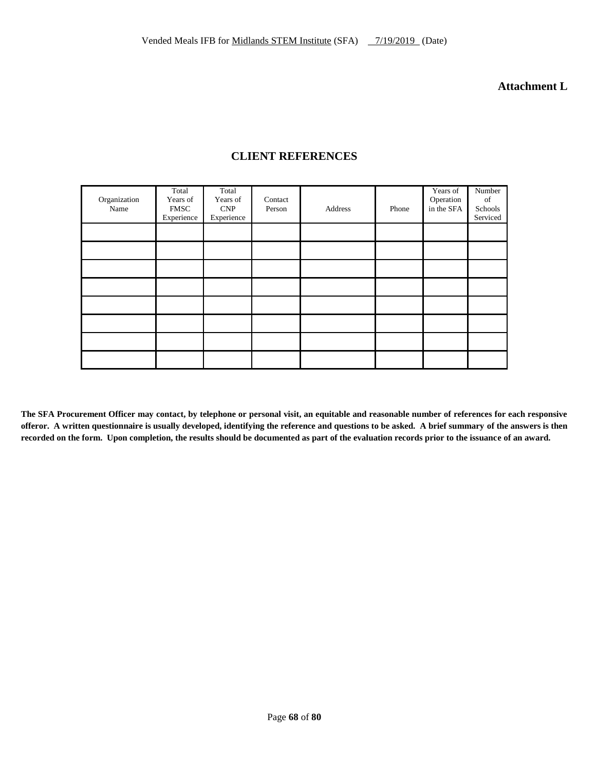**Attachment L**

| Organization<br>Name | Total<br>Years of<br><b>FMSC</b><br>Experience | Total<br>Years of<br>CNP<br>Experience | Contact<br>Person | Address | Phone | Years of<br>Operation<br>in the SFA | Number<br>of<br>Schools<br>Serviced |
|----------------------|------------------------------------------------|----------------------------------------|-------------------|---------|-------|-------------------------------------|-------------------------------------|
|                      |                                                |                                        |                   |         |       |                                     |                                     |
|                      |                                                |                                        |                   |         |       |                                     |                                     |
|                      |                                                |                                        |                   |         |       |                                     |                                     |
|                      |                                                |                                        |                   |         |       |                                     |                                     |
|                      |                                                |                                        |                   |         |       |                                     |                                     |
|                      |                                                |                                        |                   |         |       |                                     |                                     |
|                      |                                                |                                        |                   |         |       |                                     |                                     |
|                      |                                                |                                        |                   |         |       |                                     |                                     |

## **CLIENT REFERENCES**

**The SFA Procurement Officer may contact, by telephone or personal visit, an equitable and reasonable number of references for each responsive offeror. A written questionnaire is usually developed, identifying the reference and questions to be asked. A brief summary of the answers is then recorded on the form. Upon completion, the results should be documented as part of the evaluation records prior to the issuance of an award.**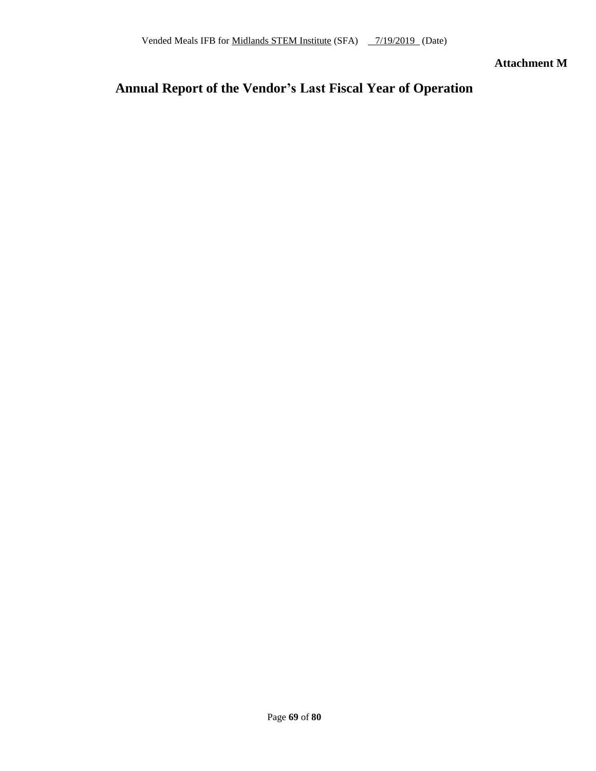**Attachment M**

# **Annual Report of the Vendor's Last Fiscal Year of Operation**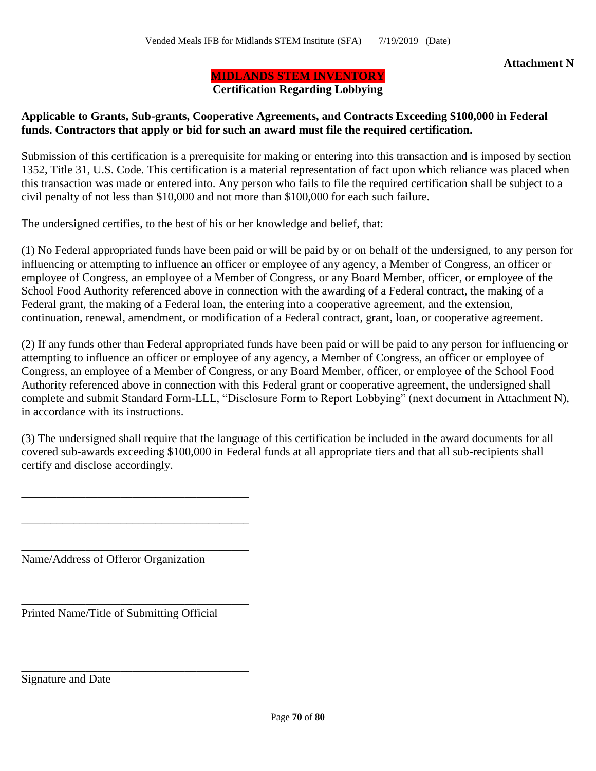## **MIDLANDS STEM INVENTORY**

**Certification Regarding Lobbying**

## **Applicable to Grants, Sub-grants, Cooperative Agreements, and Contracts Exceeding \$100,000 in Federal funds. Contractors that apply or bid for such an award must file the required certification.**

Submission of this certification is a prerequisite for making or entering into this transaction and is imposed by section 1352, Title 31, U.S. Code. This certification is a material representation of fact upon which reliance was placed when this transaction was made or entered into. Any person who fails to file the required certification shall be subject to a civil penalty of not less than \$10,000 and not more than \$100,000 for each such failure.

The undersigned certifies, to the best of his or her knowledge and belief, that:

(1) No Federal appropriated funds have been paid or will be paid by or on behalf of the undersigned, to any person for influencing or attempting to influence an officer or employee of any agency, a Member of Congress, an officer or employee of Congress, an employee of a Member of Congress, or any Board Member, officer, or employee of the School Food Authority referenced above in connection with the awarding of a Federal contract, the making of a Federal grant, the making of a Federal loan, the entering into a cooperative agreement, and the extension, continuation, renewal, amendment, or modification of a Federal contract, grant, loan, or cooperative agreement.

(2) If any funds other than Federal appropriated funds have been paid or will be paid to any person for influencing or attempting to influence an officer or employee of any agency, a Member of Congress, an officer or employee of Congress, an employee of a Member of Congress, or any Board Member, officer, or employee of the School Food Authority referenced above in connection with this Federal grant or cooperative agreement, the undersigned shall complete and submit Standard Form-LLL, "Disclosure Form to Report Lobbying" (next document in Attachment N), in accordance with its instructions.

(3) The undersigned shall require that the language of this certification be included in the award documents for all covered sub-awards exceeding \$100,000 in Federal funds at all appropriate tiers and that all sub-recipients shall certify and disclose accordingly.

Name/Address of Offeror Organization

\_\_\_\_\_\_\_\_\_\_\_\_\_\_\_\_\_\_\_\_\_\_\_\_\_\_\_\_\_\_\_\_\_\_\_\_\_\_\_

\_\_\_\_\_\_\_\_\_\_\_\_\_\_\_\_\_\_\_\_\_\_\_\_\_\_\_\_\_\_\_\_\_\_\_\_\_\_\_

\_\_\_\_\_\_\_\_\_\_\_\_\_\_\_\_\_\_\_\_\_\_\_\_\_\_\_\_\_\_\_\_\_\_\_\_\_\_\_

\_\_\_\_\_\_\_\_\_\_\_\_\_\_\_\_\_\_\_\_\_\_\_\_\_\_\_\_\_\_\_\_\_\_\_\_\_\_\_

\_\_\_\_\_\_\_\_\_\_\_\_\_\_\_\_\_\_\_\_\_\_\_\_\_\_\_\_\_\_\_\_\_\_\_\_\_\_\_

Printed Name/Title of Submitting Official

Signature and Date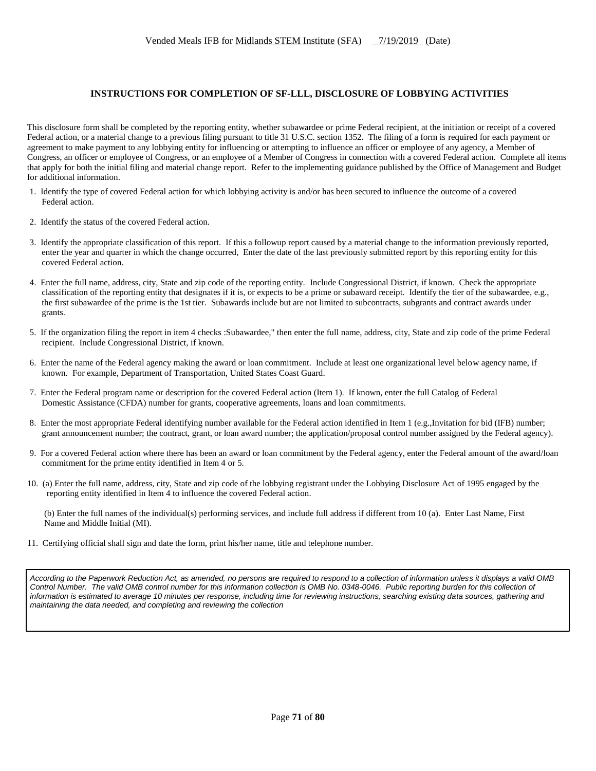#### **INSTRUCTIONS FOR COMPLETION OF SF-LLL, DISCLOSURE OF LOBBYING ACTIVITIES**

This disclosure form shall be completed by the reporting entity, whether subawardee or prime Federal recipient, at the initiation or receipt of a covered Federal action, or a material change to a previous filing pursuant to title 31 U.S.C. section 1352. The filing of a form is required for each payment or agreement to make payment to any lobbying entity for influencing or attempting to influence an officer or employee of any agency, a Member of Congress, an officer or employee of Congress, or an employee of a Member of Congress in connection with a covered Federal action. Complete all items that apply for both the initial filing and material change report. Refer to the implementing guidance published by the Office of Management and Budget for additional information.

- 1. Identify the type of covered Federal action for which lobbying activity is and/or has been secured to influence the outcome of a covered Federal action.
- 2. Identify the status of the covered Federal action.
- 3. Identify the appropriate classification of this report. If this a followup report caused by a material change to the information previously reported, enter the year and quarter in which the change occurred, Enter the date of the last previously submitted report by this reporting entity for this covered Federal action.
- 4. Enter the full name, address, city, State and zip code of the reporting entity. Include Congressional District, if known. Check the appropriate classification of the reporting entity that designates if it is, or expects to be a prime or subaward receipt. Identify the tier of the subawardee, e.g., the first subawardee of the prime is the 1st tier. Subawards include but are not limited to subcontracts, subgrants and contract awards under grants.
- 5. If the organization filing the report in item 4 checks :Subawardee," then enter the full name, address, city, State and zip code of the prime Federal recipient. Include Congressional District, if known.
- 6. Enter the name of the Federal agency making the award or loan commitment. Include at least one organizational level below agency name, if known. For example, Department of Transportation, United States Coast Guard.
- 7. Enter the Federal program name or description for the covered Federal action (Item 1). If known, enter the full Catalog of Federal Domestic Assistance (CFDA) number for grants, cooperative agreements, loans and loan commitments.
- 8. Enter the most appropriate Federal identifying number available for the Federal action identified in Item 1 (e.g.,Invitation for bid (IFB) number; grant announcement number; the contract, grant, or loan award number; the application/proposal control number assigned by the Federal agency).
- 9. For a covered Federal action where there has been an award or loan commitment by the Federal agency, enter the Federal amount of the award/loan commitment for the prime entity identified in Item 4 or 5.
- 10. (a) Enter the full name, address, city, State and zip code of the lobbying registrant under the Lobbying Disclosure Act of 1995 engaged by the reporting entity identified in Item 4 to influence the covered Federal action.

(b) Enter the full names of the individual(s) performing services, and include full address if different from 10 (a). Enter Last Name, First Name and Middle Initial (MI).

11. Certifying official shall sign and date the form, print his/her name, title and telephone number.

*According to the Paperwork Reduction Act, as amended, no persons are required to respond to a collection of information unless it displays a valid OMB Control Number. The valid OMB control number for this information collection is OMB No. 0348-0046. Public reporting burden for this collection of information is estimated to average 10 minutes per response, including time for reviewing instructions, searching existing data sources, gathering and maintaining the data needed, and completing and reviewing the collection*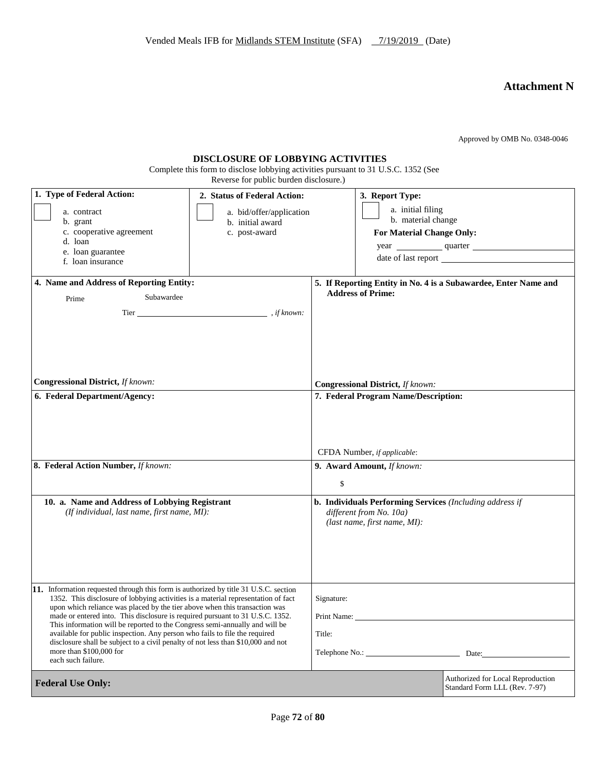# **Attachment N**

Approved by OMB No. 0348-0046

| <b>DISCLOSURE OF LOBBYING ACTIVITIES</b>                                           |
|------------------------------------------------------------------------------------|
| Complete this form to disclose lobbying activities pursuant to 31 U.S.C. 1352 (See |

Reverse for public burden disclosure.)

| 1. Type of Federal Action:<br>a. contract<br>b. grant<br>c. cooperative agreement<br>d. loan<br>e. loan guarantee<br>f. loan insurance                                                                                                                                                                                                                                                                                                                                                                                                                                                                                                     | 2. Status of Federal Action:<br>a. bid/offer/application<br>b. initial award<br>c. post-award |                                              | 3. Report Type:<br>a. initial filing<br>b. material change<br>For Material Change Only:                                    | year quarter                                                       |
|--------------------------------------------------------------------------------------------------------------------------------------------------------------------------------------------------------------------------------------------------------------------------------------------------------------------------------------------------------------------------------------------------------------------------------------------------------------------------------------------------------------------------------------------------------------------------------------------------------------------------------------------|-----------------------------------------------------------------------------------------------|----------------------------------------------|----------------------------------------------------------------------------------------------------------------------------|--------------------------------------------------------------------|
| 4. Name and Address of Reporting Entity:                                                                                                                                                                                                                                                                                                                                                                                                                                                                                                                                                                                                   |                                                                                               |                                              |                                                                                                                            | 5. If Reporting Entity in No. 4 is a Subawardee, Enter Name and    |
| Subawardee<br>Prime                                                                                                                                                                                                                                                                                                                                                                                                                                                                                                                                                                                                                        |                                                                                               |                                              | <b>Address of Prime:</b>                                                                                                   |                                                                    |
|                                                                                                                                                                                                                                                                                                                                                                                                                                                                                                                                                                                                                                            |                                                                                               |                                              |                                                                                                                            |                                                                    |
| <b>Congressional District, If known:</b>                                                                                                                                                                                                                                                                                                                                                                                                                                                                                                                                                                                                   |                                                                                               | Congressional District, If known:            |                                                                                                                            |                                                                    |
| 6. Federal Department/Agency:                                                                                                                                                                                                                                                                                                                                                                                                                                                                                                                                                                                                              |                                                                                               |                                              | 7. Federal Program Name/Description:                                                                                       |                                                                    |
|                                                                                                                                                                                                                                                                                                                                                                                                                                                                                                                                                                                                                                            |                                                                                               |                                              | CFDA Number, if applicable:                                                                                                |                                                                    |
| 8. Federal Action Number, If known:                                                                                                                                                                                                                                                                                                                                                                                                                                                                                                                                                                                                        |                                                                                               | \$                                           | 9. Award Amount, If known:                                                                                                 |                                                                    |
| 10. a. Name and Address of Lobbying Registrant<br>(If individual, last name, first name, MI):                                                                                                                                                                                                                                                                                                                                                                                                                                                                                                                                              |                                                                                               |                                              | <b>b. Individuals Performing Services</b> (Including address if<br>different from No. 10a)<br>(last name, first name, MI): |                                                                    |
| 11. Information requested through this form is authorized by title 31 U.S.C. section<br>1352. This disclosure of lobbying activities is a material representation of fact<br>upon which reliance was placed by the tier above when this transaction was<br>made or entered into. This disclosure is required pursuant to 31 U.S.C. 1352.<br>This information will be reported to the Congress semi-annually and will be<br>available for public inspection. Any person who fails to file the required<br>disclosure shall be subject to a civil penalty of not less than \$10,000 and not<br>more than \$100,000 for<br>each such failure. |                                                                                               | Signature:<br>Print Name:<br>Title:<br>Date: |                                                                                                                            |                                                                    |
| <b>Federal Use Only:</b>                                                                                                                                                                                                                                                                                                                                                                                                                                                                                                                                                                                                                   |                                                                                               |                                              |                                                                                                                            | Authorized for Local Reproduction<br>Standard Form LLL (Rev. 7-97) |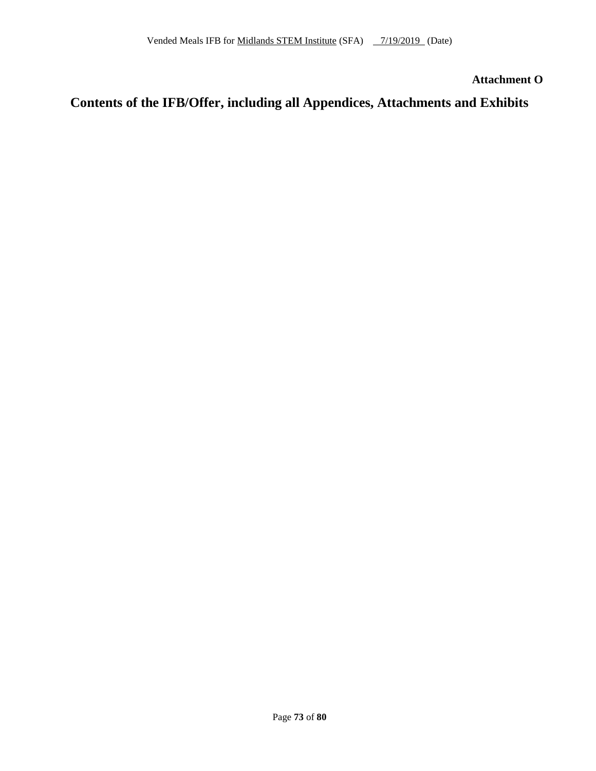**Attachment O**

### **Contents of the IFB/Offer, including all Appendices, Attachments and Exhibits**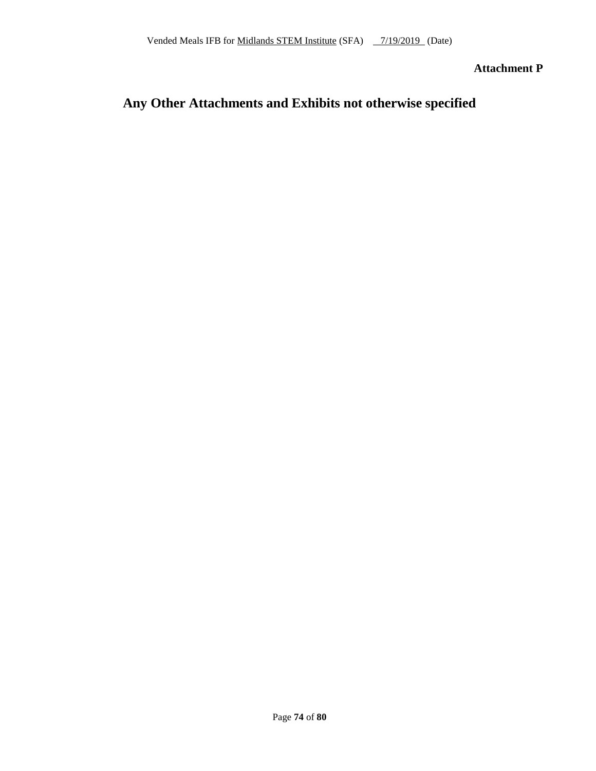**Attachment P**

### **Any Other Attachments and Exhibits not otherwise specified**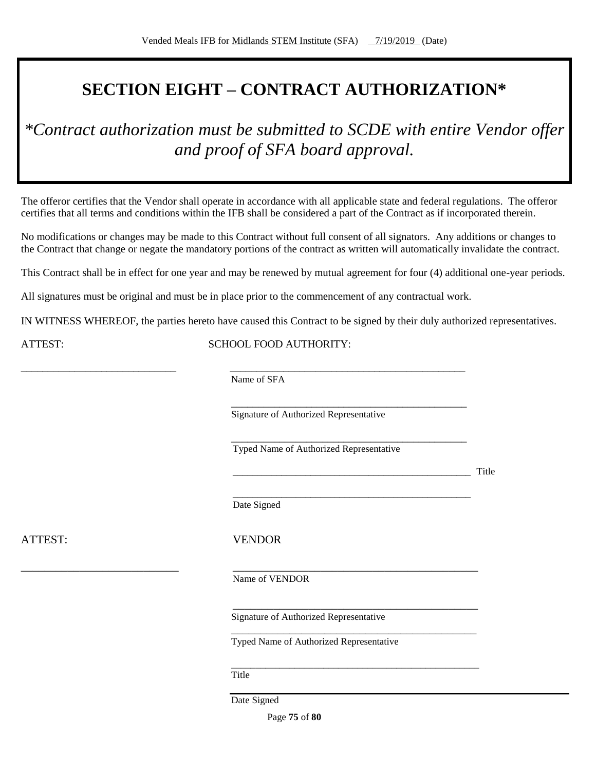# **SECTION EIGHT – CONTRACT AUTHORIZATION\***

*\*Contract authorization must be submitted to SCDE with entire Vendor offer and proof of SFA board approval.*

The offeror certifies that the Vendor shall operate in accordance with all applicable state and federal regulations. The offeror certifies that all terms and conditions within the IFB shall be considered a part of the Contract as if incorporated therein.

No modifications or changes may be made to this Contract without full consent of all signators. Any additions or changes to the Contract that change or negate the mandatory portions of the contract as written will automatically invalidate the contract.

This Contract shall be in effect for one year and may be renewed by mutual agreement for four (4) additional one-year periods.

All signatures must be original and must be in place prior to the commencement of any contractual work.

IN WITNESS WHEREOF, the parties hereto have caused this Contract to be signed by their duly authorized representatives.

ATTEST: SCHOOL FOOD AUTHORITY:

Name of SFA

\_\_\_\_\_\_\_\_\_\_\_\_\_\_\_\_\_\_\_\_\_\_\_\_\_\_\_\_\_ \_\_\_\_\_\_\_\_\_\_\_\_\_\_\_\_\_\_\_\_\_\_\_\_\_\_\_\_\_\_\_\_\_\_\_\_\_\_\_\_\_\_\_\_

\_\_\_\_\_\_\_\_\_\_\_\_\_\_\_\_\_\_\_\_\_\_\_\_\_\_\_\_\_\_\_\_\_\_\_\_\_\_\_\_\_\_\_\_ Signature of Authorized Representative

\_\_\_\_\_\_\_\_\_\_\_\_\_\_\_\_\_\_\_\_\_\_\_\_\_\_\_\_\_\_\_\_\_\_\_\_\_\_\_\_\_\_\_\_ Typed Name of Authorized Representative

\_\_\_\_\_\_\_\_\_\_\_\_\_\_\_\_\_\_\_\_\_\_\_\_\_\_\_\_\_\_\_\_\_\_\_\_\_\_\_\_\_\_\_\_\_\_\_\_\_ Title

\_\_\_\_\_\_\_\_\_\_\_\_\_\_\_\_\_\_\_\_\_\_\_\_\_\_\_\_\_\_\_\_\_\_\_\_\_\_\_\_\_\_\_\_\_\_\_\_\_ Date Signed

ATTEST: VENDOR

\_\_\_\_\_\_\_\_\_\_\_\_\_\_\_\_\_\_\_\_\_\_\_\_\_\_\_ \_\_\_\_\_\_\_\_\_\_\_\_\_\_\_\_\_\_\_\_\_\_\_\_\_\_\_\_\_\_\_\_\_\_\_\_\_\_\_\_\_\_

Name of VENDOR

Signature of Authorized Representative

Typed Name of Authorized Representative

\_\_\_\_\_\_\_\_\_\_\_\_\_\_\_\_\_\_\_\_\_\_\_\_\_\_\_\_\_\_\_\_\_\_\_\_\_\_\_\_\_\_

\_\_\_\_\_\_\_\_\_\_\_\_\_\_\_\_\_\_\_\_\_\_\_\_\_\_\_\_\_\_\_\_\_\_\_\_\_\_\_\_\_\_

\_\_\_\_\_\_\_\_\_\_\_\_\_\_\_\_\_\_\_\_\_\_\_\_\_\_\_\_\_\_\_\_\_\_\_\_\_\_\_\_\_\_\_\_\_\_\_\_\_\_\_

Title

Date Signed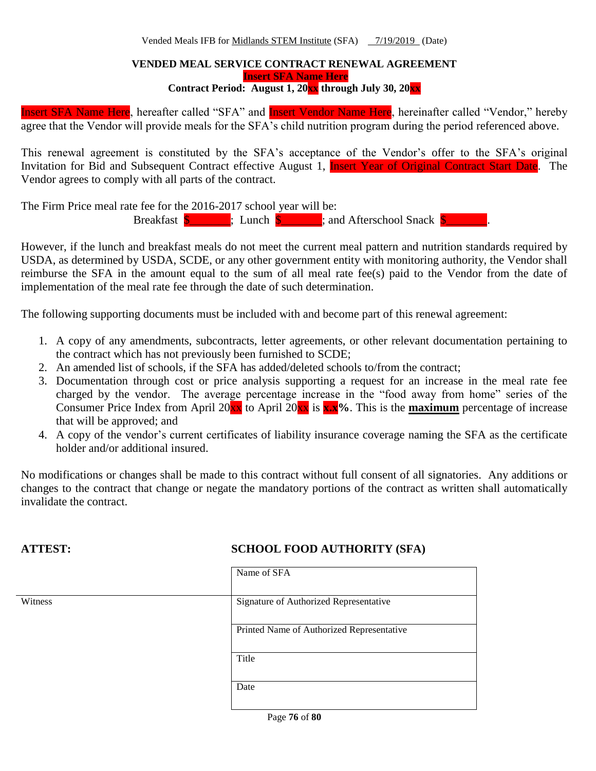#### **VENDED MEAL SERVICE CONTRACT RENEWAL AGREEMENT Insert SFA Name Here**

**Contract Period: August 1, 20xx through July 30, 20xx**

Insert SFA Name Here, hereafter called "SFA" and Insert Vendor Name Here, hereinafter called "Vendor," hereby agree that the Vendor will provide meals for the SFA's child nutrition program during the period referenced above.

This renewal agreement is constituted by the SFA's acceptance of the Vendor's offer to the SFA's original Invitation for Bid and Subsequent Contract effective August 1, **Insert Year of Original Contract Start Date**. The Vendor agrees to comply with all parts of the contract.

The Firm Price meal rate fee for the 2016-2017 school year will be: Breakfast  $\frac{1}{2}$   $\frac{1}{2}$   $\frac{1}{2}$  Lunch  $\frac{1}{2}$  and Afterschool Snack  $\frac{1}{2}$ 

However, if the lunch and breakfast meals do not meet the current meal pattern and nutrition standards required by USDA, as determined by USDA, SCDE, or any other government entity with monitoring authority, the Vendor shall reimburse the SFA in the amount equal to the sum of all meal rate fee(s) paid to the Vendor from the date of implementation of the meal rate fee through the date of such determination.

The following supporting documents must be included with and become part of this renewal agreement:

- 1. A copy of any amendments, subcontracts, letter agreements, or other relevant documentation pertaining to the contract which has not previously been furnished to SCDE;
- 2. An amended list of schools, if the SFA has added/deleted schools to/from the contract;
- 3. Documentation through cost or price analysis supporting a request for an increase in the meal rate fee charged by the vendor. The average percentage increase in the "food away from home" series of the Consumer Price Index from April 20 $\overline{\mathbf{x}}$  to April 20 $\overline{\mathbf{x}}$  is  $\overline{\mathbf{x}}$ ,  $\mathbf{x}$ %. This is the **maximum** percentage of increase that will be approved; and
- 4. A copy of the vendor's current certificates of liability insurance coverage naming the SFA as the certificate holder and/or additional insured.

No modifications or changes shall be made to this contract without full consent of all signatories. Any additions or changes to the contract that change or negate the mandatory portions of the contract as written shall automatically invalidate the contract.

### **ATTEST: SCHOOL FOOD AUTHORITY (SFA)**

|         | Name of SFA                                    |
|---------|------------------------------------------------|
|         |                                                |
| Witness | Signature of Authorized Representative         |
|         |                                                |
|         | Printed Name of Authorized Representative      |
|         |                                                |
|         | Title                                          |
|         |                                                |
|         | Date                                           |
|         |                                                |
|         | $\epsilon$ $\epsilon$ $\alpha$<br>$\mathbf{r}$ |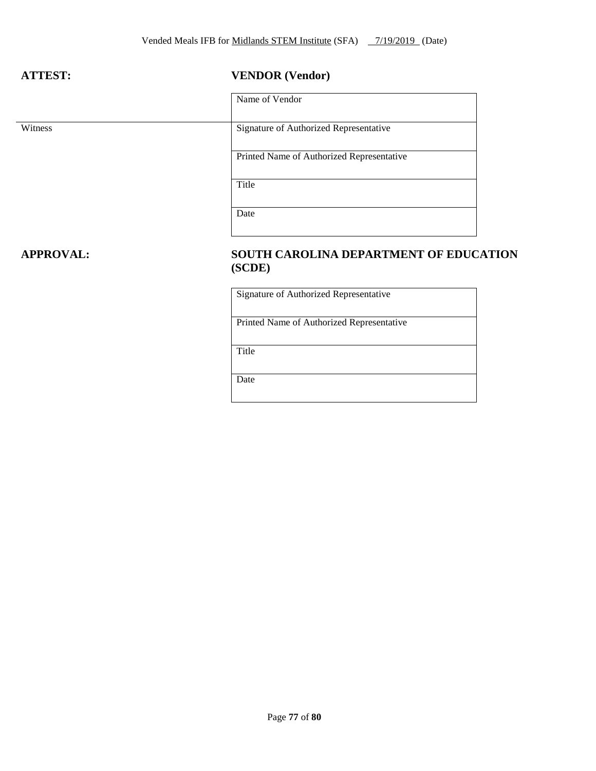### **ATTEST: VENDOR (Vendor)**

|         | Name of Vendor                            |
|---------|-------------------------------------------|
| Witness | Signature of Authorized Representative    |
|         | Printed Name of Authorized Representative |
|         | Title                                     |
|         | Date                                      |

### **APPROVAL: SOUTH CAROLINA DEPARTMENT OF EDUCATION (SCDE)**

Signature of Authorized Representative

Printed Name of Authorized Representative

Title

Date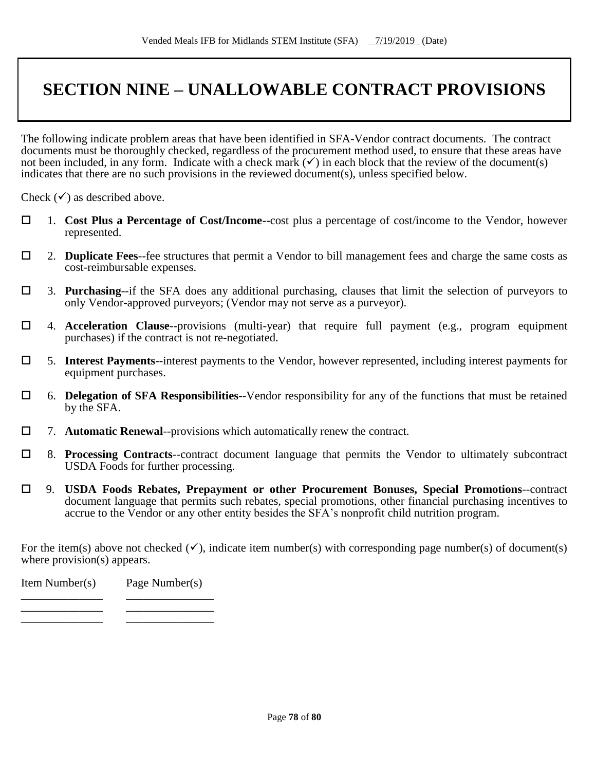# **SECTION NINE – UNALLOWABLE CONTRACT PROVISIONS**

The following indicate problem areas that have been identified in SFA-Vendor contract documents. The contract documents must be thoroughly checked, regardless of the procurement method used, to ensure that these areas have not been included, in any form. Indicate with a check mark  $(\checkmark)$  in each block that the review of the document(s) indicates that there are no such provisions in the reviewed document(s), unless specified below.

Check  $(\checkmark)$  as described above.

- 1. **Cost Plus a Percentage of Cost/Income--**cost plus a percentage of cost/income to the Vendor, however represented.
- 2. **Duplicate Fees**--fee structures that permit a Vendor to bill management fees and charge the same costs as cost-reimbursable expenses.
- 3. **Purchasing**--if the SFA does any additional purchasing, clauses that limit the selection of purveyors to only Vendor-approved purveyors; (Vendor may not serve as a purveyor).
- 4. **Acceleration Clause**--provisions (multi-year) that require full payment (e.g., program equipment purchases) if the contract is not re-negotiated.
- 5. **Interest Payments**--interest payments to the Vendor, however represented, including interest payments for equipment purchases.
- 6. **Delegation of SFA Responsibilities**--Vendor responsibility for any of the functions that must be retained by the SFA.
- 7. **Automatic Renewal**--provisions which automatically renew the contract.
- 8. **Processing Contracts**--contract document language that permits the Vendor to ultimately subcontract USDA Foods for further processing.
- 9. **USDA Foods Rebates, Prepayment or other Procurement Bonuses, Special Promotions**--contract document language that permits such rebates, special promotions, other financial purchasing incentives to accrue to the Vendor or any other entity besides the SFA's nonprofit child nutrition program.

For the item(s) above not checked  $(\checkmark)$ , indicate item number(s) with corresponding page number(s) of document(s) where provision(s) appears.

| Item Number(s) | Page Number(s) |  |  |  |
|----------------|----------------|--|--|--|
|                |                |  |  |  |

\_\_\_\_\_\_\_\_\_\_\_\_\_\_ \_\_\_\_\_\_\_\_\_\_\_\_\_\_\_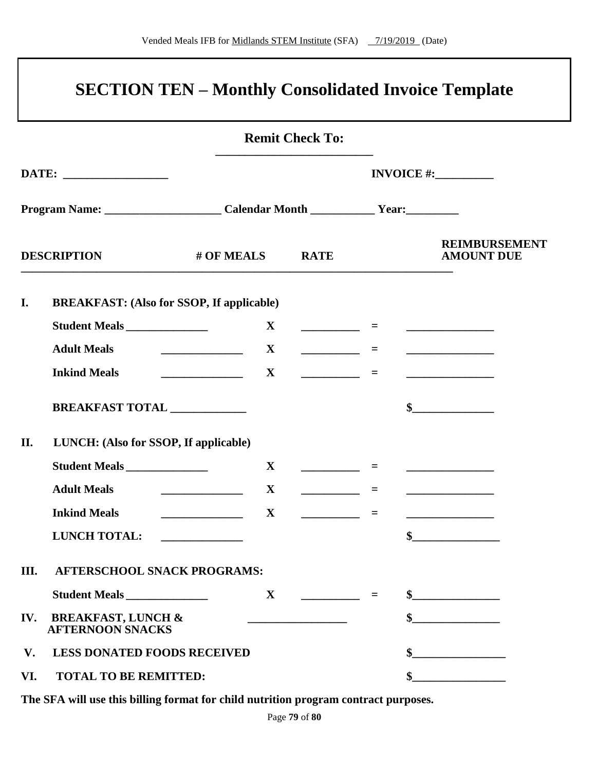|                                                                                         |                                                                                                                                                                                                                                                                                                                                                                                                                                                                                 | <b>Remit Check To:</b>                                                                                                |     |                                                                                        |
|-----------------------------------------------------------------------------------------|---------------------------------------------------------------------------------------------------------------------------------------------------------------------------------------------------------------------------------------------------------------------------------------------------------------------------------------------------------------------------------------------------------------------------------------------------------------------------------|-----------------------------------------------------------------------------------------------------------------------|-----|----------------------------------------------------------------------------------------|
|                                                                                         |                                                                                                                                                                                                                                                                                                                                                                                                                                                                                 |                                                                                                                       |     | INVOICE $\#$ :                                                                         |
| Program Name: ___________________________Calendar Month _______________Year:___________ |                                                                                                                                                                                                                                                                                                                                                                                                                                                                                 |                                                                                                                       |     |                                                                                        |
| <b>DESCRIPTION</b>                                                                      | # OF MEALS                                                                                                                                                                                                                                                                                                                                                                                                                                                                      | <b>RATE</b>                                                                                                           |     | <b>REIMBURSEMENT</b><br><b>AMOUNT DUE</b>                                              |
| I.<br><b>BREAKFAST:</b> (Also for SSOP, If applicable)                                  |                                                                                                                                                                                                                                                                                                                                                                                                                                                                                 |                                                                                                                       |     |                                                                                        |
| Student Meals                                                                           |                                                                                                                                                                                                                                                                                                                                                                                                                                                                                 |                                                                                                                       |     |                                                                                        |
| <b>Adult Meals</b>                                                                      | $\begin{array}{cccccccccc} & & & & & \mathbf{X} & & & & \end{array}$                                                                                                                                                                                                                                                                                                                                                                                                            |                                                                                                                       | $=$ |                                                                                        |
| <b>Inkind Meals</b>                                                                     | $\begin{array}{cccccccccc} & & & & & \mathbf{X} & & & & \end{array}$                                                                                                                                                                                                                                                                                                                                                                                                            |                                                                                                                       | $=$ | <u> 1990 - Johann Barbara, martin a</u>                                                |
| BREAKFAST TOTAL ____________                                                            |                                                                                                                                                                                                                                                                                                                                                                                                                                                                                 |                                                                                                                       |     | $\frac{1}{2}$                                                                          |
| II.<br>LUNCH: (Also for SSOP, If applicable)                                            |                                                                                                                                                                                                                                                                                                                                                                                                                                                                                 |                                                                                                                       |     |                                                                                        |
| Student Meals                                                                           | $\mathbf{X}$                                                                                                                                                                                                                                                                                                                                                                                                                                                                    | <u> 1986 - Alexandr Alexandr III, prima populație de la proprietat de la proprietat de la proprietat de la propri</u> |     |                                                                                        |
| <b>Adult Meals</b><br><u> 1990 - Johann Barbara, martin a</u>                           | $\mathbf{X}$                                                                                                                                                                                                                                                                                                                                                                                                                                                                    | <u> Albanya (Albanya)</u>                                                                                             | $=$ |                                                                                        |
| <b>Inkind Meals</b>                                                                     | $\overline{\phantom{a}}$ $\overline{\phantom{a}}$ $\overline{\phantom{a}}$ $\overline{\phantom{a}}$ $\overline{\phantom{a}}$ $\overline{\phantom{a}}$ $\overline{\phantom{a}}$ $\overline{\phantom{a}}$ $\overline{\phantom{a}}$ $\overline{\phantom{a}}$ $\overline{\phantom{a}}$ $\overline{\phantom{a}}$ $\overline{\phantom{a}}$ $\overline{\phantom{a}}$ $\overline{\phantom{a}}$ $\overline{\phantom{a}}$ $\overline{\phantom{a}}$ $\overline{\phantom{a}}$ $\overline{\$ | <u> 1990 - Jan Jan Jawa Barat, prima prima prima prima prima prima prima prima prima prima prima prima prima pri</u>  |     |                                                                                        |
| <b>LUNCH TOTAL:</b>                                                                     |                                                                                                                                                                                                                                                                                                                                                                                                                                                                                 |                                                                                                                       |     | $\sim$                                                                                 |
| III.<br><b>AFTERSCHOOL SNACK PROGRAMS:</b>                                              |                                                                                                                                                                                                                                                                                                                                                                                                                                                                                 |                                                                                                                       |     |                                                                                        |
| Student Meals                                                                           | $\mathbf{X}$                                                                                                                                                                                                                                                                                                                                                                                                                                                                    |                                                                                                                       | $=$ | $\frac{1}{2}$                                                                          |
| IV.<br><b>BREAKFAST, LUNCH &amp;</b><br><b>AFTERNOON SNACKS</b>                         |                                                                                                                                                                                                                                                                                                                                                                                                                                                                                 |                                                                                                                       |     | $\frac{1}{2}$                                                                          |
| $V_{\bullet}$<br><b>LESS DONATED FOODS RECEIVED</b>                                     |                                                                                                                                                                                                                                                                                                                                                                                                                                                                                 |                                                                                                                       |     |                                                                                        |
| VI.<br><b>TOTAL TO BE REMITTED:</b>                                                     |                                                                                                                                                                                                                                                                                                                                                                                                                                                                                 |                                                                                                                       |     | $\begin{array}{c c} \hline \textbf{S} & \textbf{S} & \textbf{S} \\ \hline \end{array}$ |

**The SFA will use this billing format for child nutrition program contract purposes.**